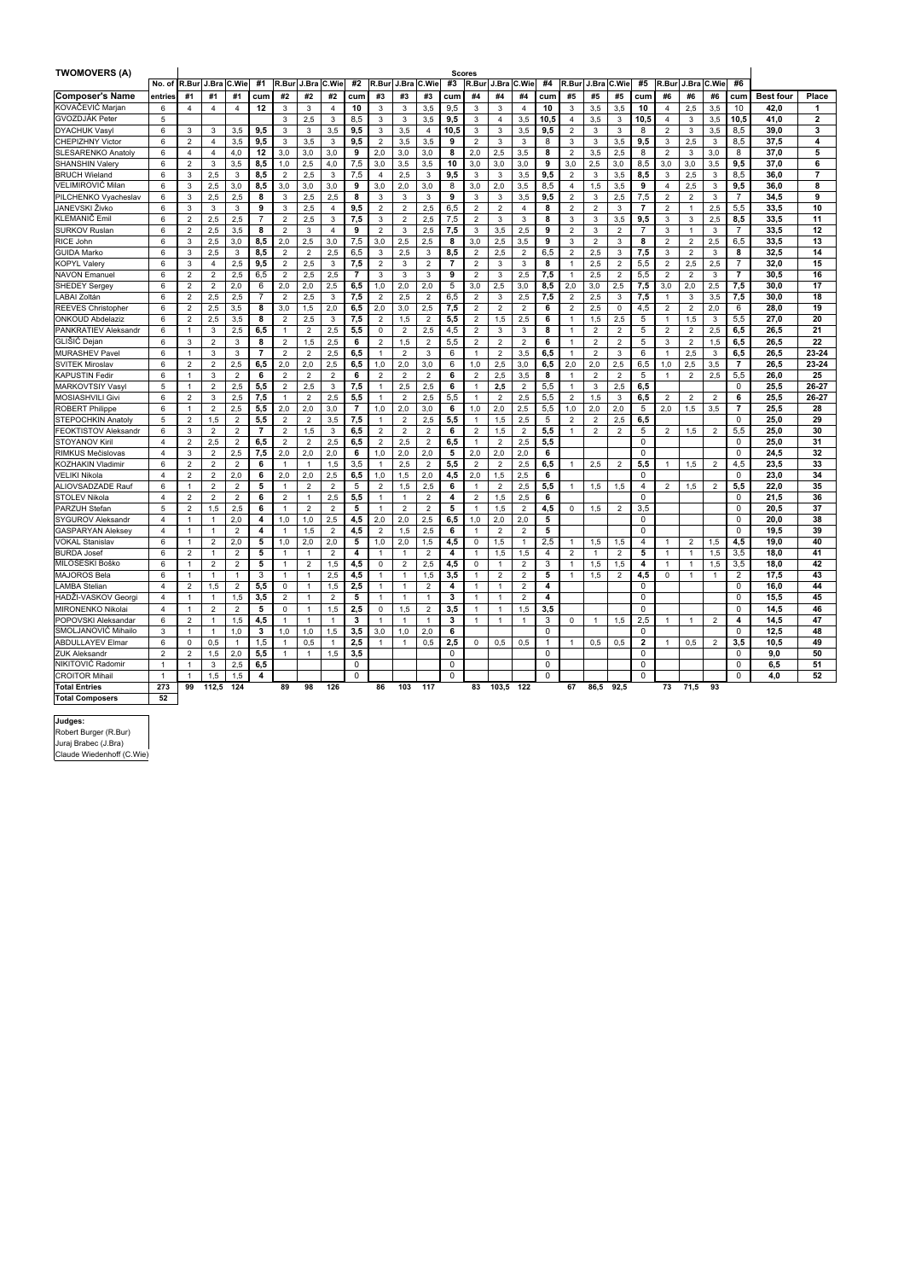| <b>TWOMOVERS (A)</b>      |                         |                |                         |                         |                |                |                |                         |                |                |                |                |                | <b>Scores</b>           |                         |                |              |                |                |                |                |                |                |                         |                |                  |                |
|---------------------------|-------------------------|----------------|-------------------------|-------------------------|----------------|----------------|----------------|-------------------------|----------------|----------------|----------------|----------------|----------------|-------------------------|-------------------------|----------------|--------------|----------------|----------------|----------------|----------------|----------------|----------------|-------------------------|----------------|------------------|----------------|
|                           | No. of                  | R.Bur          | J.Bra                   | C.Wie                   | #1             | R.Bur          | J.Bra          | C.Wi                    | #2             | R.Bur          | J.Bra          | C.Wie          | #3             | R.Bur                   | J.Bra                   | C.Wie          | #4           | R.Bui          | J.Bra          | C.Wi           | #5             | R.Bur          | J.Bra          | C.Wie                   | #6             |                  |                |
| <b>Composer's Name</b>    | entries                 | #1             | #1                      | #1                      | cum            | #2             | #2             | #2                      | cum            | #3             | #3             | #3             | cum            | #4                      | #4                      | #4             | cum          | #5             | #5             | #5             | cum            | #6             | #6             | #6                      | cum            | <b>Best four</b> | Place          |
| KOVAČEVIĆ Marjar          | 6                       | 4              | 4                       | 4                       | 12             | 3              | 3              | 4                       | 10             | 3              | 3              | 3,5            | 9.5            | 3                       | 3                       | 4              | 10           | 3              | 3,5            | 3,5            | 10             | 4              | 2.5            | 3.5                     | 10             | 42.0             | 1              |
| GVOZDJÁK Peter            | 5                       |                |                         |                         |                | 3              | 2,5            | 3                       | 8,5            | 3              | 3              | 3,5            | 9,5            | 3                       | 4                       | 3,5            | 10.5         | $\overline{4}$ | 3,5            | 3              | 10,5           | $\overline{4}$ | 3              | 3,5                     | 10,5           | 41.0             | $\overline{2}$ |
| <b>DYACHUK Vasyl</b>      | 6                       | 3              | 3                       | 3,5                     | 9.5            | 3              | 3              | 3,5                     | 9.5            | 3              | 3,5            | $\overline{4}$ | 10.5           | 3                       | 3                       | 3.5            | 9.5          | $\overline{2}$ | 3              | 3              | 8              | $\overline{2}$ | 3              | 3.5                     | 8.5            | 39.0             | 3              |
| <b>CHEPIZHNY Victor</b>   | 6                       | $\overline{2}$ | $\overline{4}$          | 3,5                     | 9,5            | 3              | 3,5            | 3                       | 9,5            | $\overline{2}$ | 3,5            | 3,5            | 9              | $\overline{2}$          | 3                       | 3              | 8            | 3              | 3              | 3,5            | 9.5            | 3              | 2,5            | 3                       | 8.5            | 37.5             | 4              |
| <b>SLESARENKO Anatolv</b> | 6                       | $\overline{a}$ | $\overline{4}$          | 4.0                     | 12             | 3.0            | 3.0            | 3.0                     | 9              | 2.0            | 3.0            | 3.0            | 8              | 2.0                     | 2,5                     | 3,5            | 8            | $\overline{2}$ | 3.5            | 2.5            | 8              | $\overline{2}$ | 3              | 3.0                     | 8              | 37.0             | 5              |
| SHANSHIN Valen            | 6                       | $\overline{2}$ | 3                       | 3,5                     | 8,5            | 1,0            | 2,5            | 4,0                     | 7,5            | 3,0            | 3,5            | 3,5            | 10             | 3,0                     | 3,0                     | 3,0            | 9            | 3,0            | 2,5            | 3,0            | 8,5            | 3,0            | 3,0            | 3,5                     | 9,5            | 37.0             | 6              |
| <b>BRUCH Wieland</b>      | 6                       | 3              | 2,5                     | 3                       | 8,5            | $\overline{2}$ | 2,5            | 3                       | 7,5            | 4              | 2,5            | 3              | 9,5            | 3                       | 3                       | 3,5            | 9,5          | $\overline{2}$ | 3              | 3,5            | 8,5            | 3              | 2,5            | 3                       | 8,5            | 36,0             | 7              |
| VELIMIROVIĆ Milan         | 6                       | 3              | 2.5                     | 3,0                     | 8.5            | 3.0            | 3.0            | 3.0                     | 9              | 3,0            | 2,0            | 3,0            | 8              | 3.0                     | 2,0                     | 3,5            | 8.5          | 4              | 1,5            | 3.5            | 9              | $\overline{4}$ | 2.5            | 3                       | 9.5            | 36.0             | 8              |
| PILCHENKO Vyacheslav      | 6                       | 3              | 2,5                     | 2,5                     | 8              | 3              | 2,5            | 2,5                     | 8              | 3              | 3              | 3              | 9              | 3                       | 3                       | 3,5            | 9,5          | $\overline{2}$ | 3              | 2,5            | 7,5            | $\overline{2}$ | 2              | 3                       | 7              | 34,5             | 9              |
| JANEVSKI Živko            | 6                       | 3              | 3                       | 3                       | 9              | 3              | 2,5            | $\overline{4}$          | 9.5            | $\overline{2}$ | $\overline{2}$ | 2.5            | 6,5            | $\overline{2}$          | $\overline{2}$          | $\overline{4}$ | 8            | $\overline{2}$ | $\overline{2}$ | 3              | $\overline{7}$ | $\overline{2}$ | $\mathbf{1}$   | 2.5                     | 5.5            | 33.5             | 10             |
| <b>KLEMANIČ Emil</b>      | 6                       | $\overline{2}$ | 2.5                     | 2,5                     | $\overline{7}$ | $\overline{2}$ | 2,5            | 3                       | 7,5            | 3              | $\overline{2}$ | 2,5            | 7,5            | $\overline{2}$          | 3                       | 3              | 8            | 3              | 3              | 3,5            | 9.5            | 3              | 3              | 2.5                     | 8,5            | 33.5             | 11             |
| <b>SURKOV Ruslan</b>      | 6                       | $\overline{2}$ | 2.5                     | 3,5                     | 8              | $\overline{2}$ | 3              | $\overline{4}$          | 9              | $\overline{2}$ | 3              | 2.5            | 7,5            | 3                       | 3,5                     | 2.5            | 9            | $\overline{2}$ | 3              | $\overline{2}$ | 7              | 3              | $\mathbf{1}$   | 3                       | 7              | 33.5             | 12             |
| RICE John                 | 6                       | 3              | 2,5                     | 3,0                     | 8,5            | 2,0            | 2,5            | 3,0                     | 7,5            | 3,0            | 2,5            | 2,5            | 8              | 3,0                     | 2,5                     | 3,5            | 9            | 3              | $\overline{2}$ | 3              | 8              | $\overline{2}$ | $\overline{2}$ | 2,5                     | 6,5            | 33.5             | 13             |
| <b>GUIDA Marko</b>        | 6                       | 3              | 2,5                     | 3                       | 8,5            | $\overline{2}$ | $\overline{2}$ | 2,5                     | 6,5            | 3              | 2,5            | 3              | 8,5            | $\overline{2}$          | 2,5                     | $\overline{2}$ | 6,5          | $\overline{2}$ | 2,5            | 3              | 7,5            | 3              | 2              | 3                       | 8              | 32,5             | 14             |
| <b>KOPYL Valer</b>        | 6                       | 3              | $\overline{4}$          | 2,5                     | 9,5            | $\overline{2}$ | 2,5            | 3                       | 7,5            | $\overline{2}$ | 3              | $\overline{2}$ | $\overline{7}$ | $\overline{\mathbf{c}}$ | 3                       | 3              | 8            | $\mathbf{1}$   | 2,5            | $\overline{2}$ | 5,5            | $\overline{2}$ | 2,5            | 2,5                     | $\overline{7}$ | 32.0             | 15             |
| <b>NAVON Emanuel</b>      | 6                       | 2              | $\overline{2}$          | 2,5                     | 6,5            | $\overline{2}$ | 2,5            | 2,5                     | 7              | 3              | 3              | 3              | 9              | 2                       | 3                       | 2,5            | 7,5          | -1             | 2,5            | 2              | 5,5            | $\overline{2}$ | $\overline{2}$ | 3                       | $\overline{7}$ | 30.5             | 16             |
| SHEDEY Sergey             | 6                       | $\overline{2}$ | $\overline{2}$          | 2,0                     | 6              | 2,0            | 2,0            | 2,5                     | 6, 5           | 1,0            | 2,0            | 2,0            | 5              | 3,0                     | 2,5                     | 3,0            | 8,5          | 2,0            | 3,0            | 2,5            | 7,5            | 3,0            | 2,0            | 2,5                     | 7,5            | 30.0             | 17             |
| <b>LABAI Zoltán</b>       | 6                       | $\overline{2}$ | 2.5                     | 2,5                     | $\overline{7}$ | $\overline{2}$ | 2,5            | 3                       | 7,5            | $\overline{2}$ | 2,5            | $\overline{2}$ | 6.5            | $\overline{2}$          | 3                       | 2,5            | 7.5          | $\overline{2}$ | 2,5            | 3              | 7,5            | $\overline{1}$ | 3              | 3,5                     | 7,5            | 30.0             | 18             |
| <b>REEVES Christopher</b> | 6                       | 2              | 2,5                     | 3,5                     | 8              | 3,0            | 1,5            | 2,0                     | 6,5            | 2,0            | 3,0            | 2,5            | 7,5            | 2                       | $\overline{\mathbf{c}}$ | 2              | 6            | $\overline{2}$ | 2,5            | 0              | 4,5            | $\overline{2}$ | $\overline{2}$ | 2.0                     | 6              | 28.0             | 19             |
| <b>ONKOUD Abdelaziz</b>   | 6                       | $\overline{2}$ | 2,5                     | 3,5                     | 8              | $\overline{2}$ | 2,5            | 3                       | 7,5            | $\overline{2}$ | 1,5            | $\overline{2}$ | 5,5            | $\overline{2}$          | 1,5                     | 2,5            | 6            | $\overline{1}$ | 1,5            | 2,5            | 5              | $\overline{1}$ | 1,5            | 3                       | 5,5            | 27.0             | 20             |
| PANKRATIEV Aleksandr      | 6                       | 1              | 3                       | 2,5                     | 6,5            | 1              | $\overline{2}$ | 2,5                     | 5, 5           | $\mathbf 0$    | $\overline{2}$ | 2,5            | 4,5            | $\overline{\mathbf{c}}$ | 3                       | 3              | 8            |                | $\overline{2}$ | $\overline{2}$ | 5              | 2              | 2              | 2,5                     | 6,5            | 26,5             | 21             |
| GLIŠIĆ Dejan              | 6                       | 3              | $\overline{2}$          | 3                       | 8              | $\overline{2}$ | 1,5            | 2,5                     | 6              | $\overline{2}$ | 1,5            | 2              | 5,5            | $\overline{2}$          | $\overline{\mathbf{c}}$ | $\overline{2}$ | 6            | $\mathbf{1}$   | $\overline{2}$ | $\overline{2}$ | 5              | 3              | 2              | 1,5                     | 6,5            | 26,5             | 22             |
| <b>MURASHEV Pavel</b>     | 6                       | $\mathbf{1}$   | 3                       | 3                       | 7              | $\overline{2}$ | $\overline{2}$ | 2,5                     | 6,5            | $\mathbf{1}$   | $\overline{2}$ | 3              | 6              | $\mathbf{1}$            | $\overline{\mathbf{c}}$ | 3,5            | 6,5          |                | $\overline{2}$ | 3              | 6              | $\overline{1}$ | 2,5            | 3                       | 6,5            | 26,5             | 23-24          |
| <b>SVITEK Miroslav</b>    | 6                       | $\overline{2}$ | $\overline{2}$          | 2,5                     | 6, 5           | 2,0            | 2,0            | 2,5                     | 6, 5           | 1,0            | 2,0            | 3,0            | 6              | 1,0                     | 2,5                     | 3,0            | 6,5          | 2,0            | 2,0            | 2,5            | 6,5            | 1,0            | 2,5            | 3,5                     | $\overline{7}$ | 26,5             | 23-24          |
| <b>KAPUSTIN Fedir</b>     | 6                       | $\mathbf{1}$   | 3                       | $\overline{2}$          | 6              | $\overline{2}$ | $\overline{2}$ | $\overline{\mathbf{c}}$ | 6              | $\overline{2}$ | $\overline{2}$ | $\overline{2}$ | 6              | $\overline{2}$          | 2,5                     | 3,5            | 8            | $\mathbf{1}$   | $\overline{2}$ | $\overline{2}$ | 5              | $\mathbf{1}$   | $\overline{2}$ | 2.5                     | 5,5            | 26.0             | 25             |
| <b>MARKOVTSIY Vasy</b>    | 5                       | $\mathbf{1}$   | $\overline{2}$          | 2,5                     | 5,5            | $\overline{2}$ | 2,5            | 3                       | 7.5            | $\mathbf{1}$   | 2,5            | 2,5            | 6              | $\mathbf{1}$            | 2,5                     | $\overline{2}$ | 5,5          | $\mathbf{1}$   | 3              | 2,5            | 6,5            |                |                |                         | 0              | 25.5             | 26-27          |
| <b>MOSIASHVILI Givi</b>   | 6                       | $\overline{2}$ | 3                       | 2,5                     | 7,5            | $\mathbf{1}$   | $\overline{2}$ | 2,5                     | 5,5            | $\mathbf{1}$   | $\overline{2}$ | 2,5            | 5,5            | $\mathbf{1}$            | $\overline{2}$          | 2,5            | 5,5          | $\overline{2}$ | 1,5            | $\mathbf{3}$   | 6,5            | $\overline{2}$ | $\overline{2}$ | $\overline{2}$          | 6              | 25,5             | 26-27          |
| <b>ROBERT Philippe</b>    | 6                       | 1              | $\overline{\mathbf{c}}$ | 2,5                     | 5,5            | 2,0            | 2,0            | 3,0                     | $\overline{7}$ | 1,0            | 2,0            | 3,0            | 6              | 1,0                     | 2,0                     | 2,5            | 5,5          | 1,0            | 2,0            | 2,0            | 5              | 2,0            | 1,5            | 3,5                     | 7              | 25,5             | 28             |
| STEPOCHKIN Anatoly        | 5                       | $\overline{2}$ | 1,5                     | $\overline{\mathbf{c}}$ | 5,5            | $\overline{2}$ | $\overline{2}$ | 3,5                     | 7,5            | $\mathbf{1}$   | $\overline{2}$ | 2,5            | 5,5            | $\overline{1}$          | 1,5                     | 2,5            | 5            | $\overline{2}$ | $\overline{2}$ | 2,5            | 6,5            |                |                |                         | 0              | 25,0             | 29             |
| FEOKTISTOV Aleksandr      | 6                       | 3              | $\overline{2}$          | 2                       | 7              | $\overline{2}$ | 1,5            | 3                       | 6, 5           | $\overline{2}$ | $\overline{2}$ | $\overline{2}$ | 6              | $\overline{2}$          | 1,5                     | $\overline{2}$ | 5,5          | $\mathbf{1}$   | $\overline{2}$ | $\overline{2}$ | 5              | $\overline{2}$ | 1,5            | $\overline{2}$          | 5,5            | 25,0             | 30             |
| STOYANOV Kiril            | $\overline{\mathbf{4}}$ | $\overline{2}$ | 2,5                     | $\overline{\mathbf{c}}$ | 6, 5           | $\overline{2}$ | $\overline{2}$ | 2,5                     | 6,5            | $\overline{2}$ | 2,5            | $\overline{2}$ | 6,5            | $\mathbf{1}$            | $\overline{c}$          | 2,5            | 5,5          |                |                |                | $\mathbf 0$    |                |                |                         | 0              | 25,0             | 31             |
| RIMKUS Mečislovas         | $\overline{4}$          | 3              | $\overline{2}$          | 2,5                     | 7,5            | 2,0            | 2,0            | 2,0                     | 6              | 1,0            | 2,0            | 2,0            | 5              | 2,0                     | 2,0                     | 2,0            | 6            |                |                |                | 0              |                |                |                         | 0              | 24,5             | 32             |
| KOZHAKIN Vladimir         | 6                       | $\overline{2}$ | $\overline{2}$          | $\overline{2}$          | 6              | $\mathbf{1}$   | $\overline{1}$ | 1.5                     | 3,5            | $\mathbf{1}$   | 2,5            | $\overline{2}$ | 5,5            | $\overline{2}$          | $\overline{2}$          | 2,5            | 6,5          | $\mathbf{1}$   | 2,5            | $\overline{2}$ | 5,5            | $\mathbf{1}$   | 1,5            | $\overline{2}$          | 4,5            | 23.5             | 33             |
| <b>VELIKI Nikola</b>      | $\overline{4}$          | $\overline{2}$ | 2                       | 2,0                     | 6              | 2,0            | 2,0            | 2,5                     | 6,5            | 1,0            | 1,5            | 2,0            | 4,5            | 2,0                     | 1,5                     | 2,5            | 6            |                |                |                | 0              |                |                |                         | 0              | 23.0             | 34             |
| ALIOVSADZADE Rauf         | 6                       | 1              | $\overline{2}$          | $\overline{\mathbf{c}}$ | 5              | $\mathbf{1}$   | $\overline{2}$ | $\overline{2}$          | 5              | $\overline{2}$ | 1,5            | 2,5            | 6              | $\mathbf{1}$            | $\overline{2}$          | 2,5            | 5,5          | -1             | 1,5            | 1,5            | 4              | 2              | 1,5            | $\overline{\mathbf{c}}$ | 5,5            | 22,0             | 35             |
| <b>STOLEV Nikola</b>      | $\overline{\mathbf{4}}$ | $\overline{2}$ | $\overline{\mathbf{c}}$ | $\overline{\mathbf{c}}$ | 6              | $\overline{2}$ | $\mathbf{1}$   | 2,5                     | 5,5            | $\mathbf{1}$   | $\mathbf{1}$   | $\overline{2}$ | 4              | $\overline{2}$          | 1,5                     | 2,5            | 6            |                |                |                | $\mathbf 0$    |                |                |                         | 0              | 21,5             | 36             |
| <b>PARZUH Stefan</b>      | 5                       | $\overline{2}$ | 1,5                     | 2,5                     | 6              | $\mathbf{1}$   | $\overline{2}$ | $\overline{\mathbf{c}}$ | 5              | $\mathbf{1}$   | $\overline{2}$ | $\overline{2}$ | 5              | $\overline{1}$          | 1,5                     | $\overline{2}$ | 4.5          | 0              | 1,5            | $\overline{2}$ | 3,5            |                |                |                         | 0              | 20.5             | 37             |
| SYGUROV Aleksandr         | $\overline{4}$          | $\mathbf{1}$   | 1                       | 2,0                     | 4              | 1,0            | 1,0            | 2,5                     | 4,5            | 2,0            | 2,0            | 2,5            | 6,5            | 1,0                     | 2,0                     | 2,0            | 5            |                |                |                | $\mathbf 0$    |                |                |                         | 0              | 20.0             | 38             |
| <b>GASPARYAN Aleksev</b>  | $\overline{4}$          | $\mathbf{1}$   | $\mathbf{1}$            | $\overline{2}$          | 4              | $\mathbf{1}$   | 1.5            | $\overline{2}$          | 4.5            | $\overline{2}$ | 1,5            | 2.5            | 6              | $\mathbf{1}$            | $\overline{2}$          | $\overline{2}$ | 5            |                |                |                | 0              |                |                |                         | $\Omega$       | 19.5             | 39             |
| <b>VOKAL Stanislav</b>    | 6                       | 1              | $\overline{2}$          | 2.0                     | 5              | 1.0            | 2.0            | 2.0                     | 5              | 1.0            | 2.0            | 1.5            | 4,5            | 0                       | 1,5                     | $\mathbf{1}$   | 2.5          |                | 1.5            | 1,5            | 4              |                | $\overline{2}$ | 1.5                     | 4.5            | 19.0             | 40             |
| <b>BURDA Joset</b>        | 6                       | $\overline{2}$ | $\overline{1}$          | $\overline{2}$          | 5              | $\mathbf{1}$   | $\overline{1}$ | $\overline{2}$          | 4              | $\overline{1}$ | $\overline{1}$ | $\overline{2}$ | 4              | $\mathbf{1}$            | 1,5                     | 1,5            | 4            | $\overline{2}$ | $\mathbf{1}$   | $\overline{2}$ | 5              | $\overline{1}$ | $\mathbf{1}$   | 1,5                     | 3,5            | 18.0             | 41             |
| MILOŠESKI Boško           | 6                       | 1              | $\overline{2}$          | $\overline{2}$          | 5              | 1              | $\overline{2}$ | 1.5                     | 4.5            | $\mathbf 0$    | $\overline{2}$ | 2,5            | 4,5            | 0                       | $\mathbf{1}$            | $\overline{2}$ | 3            |                | 1.5            | 1,5            | 4              | 1              | $\mathbf{1}$   | 1,5                     | 3,5            | 18.0             | 42             |
| <b>MAJOROS Bela</b>       | 6                       | $\mathbf{1}$   | $\mathbf{1}$            | 1                       | 3              | $\mathbf{1}$   | $\overline{1}$ | 2,5                     | 4,5            | $\mathbf{1}$   | $\overline{1}$ | 1,5            | 3,5            | $\mathbf{1}$            | $\overline{2}$          | $\overline{2}$ | 5            | $\mathbf{1}$   | 1,5            | $\overline{2}$ | 4,5            | $\mathsf 0$    | $\mathbf{1}$   | $\overline{1}$          | $\overline{2}$ | 17,5             | 43             |
| <b>LAMBA Stelian</b>      | $\overline{4}$          | 2              | 1,5                     | $\overline{2}$          | 5,5            | 0              | $\overline{1}$ | 1,5                     | 2,5            | $\mathbf{1}$   | $\mathbf{1}$   | $\overline{2}$ | 4              | $\mathbf{1}$            | 1                       | $\overline{2}$ | 4            |                |                |                | 0              |                |                |                         | 0              | 16.0             | 44             |
| HADŽI-VASKOV Georgi       | $\overline{4}$          | 1              | $\mathbf{1}$            | 1,5                     | 3,5            | $\overline{2}$ | $\mathbf{1}$   | $\overline{2}$          | 5              | $\mathbf{1}$   | $\mathbf{1}$   | 1              | 3              | 1                       | 1                       | $\overline{2}$ | 4            |                |                |                | $\mathbf 0$    |                |                |                         | 0              | 15.5             | 45             |
| <b>MIRONENKO Nikolai</b>  | $\overline{4}$          | $\mathbf{1}$   | $\overline{2}$          | $\overline{2}$          | 5              | $\mathbf 0$    | $\mathbf{1}$   | 1.5                     | 2,5            | $\mathbf 0$    | 1,5            | $\overline{2}$ | 3.5            | $\mathbf{1}$            | $\mathbf{1}$            | 1,5            | 3.5          |                |                |                | 0              |                |                |                         | 0              | 14.5             | 46             |
| POPOVSKI Aleksandar       | 6                       | $\overline{2}$ | $\mathbf{1}$            | 1,5                     | 4.5            | 1              | $\mathbf{1}$   | $\mathbf{1}$            | 3              | $\mathbf{1}$   | $\overline{1}$ | $\mathbf{1}$   | 3              | $\mathbf{1}$            | $\mathbf{1}$            | $\mathbf{1}$   | 3            | 0              | $\mathbf{1}$   | 1,5            | 2,5            | $\mathbf{1}$   | $\mathbf{1}$   | $\overline{2}$          | 4              | 14.5             | 47             |
| SMOLJANOVIC Mihailo       | 3                       | $\mathbf{1}$   | $\mathbf{1}$            | 1,0                     | 3              | 1,0            | 1,0            | 1,5                     | 3,5            | 3,0            | 1,0            | 2,0            | 6              |                         |                         |                | $\Omega$     |                |                |                | $\Omega$       |                |                |                         | 0              | 12,5             | 48             |
| <b>ABDULLAYEV Elmar</b>   | 6                       | $\Omega$       | 0,5                     | 1                       | 1,5            | $\mathbf{1}$   | 0,5            | $\mathbf{1}$            | 2,5            | $\mathbf{1}$   | $\mathbf{1}$   | 0,5            | 2,5            | 0                       | 0,5                     | 0,5            | $\mathbf{1}$ | $\mathbf{1}$   | 0,5            | 0,5            | $\overline{2}$ | $\mathbf{1}$   | 0,5            | $\overline{2}$          | 3,5            | 10.5             | 49             |
| <b>ZUK Aleksandr</b>      | $\overline{2}$          | $\overline{2}$ | 1,5                     | 2,0                     | 5,5            | 1              | $\mathbf{1}$   | 1,5                     | 3,5            |                |                |                | $\mathbf 0$    |                         |                         |                | $\Omega$     |                |                |                | $\mathbf 0$    |                |                |                         | $\mathbf 0$    | 9,0              | 50             |
| NIKITOVIĆ Radomir         | 1                       | 1              | 3                       | 2,5                     | 6,5            |                |                |                         | 0              |                |                |                | 0              |                         |                         |                | 0            |                |                |                | 0              |                |                |                         | 0              | 6,5              | 51             |
| <b>CROITOR Mihai</b>      | $\overline{1}$          | $\mathbf{1}$   | 1,5                     | 1,5                     | 4              |                |                |                         | $\Omega$       |                |                |                | 0              |                         |                         |                | $\mathbf 0$  |                |                |                | $\mathbf 0$    |                |                |                         | 0              | 4,0              | 52             |
| <b>Total Entries</b>      | 273                     | 99             | 112,5                   | 124                     |                | 89             | 98             | 126                     |                | 86             | 103            | 117            |                | 83                      | 103,5                   | 122            |              | 67             | 86,5           | 92,5           |                | 73             | 71,5           | 93                      |                |                  |                |
| <b>Total Composers</b>    | 52                      |                |                         |                         |                |                |                |                         |                |                |                |                |                |                         |                         |                |              |                |                |                |                |                |                |                         |                |                  |                |

**Judges:**<br>Robert Burger (R.Bur)<br>Juraj Brabec (J.Bra)<br>Claude Wiedenhoff (C.Wie)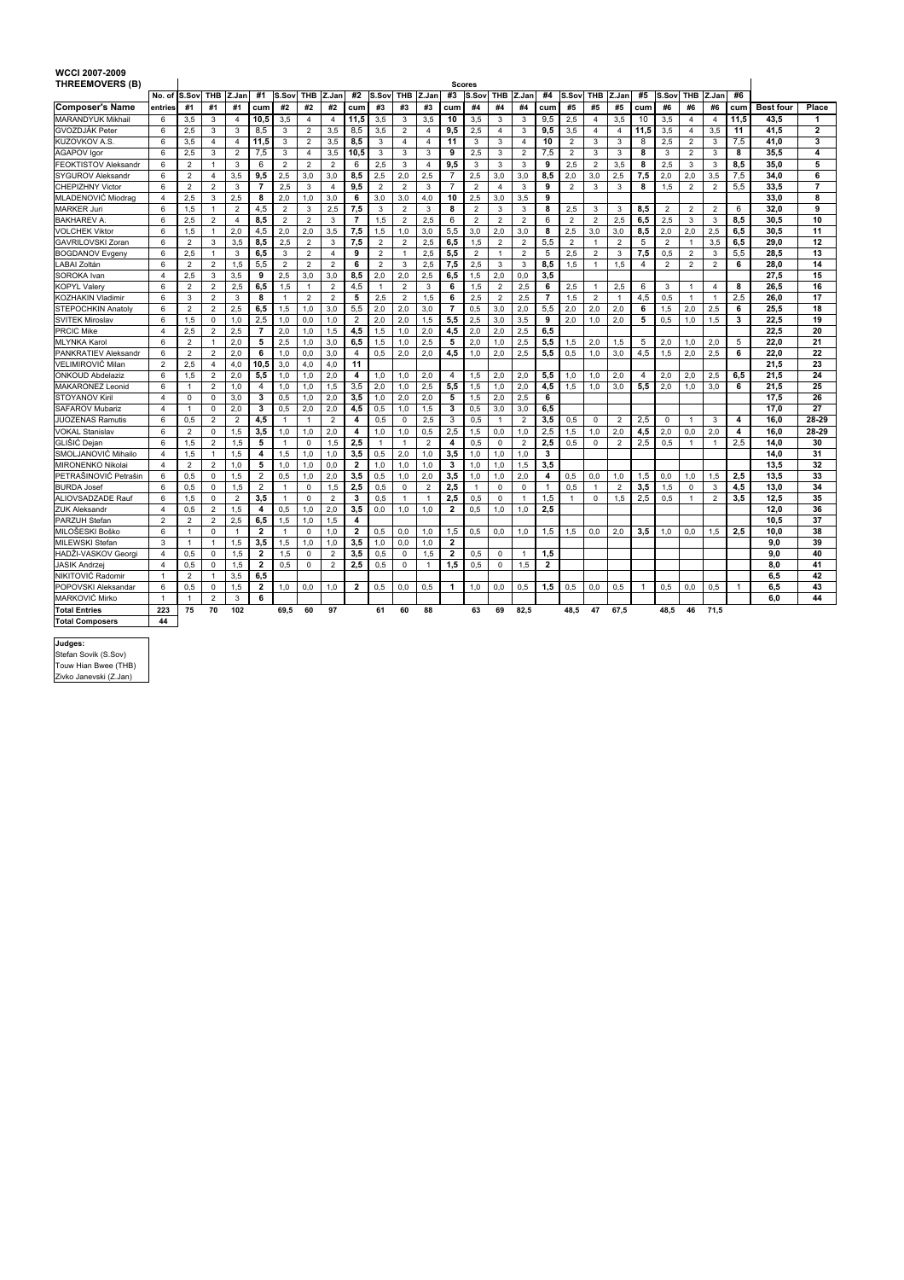| MOOI SOON-SOOS<br><b>THREEMOVERS (B)</b>        |                |                             |                               |                |                     |                |                |                |                |                |                |                |                | <b>Scores</b>  |                |                |                |                |                |                |      |                |                |                |                         |                  |                |
|-------------------------------------------------|----------------|-----------------------------|-------------------------------|----------------|---------------------|----------------|----------------|----------------|----------------|----------------|----------------|----------------|----------------|----------------|----------------|----------------|----------------|----------------|----------------|----------------|------|----------------|----------------|----------------|-------------------------|------------------|----------------|
|                                                 | No. of         | <b>S.Sov</b>                | <b>THB</b>                    | Z.Jan          | #1                  | S.Sov          | <b>THB</b>     | Z.Jan          | #2             | S.Sov          | THB            | Z.Jan          | #3             | S.Sov          | <b>THB</b>     | Z.Jan          | #4             | S.Sov          | THB            | Z.Jan          | #5   | S.Soy          | <b>THB</b>     | Z.Jar          | #6                      |                  |                |
| <b>Composer's Name</b>                          | entries        | #1                          | #1                            | #1             | cum                 | #2             | #2             | #2             | cum            | #3             | #3             | #3             | cum            | #4             | #4             | #4             | cum            | #5             | #5             | #5             | cum  | #6             | #6             | #6             | cum                     | <b>Best four</b> | Place          |
| <b>MARANDYUK Mikhail</b>                        | 6              | 3,5                         | 3                             | 4              | 10.5                | 3,5            | $\overline{4}$ | 4              | 11.5           | 3,5            | 3              | 3.5            | 10             | 3,5            | 3              | 3              | 9.5            | 2,5            | 4              | 3.5            | 10   | 3.5            | 4              | 4              | 11.5                    | 43.5             | 1              |
| GVOZDJÁK Peter                                  | 6              | 2,5                         | 3                             | 3              | 8,5                 | 3              | $\overline{2}$ | 3,5            | 8.5            | 3.5            | $\overline{2}$ | $\overline{4}$ | 9.5            | 2,5            | $\overline{4}$ | 3              | 9.5            | 3,5            | $\overline{4}$ | 4              | 11,5 | 3,5            | $\overline{4}$ | 3.5            | 11                      | 41.5             | $\overline{2}$ |
| KUZOVKOV A.S.                                   | 6              | 3,5                         | $\overline{4}$                | 4              | 11,5                | 3              | $\overline{2}$ | 3,5            | 8,5            | 3              | 4              | $\overline{4}$ | 11             | 3              | 3              | 4              | 10             | $\overline{2}$ | 3              | 3              | 8    | 2,5            | $\overline{2}$ | 3              | 7,5                     | 41,0             | 3              |
| <b>AGAPOV laor</b>                              | 6              | 2.5                         | 3                             | $\overline{2}$ | 7,5                 | 3              | $\overline{4}$ | 3,5            | 10.5           | 3              | 3              | 3              | 9              | 2.5            | 3              | $\overline{2}$ | 7.5            | $\overline{2}$ | 3              | 3              | 8    | 3              | $\overline{2}$ | 3              | 8                       | 35.5             | 4              |
| FEOKTISTOV Aleksandr                            | 6              | $\overline{2}$              | $\mathbf{1}$                  | 3              | 6                   | $\overline{2}$ | $\overline{2}$ | $\overline{2}$ | 6              | 2,5            | 3              | $\overline{4}$ | 9,5            | 3              | 3              | 3              | 9              | 2,5            | $\overline{2}$ | 3,5            | 8    | 2,5            | 3              | 3              | 8,5                     | 35,0             | 5              |
| <b>SYGUROV Aleksandr</b>                        | 6              | 2                           | $\overline{4}$                | 3,5            | 9.5                 | 2,5            | 3.0            | 3.0            | 8.5            | 2.5            | 2.0            | 2.5            | $\overline{7}$ | 2.5            | 3.0            | 3.0            | 8.5            | 2.0            | 3.0            | 2.5            | 7.5  | 2.0            | 2.0            | 3.5            | 7.5                     | 34.0             | 6              |
| <b>CHEPIZHNY Victor</b>                         | 6              | $\overline{2}$              | $\overline{2}$                | 3              | $\overline{7}$      | 2,5            | 3              | $\overline{4}$ | 9.5            | $\overline{2}$ | $\overline{2}$ | 3              | $\overline{7}$ | $\overline{2}$ | $\overline{4}$ | 3              | 9              | $\overline{2}$ | 3              | 3              | 8    | 1,5            | $\overline{2}$ | $\overline{2}$ | 5,5                     | 33,5             | $\overline{7}$ |
| MLADENOVIĆ Miodrag                              | 4              | 2,5                         | 3                             | 2,5            | 8                   | 2,0            | 1,0            | 3,0            | 6              | 3,0            | 3,0            | 4,0            | 10             | 2,5            | 3,0            | 3,5            | 9              |                |                |                |      |                |                |                |                         | 33,0             | 8              |
| <b>MARKER Juri</b>                              | 6              | 1.5                         | $\mathbf{1}$                  | $\overline{2}$ | 4.5                 | $\overline{2}$ | 3              | 2,5            | 7.5            | 3              | $\overline{2}$ | 3              | 8              | $\overline{2}$ | 3              | 3              | 8              | 2,5            | 3              | 3              | 8.5  | $\overline{2}$ | $\overline{2}$ | $\overline{2}$ | 6                       | 32.0             | 9              |
| <b>BAKHAREV A</b>                               | 6              | 2,5                         | $\overline{2}$                | $\overline{4}$ | 8,5                 | $\overline{2}$ | $\overline{2}$ | 3              | $\overline{7}$ | 1,5            | $\overline{2}$ | 2,5            | 6              | $\overline{2}$ | $\overline{2}$ | $\overline{2}$ | 6              | $\overline{2}$ | $\overline{2}$ | 2.5            | 6.5  | 2,5            | 3              | $\mathbf{3}$   | 8.5                     | 30.5             | 10             |
| <b>VOLCHEK Viktor</b>                           | 6              | 1.5                         | $\mathbf{1}$                  | 2.0            | 4.5                 | 2,0            | 2.0            | 3.5            | 7.5            | 1.5            | 1.0            | 3.0            | 5,5            | 3.0            | 2.0            | 3.0            | 8              | 2,5            | 3.0            | 3.0            | 8.5  | 2.0            | 2.0            | 2,5            | 6, 5                    | 30.5             | 11             |
| <b>GAVRILOVSKI Zoran</b>                        | 6              | $\overline{2}$              | 3                             | 3,5            | 8.5                 | 2.5            | $\overline{2}$ | 3              | 7.5            | $\overline{2}$ | $\overline{2}$ | 2,5            | 6.5            | 1.5            | $\overline{2}$ | $\overline{2}$ | 5.5            | $\overline{2}$ | $\mathbf{1}$   | $\overline{2}$ | 5    | $\overline{2}$ | $\overline{1}$ | 3,5            | 6.5                     | 29.0             | 12             |
| <b>BOGDANOV Evgeny</b>                          | 6              | 2,5                         | $\mathbf{1}$                  | 3              | 6,5                 | 3              | $\overline{2}$ | 4              | 9              | $\overline{2}$ | $\overline{1}$ | 2,5            | 5,5            | $\overline{2}$ | $\mathbf{1}$   | $\overline{2}$ | 5              | 2,5            | $\overline{2}$ | 3              | 7,5  | 0,5            | $\overline{2}$ | 3              | 5,5                     | 28,5             | 13             |
| <b>LABAI Zoltán</b>                             | 6              | $\overline{2}$              | $\overline{2}$                | 1,5            | 5.5                 | $\overline{2}$ | $\overline{2}$ | $\overline{2}$ | 6              | $\overline{2}$ | 3              | 2.5            | 7.5            | 2.5            | 3              | 3              | 8.5            | 1.5            | $\mathbf{1}$   | 1.5            | 4    | $\overline{2}$ | $\overline{2}$ | $\overline{2}$ | 6                       | 28.0             | 14             |
| SOROKA Ivar                                     | $\overline{4}$ | 2,5                         | 3                             | 3,5            | 9                   | 2,5            | 3,0            | 3,0            | 8,5            | 2,0            | 2,0            | 2,5            | 6,5            | 1,5            | 2,0            | 0,0            | 3,5            |                |                |                |      |                |                |                |                         | 27,5             | 15             |
| <b>KOPYL Valen</b>                              | 6              | $\overline{2}$              | $\overline{2}$                | 2,5            | 6,5                 | 1,5            | $\overline{1}$ | $\overline{2}$ | 4,5            | $\overline{1}$ | $\overline{2}$ | 3              | 6              | 1,5            | $\overline{2}$ | 2,5            | 6              | 2,5            | $\mathbf{1}$   | 2,5            | 6    | 3              | $\mathbf{1}$   | $\overline{4}$ | 8                       | 26,5             | 16             |
| <b>KOZHAKIN Vladimir</b>                        | 6              | 3                           | $\overline{2}$                | 3              | 8                   | $\overline{1}$ | $\overline{2}$ | $\overline{2}$ | 5              | 2,5            | $\overline{2}$ | 1,5            | 6              | 2.5            | $\overline{2}$ | 2,5            | $\overline{7}$ | 1,5            | $\overline{2}$ | $\overline{1}$ | 4.5  | 0.5            | $\overline{1}$ | $\mathbf{1}$   | 2.5                     | 26.0             | 17             |
| STEPOCHKIN Anatoly                              | 6              | $\overline{2}$              | $\overline{2}$                | 2,5            | 6,5                 | 1,5            | 1,0            | 3,0            | 5,5            | 2,0            | 2,0            | 3,0            | $\overline{7}$ | 0,5            | 3,0            | 2,0            | 5,5            | 2,0            | 2,0            | 2,0            | 6    | 1,5            | 2,0            | 2,5            | 6                       | 25,5             | 18             |
| <b>SVITEK Miroslav</b>                          | 6              | 1.5                         | $\mathbf 0$                   | 1,0            | 2.5                 | 1.0            | 0.0            | 1.0            | $\overline{2}$ | 2.0            | 2,0            | 1,5            | 5,5            | 2.5            | 3.0            | 3.5            | 9              | 2.0            | 1.0            | 2.0            | 5    | 0.5            | 1.0            | 1,5            | 3                       | 22.5             | 19             |
| <b>PRCIC Mike</b>                               | $\overline{4}$ | 2,5                         | $\overline{2}$                | 2,5            | $\overline{7}$      | 2,0            | 1,0            | 1,5            | 4,5            | 1,5            | 1,0            | 2,0            | 4,5            | 2.0            | 2,0            | 2,5            | 6.5            |                |                |                |      |                |                |                |                         | 22,5             | 20             |
| <b>MLYNKA Karol</b>                             | 6              | $\overline{2}$              | $\mathbf{1}$                  | 2,0            | 5                   | 2,5            | 1,0            | 3,0            | 6, 5           | 1,5            | 1,0            | 2,5            | 5              | 2,0            | 1,0            | 2,5            | 5,5            | 1,5            | 2,0            | 1,5            | 5    | 2,0            | 1,0            | 2,0            | 5                       | 22,0             | 21             |
| PANKRATIEV Aleksandr                            | 6              | $\overline{2}$              | $\overline{2}$                | 2,0            | 6                   | 1.0            | 0.0            | 3,0            | 4              | 0.5            | 2.0            | 2.0            | 4,5            | 1.0            | 2.0            | 2.5            | 5,5            | 0.5            | 1.0            | 3.0            | 4.5  | 1,5            | 2.0            | 2,5            | 6                       | 22.0             | 22             |
| VELIMIROVIĆ Milan                               | $\overline{2}$ | 2,5                         | $\overline{4}$                | 4,0            | 10,5                | 3,0            | 4,0            | 4,0            | 11             |                |                |                |                |                |                |                |                |                |                |                |      |                |                |                |                         | 21,5             | 23             |
| <b>ONKOUD Abdelaziz</b>                         | 6              | 1.5                         | $\overline{2}$                | 2.0            | 5.5                 | 1.0            | 1.0            | 2.0            | 4              | 1.0            | 1,0            | 2,0            | $\overline{4}$ | 1,5            | 2.0            | 2.0            | 5.5            | 1.0            | 1.0            | 2.0            | 4    | 2.0            | 2.0            | 2.5            | 6.5                     | 21.5             | 24             |
| <b>MAKARONEZ Leonid</b>                         | 6              | $\mathbf{1}$<br>$\mathsf 0$ | $\overline{2}$<br>$\mathbf 0$ | 1,0<br>3,0     | $\overline{4}$<br>3 | 1,0<br>0,5     | 1,0            | 1,5<br>2,0     | 3,5<br>3,5     | 2,0<br>1,0     | 1,0<br>2,0     | 2,5<br>2,0     | 5,5<br>5       | 1,5<br>1,5     | 1,0<br>2,0     | 2,0<br>2,5     | 4,5<br>6       | 1,5            | 1,0            | 3,0            | 5,5  | 2.0            | 1,0            | 3,0            | 6                       | 21,5<br>17,5     | 25<br>26       |
| <b>STOYANOV Kiril</b><br><b>SAFAROV Mubariz</b> | 4<br>4         | $\mathbf{1}$                | $^{\circ}$                    | 2,0            | 3                   | 0,5            | 1,0<br>2,0     | 2,0            | 4,5            | 0,5            | 1,0            | 1,5            | 3              | 0,5            | 3,0            | 3,0            | 6,5            |                |                |                |      |                |                |                |                         | 17.0             | 27             |
| <b>JUOZENAS Ramutis</b>                         | 6              | 0,5                         | $\overline{2}$                | $\overline{2}$ | 4,5                 | $\mathbf{1}$   | $\overline{1}$ | $\overline{2}$ | 4              | 0,5            | $\mathbf 0$    | 2,5            | 3              | 0,5            | $\mathbf{1}$   | $\overline{2}$ | 3,5            | 0,5            | $\mathbf 0$    | $\overline{2}$ | 2,5  | $\mathbf 0$    | $\mathbf{1}$   | 3              | $\overline{\mathbf{4}}$ | 16,0             | 28-29          |
| <b>VOKAL Stanislav</b>                          | 6              | $\overline{2}$              | 0                             | 1,5            | 3,5                 | 1,0            | 1,0            | 2,0            | 4              | 1,0            | 1,0            | 0,5            | 2,5            | 1,5            | 0,0            | 1,0            | 2,5            | 1,5            | 1,0            | 2,0            | 4,5  | 2,0            | 0,0            | 2,0            | 4                       | 16,0             | 28-29          |
| GLIŠIĆ Dejan                                    | 6              | 1,5                         | $\overline{2}$                | 1,5            | 5                   | $\mathbf{1}$   | $\Omega$       | 1,5            | 2.5            | $\overline{1}$ | $\overline{1}$ | $\overline{2}$ | 4              | 0.5            | $^{\circ}$     | $\overline{2}$ | 2,5            | 0,5            | $\Omega$       | $\overline{2}$ | 2.5  | 0,5            | $\mathbf{1}$   | $\mathbf{1}$   | 2.5                     | 14,0             | 30             |
| SMOLJANOVIĆ Mihailo                             | 4              | 1,5                         | $\mathbf{1}$                  | 1,5            | 4                   | 1,5            | 1,0            | 1,0            | 3,5            | 0,5            | 2,0            | 1,0            | 3,5            | 1,0            | 1,0            | 1,0            | 3              |                |                |                |      |                |                |                |                         | 14,0             | 31             |
| MIRONENKO Nikolai                               | $\overline{4}$ | $\overline{2}$              | $\overline{2}$                | 1,0            | 5                   | 1.0            | 1.0            | 0.0            | $\overline{2}$ | 1.0            | 1,0            | 1,0            | 3              | 1.0            | 1.0            | 1,5            | 3,5            |                |                |                |      |                |                |                |                         | 13.5             | 32             |
| PETRAŠINOVIC Petrašin                           | 6              | 0,5                         | $\mathbf 0$                   | 1,5            | $\overline{2}$      | 0,5            | 1,0            | 2,0            | 3,5            | 0,5            | 1,0            | 2,0            | 3,5            | 1,0            | 1,0            | 2,0            | 4              | 0,5            | 0,0            | 1,0            | 1,5  | 0,0            | 1,0            | 1,5            | 2,5                     | 13,5             | 33             |
| <b>BURDA Josef</b>                              | 6              | 0,5                         | $^{\circ}$                    | 1,5            | $\overline{2}$      | $\overline{1}$ | $\Omega$       | 1,5            | 2,5            | 0,5            | 0              | 2              | 2,5            | $\overline{1}$ | $\mathbf 0$    | $\mathbf 0$    | $\mathbf{1}$   | 0,5            | $\mathbf{1}$   | 2              | 3,5  | 1,5            | 0              | 3              | 4,5                     | 13,0             | 34             |
| ALIOVSADZADE Rauf                               | 6              | 1.5                         | $\Omega$                      | $\overline{2}$ | 3.5                 | $\mathbf{1}$   | $\Omega$       | $\overline{2}$ | 3              | 0.5            | $\mathbf{1}$   | $\mathbf{1}$   | 2.5            | 0,5            | $\Omega$       | $\mathbf{1}$   | 1,5            | $\mathbf{1}$   | $\Omega$       | 1.5            | 2.5  | 0,5            | $\mathbf{1}$   | $\overline{2}$ | 3.5                     | 12.5             | 35             |
| <b>ZUK Aleksandr</b>                            | 4              | 0,5                         | $\overline{2}$                | 1,5            | 4                   | 0,5            | 1,0            | 2,0            | 3,5            | 0,0            | 1,0            | 1,0            | $\overline{2}$ | 0.5            | 1,0            | 1,0            | 2,5            |                |                |                |      |                |                |                |                         | 12,0             | 36             |
| <b>PARZUH Stefan</b>                            | $\overline{2}$ | 2                           | $\overline{2}$                | 2,5            | 6,5                 | 1,5            | 1.0            | 1,5            | 4              |                |                |                |                |                |                |                |                |                |                |                |      |                |                |                |                         | 10.5             | 37             |
| MILOŠESKI Boško                                 | 6              | $\mathbf{1}$                | $\Omega$                      | $\overline{1}$ | $\overline{2}$      | $\mathbf{1}$   | $\Omega$       | 1,0            | $\overline{2}$ | 0.5            | 0,0            | 1,0            | 1,5            | 0.5            | 0.0            | 1.0            | 1.5            | 1,5            | 0.0            | 2.0            | 3.5  | 1.0            | 0.0            | 1,5            | 2.5                     | 10.0             | 38             |
| MILEWSKI Stefan                                 | 3              | $\mathbf{1}$                | $\mathbf{1}$                  | 1,5            | 3,5                 | 1,5            | 1,0            | 1,0            | 3,5            | 1,0            | 0,0            | 1,0            | $\overline{2}$ |                |                |                |                |                |                |                |      |                |                |                |                         | 9,0              | 39             |
| HADŽI-VASKOV Georgi                             | $\overline{4}$ | 0.5                         | $\Omega$                      | 1,5            | $\overline{2}$      | 1.5            | $\Omega$       | $\overline{2}$ | 3.5            | 0.5            | $\Omega$       | 1.5            | $\overline{2}$ | 0.5            | $\Omega$       | $\overline{1}$ | 1,5            |                |                |                |      |                |                |                |                         | 9.0              | 40             |
| <b>JASIK Andrze</b>                             | $\overline{4}$ | 0,5                         | $\mathbf 0$                   | 1,5            | $\overline{2}$      | 0,5            | $\mathbf 0$    | $\overline{2}$ | 2,5            | 0.5            | $\mathbf 0$    | $\mathbf{1}$   | 1,5            | 0,5            | $\mathbf 0$    | 1,5            | $\mathbf{2}$   |                |                |                |      |                |                |                |                         | 8.0              | 41             |
| NIKITOVIĆ Radomir                               | $\overline{1}$ | $\overline{2}$              | $\mathbf{1}$                  | 3.5            | 6.5                 |                |                |                |                |                |                |                |                |                |                |                |                |                |                |                |      |                |                |                |                         | 6.5              | 42             |
| POPOVSKI Aleksandar                             | 6              | 0,5                         | $\mathbf 0$                   | 1,5            | $\overline{2}$      | 1,0            | 0,0            | 1,0            | $\overline{2}$ | 0,5            | 0.0            | 0.5            | 1              | 1.0            | 0.0            | 0,5            | 1,5            | 0,5            | 0.0            | 0.5            | -1   | 0.5            | 0.0            | 0,5            | $\overline{1}$          | 6, 5             | 43             |
| MARKOVIĆ Mirko                                  | $\overline{1}$ | $\mathbf{1}$                | $\overline{2}$                | 3              | 6                   |                |                |                |                |                |                |                |                |                |                |                |                |                |                |                |      |                |                |                |                         | 6.0              | 44             |
| <b>Total Entries</b>                            | 223            | 75                          | 70                            | 102            |                     | 69,5           | 60             | 97             |                | 61             | 60             | 88             |                | 63             | 69             | 82,5           |                | 48,5           | 47             | 67,5           |      | 48,5           | 46             | 71,5           |                         |                  |                |
| <b>Total Composers</b>                          | 44             |                             |                               |                |                     |                |                |                |                |                |                |                |                |                |                |                |                |                |                |                |      |                |                |                |                         |                  |                |

**Judges:**<br>Stefan Sovik (S.Sov)<br>Touw Hian Bwee (THB)<br>Zivko Janevski (Z.Jan)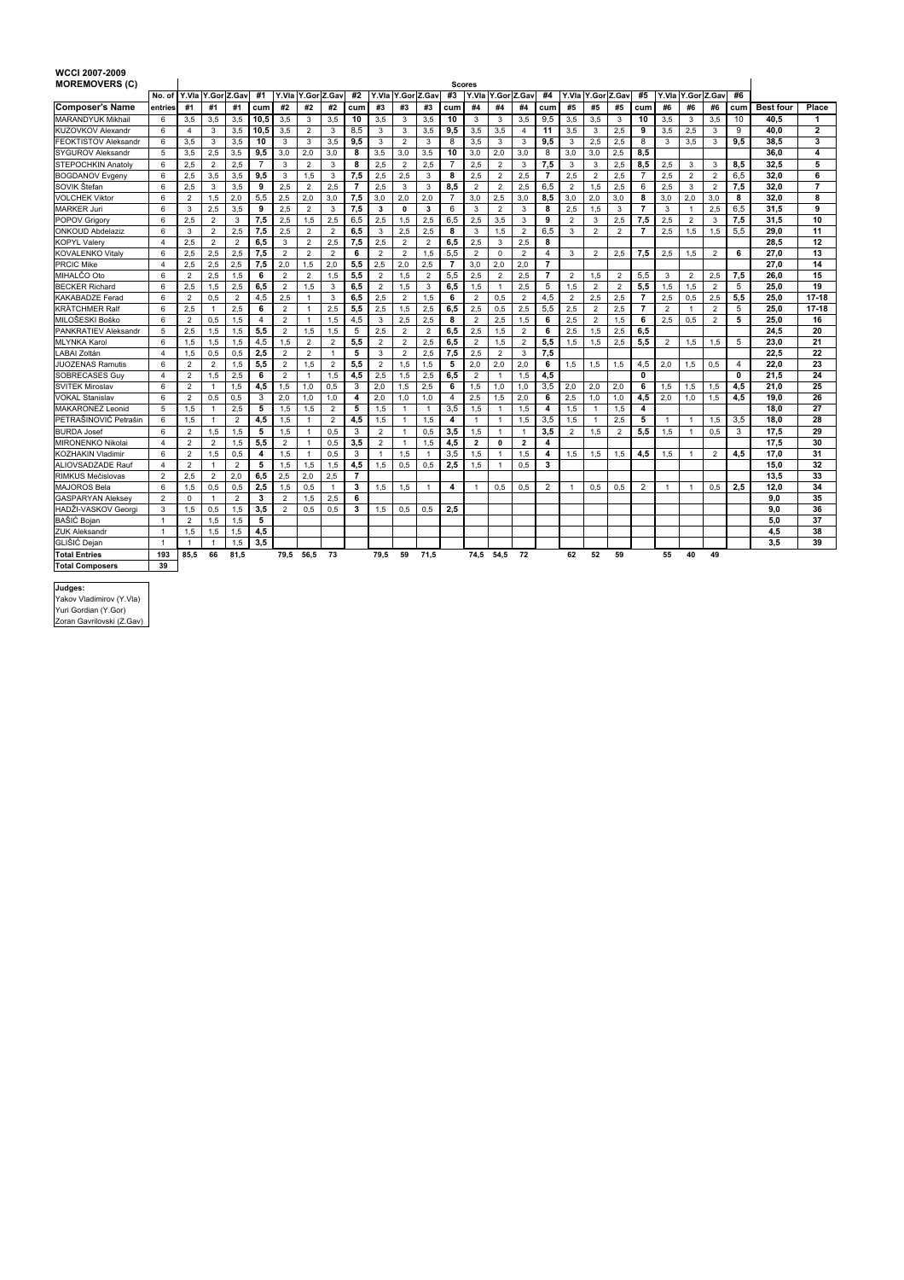| <b>MOREMOVERS (C)</b>       |                          |                |                |                |                |                |                   |                |                |                |                   |                |                | <b>Scores</b>  |                |                |                |                |                   |                |                |                |                |                |              |                  |                |
|-----------------------------|--------------------------|----------------|----------------|----------------|----------------|----------------|-------------------|----------------|----------------|----------------|-------------------|----------------|----------------|----------------|----------------|----------------|----------------|----------------|-------------------|----------------|----------------|----------------|----------------|----------------|--------------|------------------|----------------|
|                             | No. of Y.Via Y.Gor Z.Gav |                |                |                | #1             |                | Y.Vla Y.Gor Z.Gav |                | #2             |                | Y.Vla Y.Gor Z.Gav |                | #3             | Y.Vla          |                | Y.Gor Z.Gav    | #4             |                | Y.Vla Y.Gor Z.Gav |                | #5             | Y.Vla          | Y.Gor Z.Gav    |                | #6           |                  |                |
| <b>Composer's Name</b>      | entries                  | #1             | #1             | #1             | cum            | #2             | #2                | #2             | cum            | #3             | #3                | #3             | cum            | #4             | #4             | #4             | cum            | #5             | #5                | #5             | cum            | #6             | #6             | #6             | cum          | <b>Best four</b> | Place          |
| <b>MARANDYUK Mikhail</b>    | 6                        | 3,5            | 3,5            | 3,5            | 10,5           | 3,5            | 3                 | 3,5            | 10             | 3,5            | 3                 | 3,5            | 10             | $\mathbf{3}$   | 3              | 3,5            | 9,5            | 3,5            | 3,5               | 3              | 10             | 3,5            | 3              | 3.5            | 10           | 40.5             |                |
| KUZOVKOV Alexandr           | 6                        | 4              | 3              | 3,5            | 10,5           | 3,5            | $\overline{2}$    | 3              | 8,5            | 3              | 3                 | 3,5            | 9,5            | 3,5            | 3,5            | 4              | 11             | 3,5            | 3                 | 2,5            | 9              | 3,5            | 2,5            | 3              | 9            | 40.0             | $\overline{2}$ |
| <b>FEOKTISTOV Aleksandr</b> | 6                        | 3,5            | 3              | 3,5            | 10             | 3              | 3                 | 3,5            | 9.5            | 3              | $\overline{2}$    | 3              | 8              | 3.5            | 3              | 3              | 9.5            | 3              | 2.5               | 2.5            | 8              | 3              | 3.5            | 3              | 9.5          | 38.5             | 3              |
| <b>SYGUROV Aleksandr</b>    | 5                        | 3.5            | 2.5            | 3.5            | 9.5            | 3.0            | 2.0               | 3.0            | 8              | 3.5            | 3.0               | 3.5            | 10             | 3.0            | 2.0            | 3.0            | 8              | 3.0            | 3.0               | 2.5            | 8.5            |                |                |                |              | 36.0             | 4              |
| STEPOCHKIN Anatoly          | 6                        | 2,5            | $\overline{2}$ | 2,5            | $\overline{7}$ | 3              | $\overline{2}$    | 3              | 8              | 2.5            | $\overline{2}$    | 2,5            | $\overline{7}$ | 2.5            | $\overline{2}$ | 3              | 7,5            | 3              | 3                 | 2,5            | 8,5            | 2,5            | 3              | 3              | 8.5          | 32.5             | 5              |
| <b>BOGDANOV Evgeny</b>      | 6                        | 2.5            | 3.5            | 3.5            | 9.5            | 3              | 1.5               | 3              | 7.5            | 2.5            | 2.5               | 3              | 8              | 2.5            | $\overline{2}$ | 2.5            | $\overline{7}$ | 2.5            | $\overline{2}$    | 2.5            | $\overline{7}$ | 2,5            | $\overline{2}$ | $\overline{2}$ | 6.5          | 32.0             | 6              |
| SOVIK Štefan                | 6                        | 2.5            | 3              | 3,5            | 9              | 2,5            | $\overline{2}$    | 2.5            | $\overline{7}$ | 2.5            | 3                 | 3              | 8.5            | $\overline{2}$ | $\overline{2}$ | 2,5            | 6,5            | $\overline{2}$ | 1,5               | 2,5            | 6              | 2,5            | 3              | $\overline{2}$ | 7,5          | 32.0             | $\overline{7}$ |
| <b>VOLCHEK Viktor</b>       | 6                        | $\overline{2}$ | 1,5            | 2,0            | 5,5            | 2,5            | 2,0               | 3,0            | 7,5            | 3,0            | 2,0               | 2,0            | $\overline{7}$ | 3,0            | 2,5            | 3,0            | 8,5            | 3,0            | 2,0               | 3,0            | 8              | 3,0            | 2,0            | 3,0            | 8            | 32.0             | 8              |
| <b>MARKER Juri</b>          | 6                        | 3              | 2.5            | 3.5            | 9              | 2.5            | $\overline{2}$    | 3              | 7.5            | $\mathbf{3}$   | $\mathbf{0}$      | 3              | 6              | 3              | $\overline{2}$ | $\mathbf{3}$   | 8              | 2.5            | 1.5               | 3              | $\overline{7}$ | 3              | $\overline{1}$ | 2.5            | 6.5          | 31.5             | 9              |
| POPOV Grigory               | 6                        | 2.5            | $\overline{2}$ | 3              | 7.5            | 2.5            | 1.5               | 2.5            | 6.5            | 2.5            | 1.5               | 2.5            | 6.5            | 2.5            | 3.5            | 3              | 9              | $\overline{2}$ | 3                 | 2.5            | 7.5            | 2.5            | $\overline{2}$ | 3              | 7,5          | 31.5             | 10             |
| <b>ONKOUD Abdelaziz</b>     | 6                        | 3              | $\overline{2}$ | 2,5            | 7.5            | 2.5            | $\overline{2}$    | $\overline{2}$ | 6.5            | 3              | 2,5               | 2,5            | 8              | 3              | 1,5            | $\overline{2}$ | 6.5            | 3              | $\overline{2}$    | $\overline{2}$ | $\overline{7}$ | 2,5            | 1.5            | 1.5            | 5.5          | 29.0             | 11             |
| <b>KOPYL Valerv</b>         | $\overline{4}$           | 2.5            | $\overline{2}$ | $\overline{2}$ | 6.5            | 3              | $\overline{2}$    | 2,5            | 7.5            | 2.5            | $\overline{2}$    | $\overline{2}$ | 6.5            | 2.5            | 3              | 2.5            | 8              |                |                   |                |                |                |                |                |              | 28.5             | 12             |
| <b>KOVALENKO Vitalv</b>     | 6                        | 2.5            | 2,5            | 2,5            | 7,5            | $\overline{2}$ | $\overline{2}$    | $\overline{2}$ | 6              | $\overline{2}$ | $\overline{2}$    | 1,5            | 5,5            | $\overline{2}$ | $\Omega$       | $\overline{2}$ | $\overline{4}$ | 3              | $\overline{2}$    | 2,5            | 7,5            | 2,5            | 1,5            | $\overline{2}$ | 6            | 27.0             | 13             |
| <b>PRCIC Mike</b>           | $\overline{4}$           | 2,5            | 2,5            | 2,5            | 7,5            | 2,0            | 1,5               | 2,0            | 5,5            | 2,5            | 2,0               | 2,5            | $\overline{7}$ | 3,0            | 2,0            | 2,0            | $\overline{7}$ |                |                   |                |                |                |                |                |              | 27.0             | 14             |
| MIHALČO Oto                 | 6                        | $\overline{2}$ | 2.5            | 1,5            | 6              | $\overline{2}$ | $\overline{2}$    | 1,5            | 5.5            | $\overline{2}$ | 1.5               | $\overline{2}$ | 5,5            | 2.5            | $\overline{2}$ | 2.5            | $\overline{7}$ | $\overline{2}$ | 1,5               | $\overline{2}$ | 5,5            | 3              | $\overline{2}$ | 2,5            | 7,5          | 26.0             | 15             |
| <b>BECKER Richard</b>       | 6                        | 2,5            | 1,5            | 2,5            | 6,5            | 2              | 1,5               | 3              | 6, 5           | $\overline{2}$ | 1,5               | 3              | 6,5            | 1,5            | $\overline{1}$ | 2,5            | 5              | 1,5            | 2                 | 2              | 5,5            | 1,5            | 1,5            | 2              | 5            | 25,0             | 19             |
| <b>KAKABADZE Ferad</b>      | 6                        | $\overline{2}$ | 0.5            | $\overline{2}$ | 4.5            | 2,5            | $\overline{1}$    | 3              | 6,5            | 2.5            | $\overline{2}$    | 1,5            | 6              | 2              | 0.5            | $\overline{2}$ | 4,5            | $\overline{2}$ | 2.5               | 2.5            | $\overline{7}$ | 2,5            | 0.5            | 2,5            | 5,5          | 25.0             | $17-18$        |
| <b>KRÄTCHMER Ralf</b>       | 6                        | 2.5            | $\mathbf{1}$   | 2.5            | 6              | $\overline{2}$ | $\overline{1}$    | 2.5            | 5.5            | 2.5            | 1.5               | 2.5            | 6.5            | 2.5            | 0.5            | 2.5            | 5.5            | 2.5            | $\overline{2}$    | 2.5            | $\overline{7}$ | $\overline{2}$ | $\overline{1}$ | $\overline{2}$ | 5            | 25.0             | $17-18$        |
| MILOŠESKI Boško             | 6                        | $\overline{2}$ | 0.5            | 1,5            | 4              | $\overline{2}$ | $\overline{1}$    | 1,5            | 4,5            | 3              | 2,5               | 2,5            | 8              | $\overline{2}$ | 2,5            | 1,5            | 6              | 2,5            | $\overline{2}$    | 1.5            | 6              | 2,5            | 0.5            | $\overline{2}$ | 5            | 25.0             | 16             |
| <b>PANKRATIEV Aleksandr</b> | 5                        | 2,5            | 1,5            | 1,5            | 5,5            | $\overline{2}$ | 1,5               | 1,5            | 5              | 2.5            | $\overline{2}$    | $\overline{2}$ | 6,5            | 2,5            | 1,5            | $\overline{2}$ | 6              | 2,5            | 1,5               | 2,5            | 6,5            |                |                |                |              | 24.5             | 20             |
| <b>MLYNKA Karol</b>         | 6                        | 1.5            | 1,5            | 1,5            | 4,5            | 1,5            | $\overline{2}$    | $\overline{2}$ | 5,5            | $\overline{2}$ | $\overline{2}$    | 2,5            | 6.5            | $\overline{2}$ | 1,5            | $\overline{2}$ | 5,5            | 1,5            | 1.5               | 2.5            | 5,5            | $\overline{2}$ | 1.5            | 1,5            | 5            | 23.0             | 21             |
| LABAI Zoltán                | $\overline{4}$           | 1,5            | 0,5            | 0,5            | 2,5            | $\overline{2}$ | $\overline{2}$    | $\mathbf{1}$   | 5              | 3              | $\overline{2}$    | 2,5            | 7,5            | 2,5            | $\overline{2}$ | 3              | 7,5            |                |                   |                |                |                |                |                |              | 22.5             | 22             |
| JUOZENAS Ramutis            | 6                        | $\overline{2}$ | $\overline{2}$ | 1,5            | 5.5            | $\overline{2}$ | 1,5               | $\overline{2}$ | 5,5            | $\overline{2}$ | 1,5               | 1,5            | 5              | 2.0            | 2.0            | 2.0            | 6              | 1.5            | 1.5               | 1.5            | 4.5            | 2.0            | 1.5            | 0.5            | 4            | 22.0             | 23             |
| SOBRECASES Guy              | $\overline{4}$           | $\overline{2}$ | 1.5            | 2.5            | 6              | $\overline{2}$ | $\overline{1}$    | 1.5            | 4.5            | 2,5            | 1.5               | 2.5            | 6.5            | 2              | $\overline{1}$ | 1.5            | 4.5            |                |                   |                | $\mathbf{0}$   |                |                |                | $\mathbf{0}$ | 21.5             | 24             |
| <b>SVITEK Miroslav</b>      | 6                        | $\overline{2}$ | $\overline{1}$ | 1,5            | 4,5            | 1,5            | 1.0               | 0.5            | 3              | 2.0            | 1,5               | 2,5            | 6              | 1.5            | 1.0            | 1,0            | 3,5            | 2.0            | 2.0               | 2.0            | 6              | 1.5            | 1.5            | 1,5            | 4,5          | 21.0             | 25             |
| <b>VOKAL Stanislav</b>      | 6                        | $\overline{2}$ | 0,5            | 0,5            | 3              | 2,0            | 1,0               | 1,0            | 4              | 2,0            | 1,0               | 1,0            | $\overline{4}$ | 2,5            | 1,5            | 2,0            | 6              | 2,5            | 1,0               | 1,0            | 4,5            | 2,0            | 1.0            | 1,5            | 4,5          | 19.0             | 26             |
| <b>MAKARONEZ Leonid</b>     | 5                        | 1.5            | $\overline{1}$ | 2,5            | 5              | 1,5            | 1.5               | $\overline{2}$ | 5              | 1.5            | $\overline{1}$    | $\mathbf{1}$   | 3.5            | 1.5            | $\overline{1}$ | 1.5            | 4              | 1.5            | $\mathbf{1}$      | 1.5            | 4              |                |                |                |              | 18.0             | 27             |
| PETRAŠINOVIĆ Petrašin       | 6                        | 1.5            | $\mathbf{1}$   | $\overline{2}$ | 4.5            | 1.5            | $\overline{1}$    | $\overline{2}$ | 4.5            | 1.5            | $\mathbf{1}$      | 1.5            | 4              | $\overline{1}$ | $\mathbf{1}$   | 1.5            | 3.5            | 1.5            | -1                | 2.5            | 5              | $\mathbf{1}$   | -1             | 1.5            | 3.5          | 18.0             | 28             |
| <b>BURDA Josef</b>          | 6                        | $\overline{2}$ | 1,5            | 1,5            | 5              | 1,5            | $\overline{1}$    | 0.5            | 3              | $\overline{2}$ | $\overline{1}$    | 0.5            | 3,5            | 1.5            | $\mathbf{1}$   | $\mathbf{1}$   | 3,5            | $\overline{2}$ | 1,5               | $\overline{2}$ | 5.5            | 1,5            | $\overline{1}$ | 0.5            | 3            | 17.5             | 29             |
| <b>MIRONENKO Nikolai</b>    | $\Delta$                 | $\overline{2}$ | $\overline{2}$ | 1.5            | 5.5            | $\overline{2}$ | $\overline{1}$    | 0.5            | 3.5            | $\overline{2}$ | $\overline{1}$    | 1.5            | 4.5            | $\overline{2}$ | $\mathbf{0}$   | $\overline{2}$ | 4              |                |                   |                |                |                |                |                |              | 17.5             | 30             |
| KOZHAKIN Vladimir           | 6                        | $\overline{2}$ | 1,5            | 0.5            | 4              | 1,5            | $\overline{1}$    | 0.5            | 3              | $\mathbf{1}$   | 1.5               | -1             | 3.5            | 1,5            | $\overline{1}$ | 1,5            | 4              | 1,5            | 1,5               | 1.5            | 4.5            | 1,5            | -1             | $\overline{2}$ | 4.5          | 17.0             | 31             |
| ALIOVSADZADE Rauf           | $\overline{4}$           | $\overline{2}$ | $\mathbf{1}$   | $\overline{2}$ | 5              | 1,5            | 1,5               | 1,5            | 4,5            | 1,5            | 0,5               | 0,5            | 2.5            | 1,5            | $\overline{1}$ | 0.5            | 3              |                |                   |                |                |                |                |                |              | 15.0             | 32             |
| RIMKUS Mečislovas           | $\overline{2}$           | 2.5            | $\overline{2}$ | 2.0            | 6.5            | 2,5            | 2.0               | 2,5            | $\overline{7}$ |                |                   |                |                |                |                |                |                |                |                   |                |                |                |                |                |              | 13.5             | 33             |
| <b>MAJOROS Bela</b>         | 6                        | 1.5            | 0.5            | 0.5            | 2.5            | 1.5            | 0.5               | $\mathbf{1}$   | 3              | 1.5            | 1.5               | $\mathbf{1}$   | 4              | $\overline{1}$ | 0.5            | 0.5            | $\overline{2}$ | -1             | 0.5               | 0.5            | $\overline{2}$ | 1              | -1             | 0.5            | 2.5          | 12.0             | 34             |
| <b>GASPARYAN Aleksey</b>    | $\overline{2}$           | $\Omega$       | $\mathbf{1}$   | $\overline{2}$ | 3              | $\overline{2}$ | 1,5               | 2,5            | 6              |                |                   |                |                |                |                |                |                |                |                   |                |                |                |                |                |              | 9.0              | 35             |
| HADŽI-VASKOV Georai         | 3                        | 1.5            | 0.5            | 1,5            | 3.5            | $\overline{2}$ | 0.5               | 0.5            | 3              | 1.5            | 0.5               | 0.5            | 2.5            |                |                |                |                |                |                   |                |                |                |                |                |              | 9.0              | 36             |
| BAŠIĆ Bojan                 | $\mathbf{1}$             | $\overline{2}$ | 1,5            | 1,5            | 5              |                |                   |                |                |                |                   |                |                |                |                |                |                |                |                   |                |                |                |                |                |              | 5.0              | 37             |
| <b>ZUK Aleksandr</b>        | $\overline{1}$           | 1,5            | 1,5            | 1,5            | 4,5            |                |                   |                |                |                |                   |                |                |                |                |                |                |                |                   |                |                |                |                |                |              | 4,5              | 38             |
| GLIŠIĆ Dejan                | $\overline{1}$           | $\mathbf{1}$   | $\overline{1}$ | 1,5            | 3,5            |                |                   |                |                |                |                   |                |                |                |                |                |                |                |                   |                |                |                |                |                |              | 3.5              | 39             |
| <b>Total Entries</b>        | 193                      | 85.5           | 66             | 81.5           |                | 79.5           | 56.5              | 73             |                | 79.5           | 59                | 71.5           |                | 74.5           | 54.5           | 72             |                | 62             | 52                | 59             |                | 55             | 40             | 49             |              |                  |                |
| <b>Total Composers</b>      | 39                       |                |                |                |                |                |                   |                |                |                |                   |                |                |                |                |                |                |                |                   |                |                |                |                |                |              |                  |                |

**Judges:**<br>Yakov Vladimirov (Y.Vla)<br>Yuri Gordian (Y.Gor)<br>Zoran Gavrilovski (Z.Gav)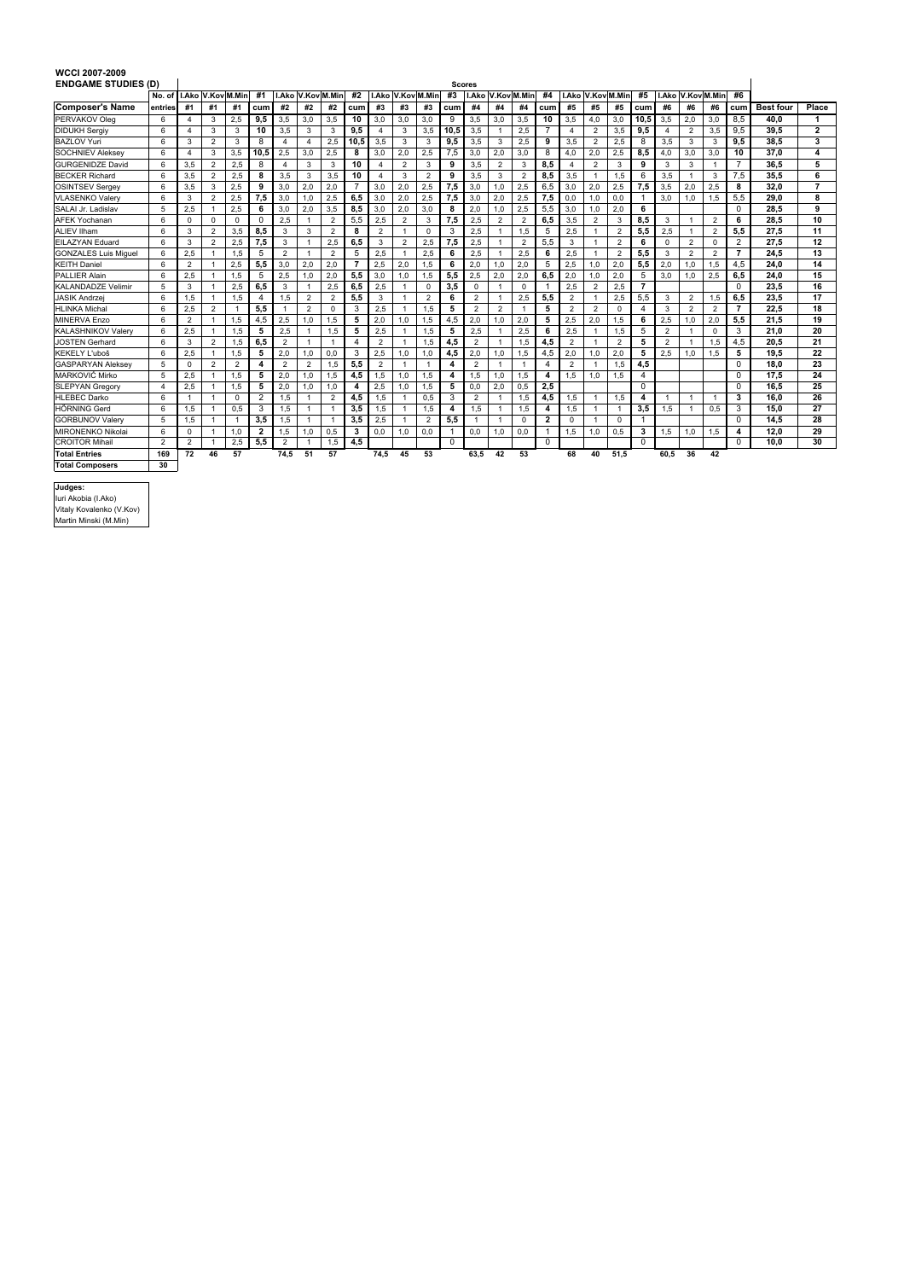| <b>WCCI 2007-2009</b>       |                |                |                          |                          |                |                |                |                   |                |                |                   |                |               |                |                          |                |                |                |                |                   |                |                |                          |                |                |                  |                         |
|-----------------------------|----------------|----------------|--------------------------|--------------------------|----------------|----------------|----------------|-------------------|----------------|----------------|-------------------|----------------|---------------|----------------|--------------------------|----------------|----------------|----------------|----------------|-------------------|----------------|----------------|--------------------------|----------------|----------------|------------------|-------------------------|
| <b>ENDGAME STUDIES (D)</b>  |                |                |                          |                          |                |                |                |                   |                |                |                   |                | <b>Scores</b> |                |                          |                |                |                |                |                   |                |                |                          |                |                |                  |                         |
|                             | No. of         |                |                          | <b>I.Ako V.Kov M.Min</b> | #1             |                |                | I.Ako V.Kov M.Min | #2             |                | I.Ako V.Kov M.Min |                | #3            |                | <b>I.Ako V.Kov M.Mir</b> |                | #4             |                |                | I.Ako V.Kov M.Min | #5             |                | <b>I.Ako V.Kov M.Min</b> |                | #6             |                  |                         |
| <b>Composer's Name</b>      | entries        | #1             | #1                       | #1                       | cum            | #2             | #2             | #2                | cum            | #3             | #3                | #3             | cum           | #4             | #4                       | #4             | cum            | #5             | #5             | #5                | cum            | #6             | #6                       | #6             | cum            | <b>Best four</b> | Place                   |
| PERVAKOV Oleg               | 6              | $\overline{4}$ | 3                        | 2,5                      | 9.5            | 3,5            | 3,0            | 3,5               | 10             | 3,0            | 3,0               | 3.0            | 9             | 3,5            | 3.0                      | 3,5            | 10             | 3,5            | 4.0            | 3.0               | 10,5           | 3,5            | 2.0                      | 3,0            | 8,5            | 40.0             | 1                       |
| <b>DIDUKH Seraiv</b>        | 6              | $\overline{4}$ | 3                        | 3                        | 10             | 3.5            | 3              | 3                 | 9.5            | $\overline{4}$ | 3                 | 3.5            | 10.5          | 3.5            |                          | 2.5            | $\overline{7}$ | $\overline{4}$ | $\overline{2}$ | 3.5               | 9.5            | $\overline{a}$ | $\overline{2}$           | 3.5            | 9.5            | 39.5             | $\overline{\mathbf{2}}$ |
| <b>BAZLOV Yuri</b>          | 6              | 3              | $\overline{2}$           | 3                        | 8              | $\overline{4}$ | $\overline{4}$ | 2,5               | 10.5           | 3.5            | 3                 | 3              | 9.5           | 3.5            | 3                        | 2,5            | 9              | 3.5            | $\overline{2}$ | 2.5               | 8              | 3,5            | 3                        | 3              | 9.5            | 38.5             | 3                       |
| <b>SOCHNIEV Aleksev</b>     | 6              | 4              | 3                        | 3.5                      | 10.5           | 2.5            | 3.0            | 2.5               | 8              | 3.0            | 2.0               | 2,5            | 7.5           | 3.0            | 2.0                      | 3.0            | 8              | 4.0            | 2.0            | 2,5               | 8.5            | 4.0            | 3.0                      | 3.0            | 10             | 37.0             | 4                       |
| <b>GURGENIDZE David</b>     | 6              | 3.5            | $\overline{2}$           | 2,5                      | 8              | $\overline{4}$ | $\mathbf{3}$   | 3                 | 10             | $\overline{4}$ | $\overline{2}$    | 3              | 9             | 3,5            | $\overline{2}$           | 3              | 8.5            | $\overline{4}$ | $\overline{2}$ | 3                 | 9              | 3              | 3                        | $\mathbf{1}$   | $\overline{7}$ | 36.5             | 5                       |
| <b>BECKER Richard</b>       | 6              | 3.5            | $\overline{2}$           | 2,5                      | 8              | 3,5            | 3              | 3,5               | 10             | $\overline{4}$ | 3                 | $\overline{2}$ | 9             | 3,5            | 3                        | $\overline{2}$ | 8,5            | 3,5            |                | 1,5               | 6              | 3,5            | -1                       | 3              | 7,5            | 35,5             | 6                       |
| <b>OSINTSEV Sergey</b>      | 6              | 3.5            | 3                        | 2,5                      | 9              | 3.0            | 2.0            | 2,0               | $\overline{7}$ | 3,0            | 2,0               | 2.5            | 7,5           | 3.0            | 1.0                      | 2,5            | 6,5            | 3,0            | 2,0            | 2,5               | 7.5            | 3,5            | 2.0                      | 2.5            | 8              | 32.0             | $\overline{7}$          |
| <b>VLASENKO Valery</b>      | 6              | 3              | $\overline{2}$           | 2,5                      | 7,5            | 3,0            | 1,0            | 2,5               | 6, 5           | 3,0            | 2,0               | 2,5            | 7,5           | 3,0            | 2,0                      | 2,5            | 7,5            | 0,0            | 1,0            | 0,0               | -1             | 3.0            | 1,0                      | 1,5            | 5,5            | 29.0             | 8                       |
| SALAI Jr. Ladislav          | 5              | 2.5            | $\overline{\phantom{0}}$ | 2.5                      | 6              | 3.0            | 2.0            | 3.5               | 8.5            | 3.0            | 2.0               | 3.0            | 8             | 2.0            | 1.0                      | 2.5            | 5.5            | 3.0            | 1.0            | 2.0               | 6              |                |                          |                | $\Omega$       | 28.5             | 9                       |
| <b>AFEK Yochanan</b>        | 6              | $\Omega$       | $\mathbf 0$              | $\Omega$                 | 0              | 2.5            |                | $\overline{2}$    | 5,5            | 2,5            | $\overline{2}$    | 3              | 7,5           | 2.5            | $\overline{2}$           | $\overline{2}$ | 6.5            | 3,5            | $\overline{2}$ | 3                 | 8.5            | 3              | -1                       | $\overline{2}$ | 6              | 28.5             | 10                      |
| <b>ALIEV IIham</b>          | 6              | 3              | $\overline{2}$           | 3.5                      | 8.5            | 3              | 3              | $\overline{2}$    | 8              | $\overline{2}$ |                   | $\Omega$       | 3             | 2,5            |                          | 1.5            | 5              | 2.5            |                | $\overline{2}$    | 5.5            | 2.5            |                          | $\overline{2}$ | 5.5            | 27.5             | 11                      |
| <b>EILAZYAN Eduard</b>      | 6              | 3              | $\overline{2}$           | 2.5                      | 7.5            | 3              | $\overline{1}$ | 2.5               | 6.5            | 3              | $\overline{2}$    | 2.5            | 7,5           | 2.5            |                          | $\overline{2}$ | 5.5            | 3              |                | $\overline{2}$    | 6              | 0              | $\overline{2}$           | $\Omega$       | $\overline{2}$ | 27.5             | 12                      |
| <b>GONZALES Luis Miguel</b> | 6              | 2,5            | $\overline{\phantom{0}}$ | 1,5                      | 5              | $\overline{2}$ | $\overline{1}$ | $\overline{2}$    | 5              | 2,5            |                   | 2,5            | 6             | 2,5            |                          | 2,5            | 6              | 2,5            |                | $\overline{2}$    | 5,5            | 3              | $\overline{2}$           | $\overline{2}$ | $\overline{7}$ | 24.5             | 13                      |
| <b>KEITH Daniel</b>         | 6              | $\overline{2}$ | $\overline{1}$           | 2,5                      | 5,5            | 3,0            | 2,0            | 2.0               | $\overline{7}$ | 2,5            | 2,0               | 1,5            | 6             | 2,0            | 1.0                      | 2,0            | 5              | 2,5            | 1,0            | 2,0               | 5,5            | 2.0            | 1,0                      | 1,5            | 4,5            | 24.0             | 14                      |
| <b>PALLIER Alain</b>        | 6              | 2,5            | $\overline{1}$           | 1,5                      | 5              | 2,5            | 1,0            | 2,0               | 5,5            | 3,0            | 1,0               | 1,5            | 5,5           | 2,5            | 2,0                      | 2,0            | 6,5            | 2,0            | 1.0            | 2,0               | 5              | 3.0            | 1,0                      | 2,5            | 6,5            | 24.0             | 15                      |
| <b>KALANDADZE Velimir</b>   | 5              | 3              | $\overline{\phantom{0}}$ | 2,5                      | 6, 5           | 3              | $\mathbf{1}$   | 2,5               | 6, 5           | 2,5            | 1                 | 0              | 3,5           | $^{\circ}$     | $\mathbf{1}$             | $\mathbf 0$    | $\mathbf{1}$   | 2,5            | $\overline{2}$ | 2,5               | $\overline{7}$ |                |                          |                | 0              | 23.5             | 16                      |
| <b>JASIK Andrzei</b>        | 6              | 1.5            | $\overline{1}$           | 1.5                      | 4              | 1.5            | $\overline{2}$ | $\overline{2}$    | 5.5            | 3              |                   | $\overline{2}$ | 6             | $\overline{2}$ | -1                       | 2.5            | 5,5            | $\overline{2}$ | $\overline{1}$ | 2.5               | 5.5            | 3              | $\overline{2}$           | 1,5            | 6.5            | 23.5             | 17                      |
| <b>HLINKA Michal</b>        | 6              | 2.5            | $\overline{2}$           | $\overline{1}$           | 5.5            | $\mathbf{1}$   | $\overline{2}$ | $\Omega$          | 3              | 2.5            | 1                 | 1.5            | 5             | $\overline{2}$ | $\overline{2}$           | $\mathbf{1}$   | 5              | $\overline{2}$ | $\overline{2}$ | $^{\circ}$        | $\overline{4}$ | 3              | $\overline{2}$           | $\overline{2}$ | $\overline{7}$ | 22.5             | 18                      |
| <b>MINERVA Enzo</b>         | 6              | $\overline{2}$ | $\overline{1}$           | 1,5                      | 4.5            | 2.5            | 1.0            | 1,5               | 5              | 2.0            | 1.0               | 1.5            | 4.5           | 2.0            | 1.0                      | 2.0            | 5              | 2.5            | 2.0            | 1.5               | 6              | 2.5            | 1.0                      | 2.0            | 5.5            | 21.5             | 19                      |
| <b>KALASHNIKOV Valerv</b>   | 6              | 2.5            | $\overline{\phantom{0}}$ | 1.5                      | 5              | 2.5            | $\mathbf{1}$   | 1,5               | 5              | 2,5            |                   | 1.5            | 5             | 2.5            |                          | 2.5            | 6              | 2.5            |                | 1.5               | 5              | $\overline{2}$ |                          | $\Omega$       | 3              | 21.0             | 20                      |
| <b>JOSTEN Gerhard</b>       | 6              | 3              | $\overline{2}$           | 1,5                      | 6, 5           | $\overline{2}$ | -1             | $\mathbf{1}$      | 4              | $\overline{2}$ |                   | 1.5            | 4,5           | $\overline{2}$ | 1                        | 1.5            | 4,5            | $\overline{2}$ |                | $\overline{2}$    | 5              | $\overline{2}$ | -1                       | 1,5            | 4,5            | 20.5             | 21                      |
| <b>KEKELY L'uboš</b>        | 6              | 2,5            | $\overline{1}$           | 1,5                      | 5              | 2,0            | 1,0            | 0,0               | 3              | 2,5            | 1,0               | 1,0            | 4,5           | 2,0            | 1,0                      | 1,5            | 4,5            | 2,0            | 1,0            | 2,0               | 5              | 2,5            | 1,0                      | 1.5            | 5              | 19.5             | 22                      |
| <b>GASPARYAN Aleksev</b>    | 5              | $\Omega$       | $\overline{2}$           | $\overline{2}$           | 4              | $\overline{2}$ | $\overline{2}$ | 1.5               | 5.5            | $\overline{2}$ |                   |                | 4             | $\overline{2}$ | -1                       |                | 4              | $\overline{2}$ |                | 1.5               | 4,5            |                |                          |                | $\Omega$       | 18.0             | 23                      |
| MARKOVIĆ Mirko              | 5              | 2.5            | $\overline{\phantom{0}}$ | 1.5                      | 5              | 2.0            | 1.0            | 1.5               | 4.5            | 1,5            | 1.0               | 1.5            | 4             | 1.5            | 1.0                      | 1.5            | 4              | 1.5            | 1.0            | 1.5               | $\overline{4}$ |                |                          |                | $\Omega$       | 17.5             | 24                      |
| <b>SLEPYAN Gregory</b>      | $\overline{4}$ | 2.5            | $\overline{1}$           | 1.5                      | 5              | 2.0            | 1.0            | 1.0               | 4              | 2.5            | 1.0               | 1.5            | 5             | 0.0            | 2.0                      | 0.5            | 2,5            |                |                |                   | $\Omega$       |                |                          |                | $\Omega$       | 16.5             | 25                      |
| <b>HLEBEC Darko</b>         | 6              | $\mathbf{1}$   | $\overline{\phantom{0}}$ | $\Omega$                 | $\overline{2}$ | 1.5            | $\overline{1}$ | $\overline{2}$    | 4.5            | 1,5            |                   | 0.5            | 3             | $\overline{2}$ |                          | 1.5            | 4,5            | 1,5            |                | 1.5               | 4              | 1              | -4                       | $\overline{1}$ | 3              | 16.0             | 26                      |
| <b>HÖRNING Gerd</b>         | 6              | 1,5            | $\overline{1}$           | 0,5                      | 3              | 1,5            | $\mathbf{1}$   |                   | 3,5            | 1,5            |                   | 1,5            | 4             | 1,5            |                          | 1,5            | 4              | 1,5            | $\overline{1}$ | $\mathbf{1}$      | 3.5            | 1,5            |                          | 0,5            | 3              | 15.0             | 27                      |
| <b>GORBUNOV Valery</b>      | 5              | 1,5            | $\overline{\phantom{0}}$ |                          | 3.5            | 1,5            |                |                   | 3.5            | 2.5            |                   | $\overline{2}$ | 5.5           | -1             |                          | $\Omega$       | $\overline{2}$ | $\Omega$       |                | $\Omega$          |                |                |                          |                | $\Omega$       | 14.5             | 28                      |
| <b>MIRONENKO Nikolai</b>    | 6              | $\Omega$       | $\overline{1}$           | 1,0                      | $\overline{2}$ | 1,5            | 1,0            | 0,5               | 3              | 0,0            | 1,0               | 0.0            | -1            | 0.0            | 1,0                      | 0.0            | $\mathbf{1}$   | 1,5            | 1,0            | 0,5               | 3              | 1,5            | 1,0                      | 1,5            | 4              | 12.0             | 29                      |
| <b>CROITOR Mihail</b>       | $\overline{2}$ | 2              | $\overline{1}$           | 2,5                      | 5,5            | $\overline{2}$ | -1             | 1,5               | 4,5            |                |                   |                | $\Omega$      |                |                          |                | $\Omega$       |                |                |                   | $\Omega$       |                |                          |                | $\Omega$       | 10.0             | 30                      |
| <b>Total Entries</b>        | 169            | 72             | 46                       | 57                       |                | 74.5           | 51             | 57                |                | 74.5           | 45                | 53             |               | 63.5           | 42                       | 53             |                | 68             | 40             | 51.5              |                | 60.5           | 36                       | 42             |                |                  |                         |
| <b>Total Composers</b>      | 30             |                |                          |                          |                |                |                |                   |                |                |                   |                |               |                |                          |                |                |                |                |                   |                |                |                          |                |                |                  |                         |

**Judges:**<br>Iuri Akobia (I.Ako)<br>Vitaly Kovalenko (V.Kov)<br>Martin Minski (M.Min)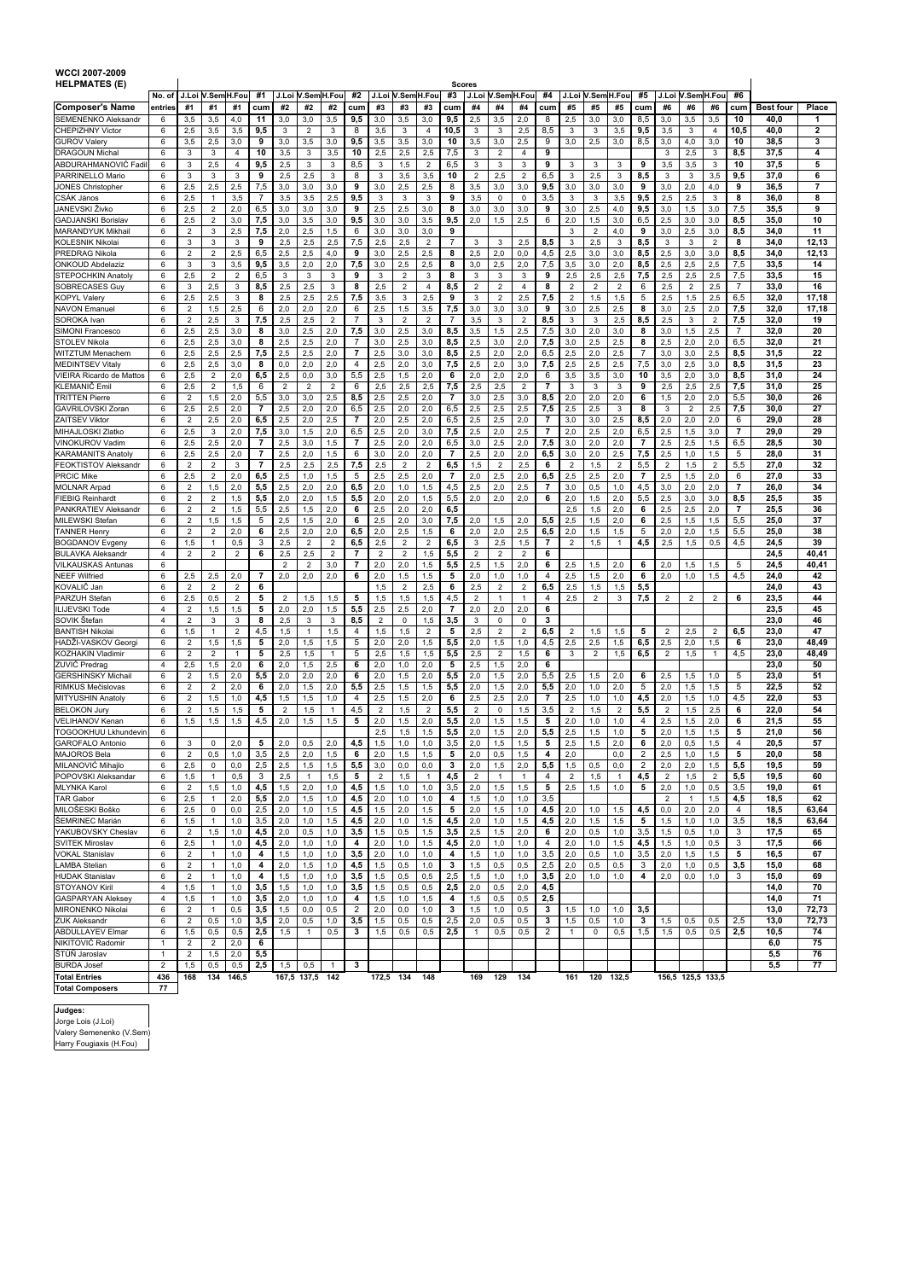| <b>WCCI 2007-2009</b><br><b>HELPMATES (E)</b>  |                                |                                  |                             |                |                |                       |                         |                       |                |                                |                                           |                         |                | <b>Scores</b>         |                     |                     |                |                         |                         |                         |                |                         |                         |                         |                          |                  |                   |
|------------------------------------------------|--------------------------------|----------------------------------|-----------------------------|----------------|----------------|-----------------------|-------------------------|-----------------------|----------------|--------------------------------|-------------------------------------------|-------------------------|----------------|-----------------------|---------------------|---------------------|----------------|-------------------------|-------------------------|-------------------------|----------------|-------------------------|-------------------------|-------------------------|--------------------------|------------------|-------------------|
|                                                | No. of                         | J.Loi                            | V.Sen                       | H.Fou          | #1             | J.Loi                 | .Sem                    | H.Fou                 | #2             | J.Loi                          | V.Sen                                     | H.Fou                   | #3             | J.Loi                 | V.Sem H.Fou         |                     | #4             | J.Loi                   |                         | Sem <sub>H.Fot</sub>    | #5             | J.Loi                   | '.Sem                   | H.Fol                   | #6                       |                  |                   |
| <b>Composer's Name</b>                         | entries                        | #1                               | #1                          | #1             | cum            | #2                    | #2                      | #2                    | cum            | #3                             | #3                                        | #3                      | cum            | #4                    | #4                  | #4                  | cum            | #5                      | #5                      | #5                      | cum            | #6                      | #6                      | #6                      | cum                      | <b>Best four</b> | Place             |
| SEMENENKO Aleksandr                            | 6                              | 3,5                              | 3,5                         | 4,0            | 11             | 3,0                   | 3,0                     | 3,5                   | 9,5            | 3,0                            | 3,5                                       | 3,0                     | 9,5            | 2,5                   | 3,5                 | 2,0                 | 8              | 2,5                     | 3,0                     | 3,0                     | 8,5            | 3,0                     | 3,5                     | 3,5                     | 10                       | 40,0             |                   |
| CHEPIZHNY Victor<br><b>GUROV Valery</b>        | 6<br>6                         | 2,5<br>3,5                       | 3,5<br>2,5                  | 3,5<br>3,0     | 9,5<br>9       | 3<br>3,0              | $\overline{2}$<br>3,5   | 3<br>3,0              | 8<br>9,5       | 3,5<br>3,5                     | 3<br>3,5                                  | 4<br>3,0                | 10,5<br>10     | 3<br>3,5              | 3<br>3,0            | 2,5<br>2,5          | 8,5<br>9       | 3<br>3,0                | 3<br>2,5                | 3,5<br>3,0              | 9,5<br>8,5     | 3,5<br>3,0              | 3<br>4,0                | $\overline{4}$<br>3,0   | 10,5<br>10               | 40,0<br>38,5     | $\mathbf{2}$<br>3 |
| <b>DRAGOUN Micha</b>                           | 6                              | 3                                | 3                           | 4              | 10             | 3,5                   | 3                       | 3,5                   | 10             | 2,5                            | 2,5                                       | 2,5                     | 7,5            | 3                     | $\overline{2}$      | 4                   | 9              |                         |                         |                         |                | 3                       | 2,5                     | 3                       | 8,5                      | 37,5             | 4                 |
| ABDURAHMANOVIĆ Fad                             | 6                              | 3                                | 2,5                         | 4              | 9,5            | 2,5                   | 3                       | 3                     | 8,5            | 3                              | 1,5                                       | $\overline{2}$          | 6,5            | 3                     | 3                   | 3                   | 9              | 3                       | 3                       | 3                       | 9              | 3,5                     | 3,5                     | 3                       | 10                       | 37,5             | 5                 |
| PARRINELLO Mario                               | 6                              | 3                                | 3                           | 3              | 9              | 2,5                   | 2,5                     | 3                     | 8              | 3                              | 3,5                                       | 3,5                     | 10             | 2                     | 2,5                 | 2                   | 6,5            | 3                       | 2,5                     | 3                       | 8,5            | 3                       | 3                       | 3,5                     | 9,5                      | 37,0             | 6                 |
| JONES Christopher                              | 6                              | 2,5                              | 2,5                         | 2,5            | 7,5            | 3,0                   | 3,0                     | 3,0                   | 9              | 3,0                            | 2,5                                       | 2,5                     | 8              | 3,5                   | 3,0                 | 3,0                 | 9,5            | 3,0                     | 3,0                     | 3,0                     | 9              | 3,0                     | 2,0                     | 4,0                     | 9                        | 36,5             | 7                 |
| CSÁK János                                     | 6                              | 2,5                              | $\mathbf{1}$                | 3,5            | $\overline{7}$ | 3,5                   | 3,5                     | 2,5                   | 9,5            | 3                              | 3                                         | 3                       | 9              | 3,5                   | $\mathbf 0$         | 0                   | 3,5            | 3                       | 3                       | 3,5                     | 9,5            | 2,5                     | 2,5                     | 3                       | 8                        | 36,0             | 8                 |
| JANEVSKI Živko                                 | 6                              | 2,5                              | $\overline{2}$              | 2,0            | 6,5            | 3,0                   | 3,0                     | 3,0                   | 9              | 2,5                            | 2,5                                       | 3,0                     | 8              | 3,0                   | 3,0                 | 3,0                 | 9              | 3,0                     | 2,5                     | 4,0                     | 9,5            | 3,0                     | 1,5                     | 3,0                     | 7,5                      | 35,5             | 9                 |
| <b>GADJANSKI Borislav</b>                      | 6                              | 2,5                              | $\overline{2}$              | 3,0            | 7,5            | 3,0                   | 3,5                     | 3,0                   | 9,5            | 3,0                            | 3,0                                       | 3,5                     | 9,5            | 2,0                   | 1,5                 | 2,5                 | 6              | 2,0                     | 1,5                     | 3,0                     | 6,5            | 2,5                     | 3,0                     | 3,0                     | 8,5                      | 35,0             | 10                |
| MARANDYUK Mikhai                               | 6                              | $\overline{2}$                   | 3                           | 2,5            | 7,5            | 2,0                   | 2,5                     | 1,5                   | 6              | 3,0                            | 3,0                                       | 3,0                     | 9              |                       |                     |                     |                | 3                       | $\overline{2}$          | 4,0                     | 9              | 3,0                     | 2,5                     | 3,0                     | 8,5                      | 34,0             | 11                |
| <b>KOLESNIK Nikolai</b>                        | 6                              | 3                                | 3                           | 3              | 9              | 2,5                   | 2,5                     | 2,5                   | 7,5            | 2,5                            | 2,5                                       | $\overline{2}$          | 7              | 3                     | 3                   | 2,5                 | 8,5            | 3                       | 2,5                     | 3                       | 8,5            | 3                       | 3                       | $\overline{2}$          | 8                        | 34,0             | 12,13             |
| <b>PREDRAG Nikola</b>                          | 6                              | $\overline{2}$                   | 2                           | 2,5            | 6,5            | 2,5                   | 2,5                     | 4,0                   | 9              | 3,0                            | 2,5                                       | 2,5                     | 8              | 2,5                   | 2,0                 | 0,0                 | 4,5            | 2,5                     | 3,0                     | 3,0                     | 8,5            | 2,5                     | 3,0                     | 3,0                     | 8,5                      | 34,0             | 12,13             |
| ONKOUD Abdelaziz                               | 6                              | 3                                | 3                           | 3,5            | 9,5            | 3,5                   | 2,0                     | 2,0                   | 7,5            | 3,0                            | 2,5                                       | 2,5                     | 8              | 3,0                   | 2,5                 | 2,0                 | 7,5            | 3,5                     | 3,0                     | 2,0                     | 8,5            | 2,5                     | 2,5                     | 2,5                     | 7,5                      | 33,5             | 14                |
| STEPOCHKIN Anatoly<br>SOBRECASES Guy           | 6<br>6                         | 2,5<br>3                         | 2<br>2,5                    | 2<br>3         | 6,5<br>8,5     | 3<br>2,5              | 3<br>2,5                | 3<br>3                | 9<br>8         | 3<br>2,5                       | $\overline{\mathbf{c}}$<br>$\overline{2}$ | 3<br>4                  | 8<br>8,5       | 3<br>$\overline{2}$   | 3<br>$\overline{2}$ | 3<br>$\overline{4}$ | 9<br>8         | 2,5<br>$\overline{2}$   | 2,5<br>$\overline{2}$   | 2,5<br>$\overline{2}$   | 7,5<br>6       | 2,5<br>2,5              | 2,5<br>$\overline{2}$   | 2,5<br>2,5              | 7,5<br>$\overline{7}$    | 33,5<br>33,0     | 15<br>16          |
| <b>KOPYL Valery</b>                            | 6                              | 2,5                              | 2,5                         | 3              | 8              | 2,5                   | 2,5                     | 2,5                   | 7,5            | 3,5                            | 3                                         | 2,5                     | 9              | 3                     | 2                   | 2,5                 | 7,5            | $\overline{2}$          | 1,5                     | 1,5                     | 5              | 2,5                     | 1,5                     | 2,5                     | 6,5                      | 32,0             | 17,18             |
| <b>NAVON Emanuel</b>                           | 6                              | 2                                | 1,5                         | 2,5            | 6              | 2,0                   | 2,0                     | 2,0                   | 6              | 2,5                            | 1,5                                       | 3,5                     | 7,5            | 3,0                   | 3,0                 | 3,0                 | 9              | 3,0                     | 2,5                     | 2,5                     | 8              | 3,0                     | 2,5                     | 2,0                     | 7,5                      | 32,0             | 17,18             |
| SOROKA Ivan                                    | 6                              | $\overline{2}$                   | 2,5                         | 3              | 7,5            | 2,5                   | 2,5                     | 2                     | 7              | 3                              | $\overline{2}$                            | $\overline{2}$          | 7              | 3,5                   | 3                   | 2                   | 8,5            | 3                       | 3                       | 2,5                     | 8,5            | 2,5                     | 3                       | $\overline{2}$          | 7,5                      | 32,0             | 19                |
| SIMONI Francesco                               | 6                              | 2,5                              | 2,5                         | 3,0            | 8              | 3,0                   | 2,5                     | 2,0                   | 7,5            | 3,0                            | 2,5                                       | 3,0                     | 8,5            | 3,5                   | 1,5                 | 2,5                 | 7,5            | 3,0                     | 2,0                     | 3,0                     | 8              | 3,0                     | 1,5                     | 2,5                     | 7                        | 32,0             | 20                |
| STOLEV Nikola                                  | 6                              | 2,5                              | 2,5                         | 3,0            | 8              | 2,5                   | 2,5                     | 2,0                   | $\overline{7}$ | 3,0                            | 2,5                                       | 3,0                     | 8,5            | 2,5                   | 3,0                 | 2,0                 | 7,5            | 3,0                     | 2,5                     | 2,5                     | 8              | 2,5                     | 2,0                     | 2,0                     | 6,5                      | 32,0             | 21                |
| WITZTUM Menachem                               | 6                              | 2,5                              | 2,5                         | 2,5            | 7,5            | 2,5                   | 2,5                     | 2,0                   | 7              | 2,5                            | 3,0                                       | 3,0                     | 8,5            | 2,5                   | 2,0                 | 2,0                 | 6,5            | 2,5                     | 2,0                     | 2,5                     | 7              | 3,0                     | 3,0                     | 2,5                     | 8,5                      | 31,5             | 22                |
| <b>MEDINTSEV Vitaly</b>                        | 6                              | 2,5                              | 2,5                         | 3,0            | 8              | 0,0                   | 2,0                     | 2,0                   | 4              | 2,5                            | 2,0                                       | 3,0                     | 7,5            | 2,5                   | 2,0                 | 3,0                 | 7,5            | 2,5                     | 2,5                     | 2,5                     | 7,5            | 3,0                     | 2,5                     | 3,0                     | 8,5                      | 31,5             | 23                |
| VIEIRA Ricardo de Mattos                       | 6                              | 2,5                              | $\overline{c}$              | 2,0            | 6,5            | 2,5                   | 0,0                     | 3,0                   | 5,5            | 2,5                            | 1,5                                       | 2,0                     | 6              | 2,0                   | 2,0                 | 2,0                 | 6              | 3,5                     | 3,5                     | 3,0                     | 10             | 3,5                     | 2,0                     | 3,0                     | 8,5                      | 31,0             | 24                |
| <b>KLEMANIČ Emil</b>                           | 6                              | 2,5                              | $\overline{2}$              | 1,5            | 6              | $\overline{2}$        | $\overline{2}$          | $\overline{2}$        | 6              | 2,5                            | 2,5                                       | 2,5                     | 7,5            | 2,5                   | 2,5                 | $\overline{2}$      | $\overline{7}$ | 3                       | 3                       | 3                       | 9              | 2,5                     | 2,5                     | 2,5                     | 7,5                      | 31,0             | 25                |
| <b>TRITTEN Pierre</b>                          | 6                              | $\overline{\mathbf{c}}$          | 1,5                         | 2,0            | 5,5            | 3,0                   | 3,0                     | 2,5                   | 8,5            | 2,5                            | 2,5                                       | 2,0                     | $\overline{7}$ | 3,0                   | 2,5                 | 3,0                 | 8,5            | 2,0                     | 2,0                     | 2,0                     | 6              | 1,5                     | 2,0                     | 2,0                     | 5,5                      | 30,0             | 26                |
| GAVRILOVSKI Zoran<br><b>ZAITSEV Viktor</b>     | 6<br>6                         | 2,5<br>2                         | 2,5<br>2,5                  | 2,0<br>2,0     | 7<br>6,5       | 2,5<br>2,5            | 2,0<br>2,0              | 2,0<br>2,5            | 6,5<br>7       | 2,5<br>2,0                     | 2,0<br>2,5                                | 2,0<br>2,0              | 6,5<br>6,5     | 2,5<br>2,5            | 2,5<br>2,5          | 2,5<br>2,0          | 7,5<br>7       | 2,5<br>3,0              | 2,5<br>3,0              | 3<br>2,5                | 8<br>8,5       | 3<br>2,0                | $\overline{2}$<br>2,0   | 2,5<br>2,0              | 7,5<br>6                 | 30,0<br>29,0     | 27<br>28          |
| MIHAJLOSKI Zlatko                              | 6                              | 2,5                              | 3                           | 2,0            | 7,5            | 3,0                   | 1,5                     | 2,0                   | 6,5            | 2,5                            | 2,0                                       | 3,0                     | 7,5            | 2,5                   | 2,0                 | 2,5                 | 7              | 2,0                     | 2,5                     | 2,0                     | 6,5            | 2,5                     | 1,5                     | 3,0                     | 7                        | 29,0             | 29                |
| VINOKUROV Vadim                                | 6                              | 2,5                              | 2,5                         | 2,0            | $\overline{7}$ | 2,5                   | 3,0                     | 1,5                   | 7              | 2,5                            | 2,0                                       | 2,0                     | 6,5            | 3,0                   | 2,5                 | 2,0                 | 7,5            | 3,0                     | 2,0                     | 2,0                     | $\overline{7}$ | 2,5                     | 2,5                     | 1,5                     | 6,5                      | 28,5             | 30                |
| <b>KARAMANITS Anatoly</b>                      | 6                              | 2,5                              | 2,5                         | 2,0            | 7              | 2,5                   | 2,0                     | 1,5                   | 6              | 3,0                            | 2,0                                       | 2,0                     | 7              | 2,5                   | 2,0                 | 2,0                 | 6,5            | 3,0                     | 2,0                     | 2,5                     | 7,5            | 2,5                     | 1,0                     | 1,5                     | 5                        | 28,0             | 31                |
| FEOKTISTOV Aleksandr                           | 6                              | 2                                | $\overline{\mathbf{c}}$     | 3              | 7              | 2,5                   | 2,5                     | 2,5                   | 7,5            | 2,5                            | $\overline{\mathbf{c}}$                   | $\overline{2}$          | 6,5            | 1,5                   | 2                   | 2,5                 | 6              | $\overline{\mathbf{c}}$ | 1,5                     | $\overline{\mathbf{c}}$ | 5,5            | $\overline{\mathbf{c}}$ | 1,5                     | $\overline{\mathbf{c}}$ | 5,5                      | 27,0             | 32                |
| <b>PRCIC Mike</b>                              | 6                              | 2,5                              | 2                           | 2,0            | 6, 5           | 2,5                   | 1,0                     | 1,5                   | 5              | 2,5                            | 2,5                                       | 2,0                     | $\overline{7}$ | 2,0                   | 2,5                 | 2,0                 | 6,5            | 2,5                     | 2,5                     | 2,0                     | $\overline{7}$ | 2,5                     | 1,5                     | 2,0                     | 6                        | 27,0             | 33                |
| <b>MOLNAR Arpad</b>                            | 6                              | $\overline{2}$                   | 1,5                         | 2,0            | 5,5            | 2,5                   | 2,0                     | 2,0                   | 6,5            | 2,0                            | 1,0                                       | 1,5                     | 4,5            | 2,5                   | 2,0                 | 2,5                 | $\overline{7}$ | 3,0                     | 0,5                     | 1,0                     | 4,5            | 3,0                     | 2,0                     | 2,0                     | $\overline{7}$           | 26,0             | 34                |
| <b>FIEBIG Reinhardt</b>                        | 6                              | 2                                | 2                           | 1,5            | 5,5            | 2,0                   | 2,0                     | 1,5                   | 5,5            | 2,0                            | 2,0                                       | 1,5                     | 5,5            | 2,0                   | 2,0                 | 2,0                 | 6              | 2,0                     | 1,5                     | 2,0                     | 5,5            | 2,5                     | 3,0                     | 3,0                     | 8,5                      | 25,5             | 35                |
| PANKRATIEV Aleksandr                           | 6                              | $\overline{2}$                   | $\overline{2}$              | 1,5            | 5,5            | 2,5                   | 1,5                     | 2,0                   | 6              | 2,5                            | 2,0                                       | 2,0                     | 6,5            |                       |                     |                     |                | 2,5                     | 1,5                     | 2,0                     | 6              | 2,5                     | 2,5                     | 2,0                     | $\overline{\phantom{a}}$ | 25,5             | 36                |
| MILEWSKI Stefan                                | 6                              | 2                                | 1,5                         | 1,5            | 5              | 2,5                   | 1,5                     | 2,0                   | 6              | 2,5                            | 2,0                                       | 3,0                     | 7,5            | 2,0                   | 1,5                 | 2,0                 | 5,5            | 2,5                     | 1,5                     | 2,0                     | 6              | 2,5                     | 1,5                     | 1,5                     | 5,5                      | 25,0             | 37                |
| <b>TANNER Henry</b>                            | 6                              | 2                                | 2                           | 2,0            | 6              | 2,5                   | 2,0                     | 2,0                   | 6, 5           | 2,0                            | 2,5                                       | 1,5                     | 6              | 2,0                   | 2,0                 | 2,5                 | 6,5            | 2,0                     | 1,5                     | 1,5                     | 5              | 2,0                     | 2,0                     | 1,5                     | 5,5                      | 25,0             | 38                |
| <b>BOGDANOV</b> Evgeny                         | 6                              | 1,5                              | 1                           | 0,5            | 3              | 2,5                   | $\overline{\mathbf{c}}$ | $\overline{2}$        | 6,5            | 2,5                            | $\overline{\mathbf{c}}$                   | $\overline{\mathbf{c}}$ | 6,5            | 3                     | 2,5                 | 1,5                 | 7              | $\overline{2}$          | 1,5                     |                         | 4,5            | 2,5                     | 1,5                     | 0,5                     | 4,5                      | 24,5             | 39                |
| <b>BULAVKA Aleksandr</b><br>VILKAUSKAS Antunas | $\overline{4}$<br>6            | $\overline{2}$                   | $\overline{\mathbf{c}}$     | 2              | 6              | 2,5<br>$\overline{2}$ | 2,5<br>$\overline{2}$   | $\overline{2}$<br>3,0 | 7<br>7         | $\overline{\mathbf{2}}$<br>2,0 | $\overline{\mathbf{c}}$<br>2,0            | 1,5<br>1,5              | 5,5<br>5,5     | $\overline{c}$<br>2,5 | 2<br>1,5            | 2<br>2,0            | 6<br>6         | 2,5                     | 1,5                     | 2,0                     | 6              | 2,0                     | 1,5                     | 1,5                     | 5                        | 24,5<br>24,5     | 40,41<br>40,41    |
| <b>NEEF Wilfried</b>                           | 6                              | 2,5                              | 2,5                         | 2,0            | 7              | 2,0                   | 2,0                     | 2,0                   | 6              | 2,0                            | 1,5                                       | 1,5                     | 5              | 2,0                   | 1,0                 | 1,0                 | 4              | 2,5                     | 1,5                     | 2.0                     | 6              | 2,0                     | 1,0                     | 1,5                     | 4,5                      | 24,0             | 42                |
| KOVALIČ Jar                                    | 6                              | $\overline{2}$                   | $\overline{2}$              | $\overline{2}$ | 6              |                       |                         |                       |                | 1,5                            | $\overline{2}$                            | 2,5                     | 6              | 2,5                   | $\overline{2}$      | $\overline{2}$      | 6,5            | 2,5                     | 1,5                     | 1,5                     | 5,5            |                         |                         |                         |                          | 24,0             | 43                |
| <b>PARZUH Stefan</b>                           | 6                              | 2,5                              | 0,5                         | $\overline{2}$ | 5              | $\overline{2}$        | 1,5                     | 1,5                   | 5              | 1,5                            | 1,5                                       | 1,5                     | 4,5            | 2                     | $\mathbf{1}$        | 1                   | 4              | 2,5                     | $\overline{\mathbf{c}}$ | 3                       | 7,5            | $\overline{\mathbf{c}}$ | $\overline{\mathbf{c}}$ | $\overline{2}$          | 6                        | 23,5             | 44                |
| <b>ILIJEVSKI Tode</b>                          | $\overline{4}$                 | $\overline{2}$                   | 1,5                         | 1,5            | 5              | 2,0                   | 2,0                     | 1,5                   | 5,5            | 2,5                            | 2,5                                       | 2,0                     | 7              | 2,0                   | 2,0                 | 2,0                 | 6              |                         |                         |                         |                |                         |                         |                         |                          | 23,5             | 45                |
| SOVIK Štefan                                   | $\overline{4}$                 | $\overline{\mathbf{c}}$          | 3                           | 3              | 8              | 2,5                   | 3                       | 3                     | 8,5            | $\overline{2}$                 | 0                                         | 1,5                     | 3,5            | 3                     | 0                   | 0                   | 3              |                         |                         |                         |                |                         |                         |                         |                          | 23,0             | 46                |
| <b>BANTISH Nikola</b>                          | 6                              | 1,5                              | 1                           | 2              | 4,5            | 1,5                   | $\mathbf{1}$            | 1,5                   | 4              | 1,5                            | 1,5                                       | $\overline{2}$          | 5              | 2,5                   | $\overline{2}$      | $\overline{2}$      | 6,5            |                         | 1,5                     | 1,5                     | 5              | $\overline{\mathbf{2}}$ | 2,5                     | 2                       | 6,5                      | 23,0             | 47                |
| HADŽI-VASKOV Georgi                            | 6                              | $\overline{2}$                   | 1,5                         | 1,5            | 5              | 2,0                   | 1,5                     | 1,5                   | 5              | 2,0                            | 2,0                                       | 1,5                     | 5,5            | 2,0                   | 1,5                 | 1,0                 | 4,5            | 2,5                     | 2,5                     | 1,5                     | 6,5            | 2,5                     | 2,0                     | 1,5                     | 6                        | 23,0             | 48,49             |
| KOZHAKIN Vladimir                              | 6                              | $\overline{2}$                   | $\overline{2}$              | 1              | 5              | 2,5                   | 1,5                     | $\mathbf{1}$          | 5              | 2,5                            | 1,5                                       | 1,5                     | 5,5            | 2,5                   | 2                   | 1,5                 | 6              | 3                       | $\overline{\mathbf{c}}$ | 1,5                     | 6,5            | $\overline{c}$          | 1,5                     | 1                       | 4,5                      | 23,0             | 48,49             |
| ZUVIĆ Predrag                                  | $\overline{4}$                 | 2,5                              | 1,5                         | 2,0            | 6              | 2,0                   | 1,5                     | 2,5                   | 6              | 2,0                            | 1,0                                       | 2,0                     | 5              | 2,5                   | 1,5                 | 2,0                 | 6              |                         |                         |                         |                |                         |                         |                         |                          | 23,0             | 50                |
| <b>GERSHINSKY Michail</b><br>RIMKUS Mečislovas | 6<br>6                         | $\overline{2}$<br>$\overline{2}$ | 1,5<br>$\overline{2}$       | 2,0<br>2,0     | 5,5<br>6       | 2,0<br>2,0            | 2,0<br>1,5              | 2,0<br>2,0            | 6<br>5,5       | 2,0<br>2,5                     | 1,5<br>1,5                                | 2,0<br>1,5              | 5,5<br>5,5     | 2,0<br>2,0            | 1,5                 | 2,0<br>2,0          | 5,5<br>5,5     | 2,5<br>2,0              | 1,5<br>1,0              | 2,0<br>2,0              | 6<br>5         | 2,5<br>2,0              | 1,5<br>1,5              | 1,0<br>1,5              | 5<br>5                   | 23,0<br>22,5     | 51<br>52          |
| <b>MITYUSHIN Anatoly</b>                       | 6                              | 2                                | 1,5                         | 1,0            | 4,5            | 1,5                   | 1,5                     | 1,0                   | 4              | 2,5                            | 1,5                                       | 2,0                     | 6              | 2,5                   | 1,5<br>2,5          | 2,0                 | 7              | 2,5                     | 1,0                     | 1,0                     | 4,5            | 2,0                     | 1,5                     | 1,0                     | 4,5                      | 22,0             | 53                |
| <b>BELOKON Jur</b>                             | 6                              | 2                                | 1,5                         | 1,5            | 5              | 2                     | 1,5                     | 1                     | 4,5            | $\overline{2}$                 | 1,5                                       | $\overline{2}$          | 5,5            | $\overline{2}$        | 0                   | 1,5                 | 3,5            | $\overline{2}$          | 1,5                     | 2                       | 5,5            | $\overline{2}$          | 1,5                     | 2,5                     | 6                        | 22,0             | 54                |
| <b>VELIHANOV Kenan</b>                         | 6                              | 1,5                              | 1,5                         | 1,5            | 4,5            | 2,0                   | 1,5                     | 1,5                   | 5              | 2,0                            | 1,5                                       | 2,0                     | 5,5            | 2,0                   | 1,5                 | 1,5                 | 5              | 2,0                     | 1,0                     | 1,0                     | 4              | 2,5                     | 1,5                     | 2,0                     | 6                        | 21,5             | 55                |
| TOGOOKHUU Lkhundevin                           | 6                              |                                  |                             |                |                |                       |                         |                       |                | 2,5                            | 1,5                                       | 1,5                     | 5,5            | 2,0                   | 1,5                 | 2,0                 | 5,5            | 2,5                     | 1,5                     | 1,0                     | 5              | 2,0                     | 1,5                     | 1,5                     | 5                        | 21,0             | 56                |
| GAROFALO Antonio                               | 6                              | 3                                | 0                           | 2,0            | 5              | 2,0                   | 0,5                     | 2,0                   | 4,5            | 1,5                            | 1,0                                       | 1,0                     | 3,5            | 2,0                   | 1,5                 | 1,5                 | 5              | 2,5                     | 1,5                     | 2,0                     | 6              | 2,0                     | 0,5                     | 1,5                     | 4                        | 20,5             | 57                |
| MAJOROS Bela                                   | 6                              |                                  | 0,5                         | 1,0            | 3,5            | 2,5                   | 2,0                     | 1,5                   | b              | 2,0                            | 1,5                                       | 1,5                     | 5              | 2.0                   | 0,5                 | 1,5                 |                | 2,0                     |                         | U,U                     |                | 2,5                     | 1,0                     | 1,5                     | 5                        | 20,0             | 58                |
| MILANOVIĆ Mihajlo                              | 6                              | 2,5                              | 0                           | 0, 0           | 2,5            | 2,5                   | 1,5                     | 1,5                   | 5,5            | 3,0                            | 0,0                                       | 0,0                     | 3              | 2,0                   | 1,5                 | 2,0                 | 5,5            | 1,5                     | 0,5                     | 0,0                     | $\overline{2}$ | 2,0                     | 2,0                     | 1,5                     | 5,5                      | 19,5             | 59                |
| POPOVSKI Aleksandar                            | 6                              | 1,5                              | 1                           | 0,5            | 3              | 2,5                   | $\overline{1}$          | 1,5                   | 5              | $\overline{2}$                 | 1,5                                       | $\mathbf{1}$            | 4,5            | $\overline{2}$        | $\mathbf{1}$        | 1                   | 4              | $\overline{2}$          | 1,5                     | $\mathbf{1}$            | 4,5            | $\overline{2}$          | 1,5                     | $\overline{2}$          | 5,5                      | 19,5             | 60                |
| <b>MLYNKA Karol</b>                            | 6                              | $\overline{2}$                   | 1,5                         | 1,0            | 4,5            | 1,5                   | 2,0                     | 1,0                   | 4,5            | 1,5                            | 1,0                                       | 1,0                     | 3,5            | 2,0                   | 1,5                 | 1,5                 | 5              | 2,5                     | 1,5                     | 1,0                     | 5              | 2,0                     | 1,0                     | 0,5                     | 3,5                      | 19,0             | 61                |
| TAR Gabor                                      | 6                              | 2,5                              | $\mathbf{1}$                | 2,0            | 5,5            | 2,0                   | 1,5                     | 1,0                   | 4,5            | 2,0                            | 1,0                                       | 1,0                     | 4              | 1,5                   | 1,0                 | 1,0                 | 3,5            |                         |                         |                         |                | $\overline{2}$          | $\overline{1}$          | 1,5                     | 4,5                      | 18,5             | 62                |
| MILOŠESKI Boško<br>ŠEMRINEC Marián             | 6<br>6                         | 2,5                              | $\mathsf 0$<br>$\mathbf{1}$ | 0,0<br>1,0     | 2,5<br>3,5     | 2,0<br>2,0            | 1,0<br>1,0              | 1,5<br>1,5            | 4,5<br>4,5     | 1,5<br>2,0                     | 2,0<br>1,0                                | 1,5<br>1,5              | 5<br>4,5       | 2,0<br>2,0            | 1,5<br>1,0          | 1,0<br>1,5          | 4,5<br>4,5     | 2,0<br>2,0              | 1,0<br>1,5              | 1,5                     | 4,5<br>5       | 0,0<br>1,5              | 2,0<br>1,0              | 2,0<br>1,0              | 4<br>3,5                 | 18,5<br>18,5     | 63,64<br>63,64    |
| YAKUBOVSKY Cheslav                             | 6                              | 1,5<br>$\overline{2}$            | 1,5                         | 1,0            | 4,5            | 2,0                   | 0,5                     | 1,0                   | 3,5            | 1,5                            | 0,5                                       | 1,5                     | 3,5            | 2,5                   | 1,5                 | 2,0                 | 6              | 2,0                     | 0,5                     | 1,5<br>1,0              | 3,5            | 1,5                     | 0, 5                    | 1,0                     | 3                        | 17,5             | 65                |
| <b>SVITEK Miroslav</b>                         | 6                              | 2,5                              | $\mathbf{1}$                | 1,0            | 4,5            | 2,0                   | 1,0                     | 1,0                   | 4              | 2,0                            | 1,0                                       | 1,5                     | 4,5            | 2,0                   | 1,0                 | 1,0                 | $\overline{4}$ | 2,0                     | 1,0                     | 1,5                     | 4,5            | 1,5                     | 1,0                     | 0,5                     | 3                        | 17,5             | 66                |
| <b>VOKAL Stanislav</b>                         | 6                              | $\overline{2}$                   | $\mathbf{1}$                | 1,0            | 4              | 1,5                   | 1,0                     | 1,0                   | 3,5            | 2,0                            | 1,0                                       | 1,0                     | 4              | 1,5                   | 1,0                 | 1,0                 | 3,5            | 2,0                     | 0,5                     | 1,0                     | 3,5            | 2,0                     | 1,5                     | 1,5                     | 5                        | 16,5             | 67                |
| <b>LAMBA Stelian</b>                           | 6                              | $\overline{2}$                   | $\mathbf{1}$                | 1,0            | 4              | 2,0                   | 1,5                     | 1,0                   | 4,5            | 1,5                            | 0,5                                       | 1,0                     | 3              | 1,5                   | 0,5                 | 0,5                 | 2,5            | 2,0                     | 0,5                     | 0,5                     | 3              | 2,0                     | 1,0                     | 0,5                     | 3,5                      | 15,0             | 68                |
| <b>HUDAK Stanislav</b>                         | 6                              | $\overline{2}$                   | $\mathbf{1}$                | 1,0            | 4              | 1,5                   | 1,0                     | 1,0                   | 3, 5           | 1,5                            | 0,5                                       | 0,5                     | 2,5            | 1,5                   | 1,0                 | 1,0                 | 3,5            | 2,0                     | 1,0                     | 1,0                     | 4              | 2,0                     | 0,0                     | 1,0                     | 3                        | 15,0             | 69                |
| <b>STOYANOV Kiril</b>                          | $\overline{4}$                 | 1,5                              | $\mathbf{1}$                | 1,0            | 3,5            | 1,5                   | 1,0                     | 1,0                   | 3, 5           | 1,5                            | 0,5                                       | 0,5                     | 2,5            | 2,0                   | 0,5                 | 2,0                 | 4,5            |                         |                         |                         |                |                         |                         |                         |                          | 14,0             | 70                |
| <b>GASPARYAN Aleksey</b>                       | 4                              | 1,5                              | $\mathbf{1}$                | 1,0            | 3,5            | 2,0                   | 1,0                     | 1,0                   | 4              | 1,5                            | 1,0                                       | 1,5                     | 4              | 1,5                   | 0,5                 | 0,5                 | 2,5            |                         |                         |                         |                |                         |                         |                         |                          | 14,0             | 71                |
| MIRONENKO Nikolai                              | 6                              | 2                                | $\mathbf{1}$                | 0,5            | 3,5            | 1,5                   | 0,0                     | 0,5                   | $\overline{2}$ | 2,0                            | 0,0                                       | 1,0                     | 3              | 1,5                   | 1,0                 | 0,5                 | 3              | 1,5                     | 1,0                     | 1,0                     | 3,5            |                         |                         |                         |                          | 13,0             | 72,73             |
| <b>ZUK Aleksandr</b>                           | $\,6\,$                        | $\overline{2}$                   | 0,5                         | 1,0            | 3,5            | 2,0                   | 0,5                     | 1,0                   | 3,5            | 1,5                            | 0,5                                       | 0,5                     | 2,5            | 2,0                   | 0,5                 | 0,5                 | 3              | 1,5                     | 0,5                     | 1,0                     | 3              | 1,5                     | 0,5                     | 0,5                     | 2,5                      | 13,0             | 72,73             |
| <b>ABDULLAYEV Elmar</b>                        | 6                              | 1,5                              | 0,5                         | 0,5            | 2,5            | 1,5                   | $\overline{1}$          | 0, 5                  | 3              | 1,5                            | 0,5                                       | 0,5                     | 2,5            | $\mathbf{1}$          | 0,5                 | 0,5                 | 2              | 1                       | 0                       | 0,5                     | 1,5            | 1,5                     | 0,5                     | 0,5                     | 2,5                      | 10,5             | 74                |
| NIKITOVIĆ Radomir                              | $\mathbf{1}$                   | $\overline{2}$                   | $\overline{2}$              | 2,0            | 6              |                       |                         |                       |                |                                |                                           |                         |                |                       |                     |                     |                |                         |                         |                         |                |                         |                         |                         |                          | 6,0              | 75                |
| ŠTÚÑ Jaroslav<br><b>BURDA Josef</b>            | $\mathbf{1}$<br>$\overline{2}$ | $\overline{2}$                   | 1,5<br>0,5                  | 2,0<br>0,5     | 5,5<br>2,5     |                       |                         | $\mathbf{1}$          | 3              |                                |                                           |                         |                |                       |                     |                     |                |                         |                         |                         |                |                         |                         |                         |                          | 5,5<br>5,5       | 76<br>77          |
| <b>Total Entries</b>                           | 436                            | 1,5<br>168                       | 134                         | 146,5          |                | 1,5                   | 0,5<br>167,5 137,5 142  |                       |                |                                | 172,5 134                                 | 148                     |                | 169                   | 129                 | 134                 |                | 161                     |                         | 120 132,5               |                |                         | 156,5 125,5 133,5       |                         |                          |                  |                   |
| <b>Total Composers</b>                         | 77                             |                                  |                             |                |                |                       |                         |                       |                |                                |                                           |                         |                |                       |                     |                     |                |                         |                         |                         |                |                         |                         |                         |                          |                  |                   |
|                                                |                                |                                  |                             |                |                |                       |                         |                       |                |                                |                                           |                         |                |                       |                     |                     |                |                         |                         |                         |                |                         |                         |                         |                          |                  |                   |

**Judges:**<br>Jorge Lois (J.Loi)<br>Valery Semenenko (V.Sem)<br>Harry Fougiaxis (H.Fou)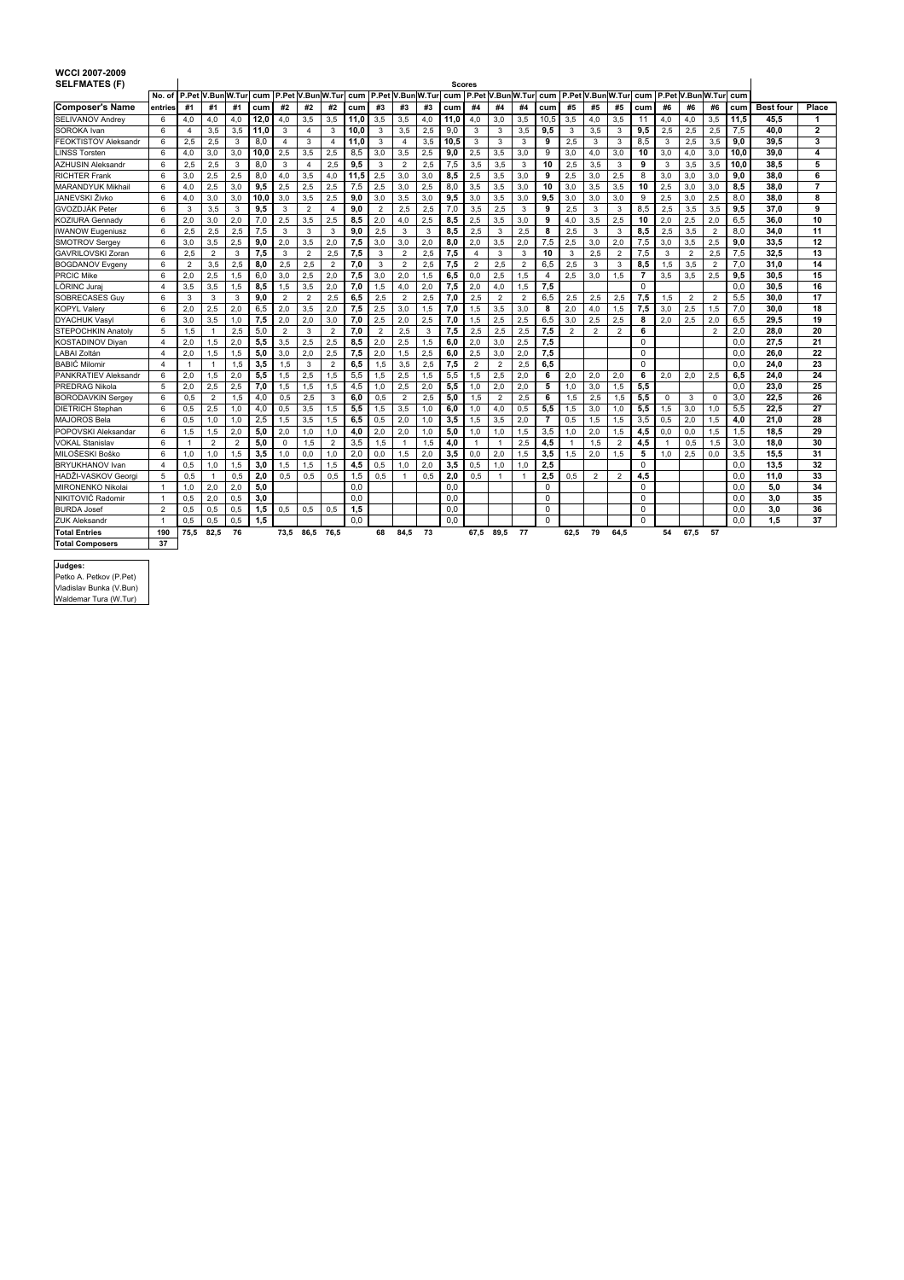| <b>WCCI 2007-2009</b>       |                |                |                |                   |      |                |                |                        |      |                |                |                   |      |                |                   |                |                |                |                   |                |                |                |                   |                |      |                  |                         |
|-----------------------------|----------------|----------------|----------------|-------------------|------|----------------|----------------|------------------------|------|----------------|----------------|-------------------|------|----------------|-------------------|----------------|----------------|----------------|-------------------|----------------|----------------|----------------|-------------------|----------------|------|------------------|-------------------------|
| <b>SELFMATES (F)</b>        | No. of         |                |                | P.Pet V.Bun W.Tur |      |                |                | P.Pet V.Bun W.Turl cum |      |                |                | P.Pet V.Bun W.Tur |      | <b>Scores</b>  | P.Pet V.Bun W.Tur |                |                |                | P.Pet V.Bun W.Tur |                |                |                | P.Pet V.Bun W.Tur |                |      |                  |                         |
|                             |                |                |                |                   | cum  |                |                |                        |      |                |                |                   | cum  |                |                   |                | cum            |                |                   |                | cum            |                |                   |                | cum  |                  |                         |
| <b>Composer's Name</b>      | entries        | #1             | #1             | #1                | cum  | #2             | #2             | #2                     | cum  | #3             | #3             | #3                | cum  | #4             | #4                | #4             | cum            | #5             | #5                | #5             | cum            | #6             | #6                | #6             | cum  | <b>Best four</b> | Place                   |
| <b>SELIVANOV Andrey</b>     | 6              | 4,0            | 4,0            | 4,0               | 12,0 | 4,0            | 3,5            | 3,5                    | 11,0 | 3,5            | 3,5            | 4,0               | 11,0 | 4,0            | 3,0               | 3,5            | 10,5           | 3,5            | 4,0               | 3,5            | 11             | 4,0            | 4,0               | 3,5            | 11,5 | 45.5             | 1                       |
| SOROKA Ivan                 | 6              | $\overline{4}$ | 3.5            | 3.5               | 11.0 | 3              | $\overline{4}$ | 3                      | 10.0 | 3              | 3.5            | 2.5               | 9.0  | $\mathbf{3}$   | 3                 | 3.5            | 9.5            | 3              | 3.5               | 3              | 9.5            | 2.5            | 2.5               | 2.5            | 7.5  | 40.0             | $\overline{2}$          |
| <b>FEOKTISTOV Aleksandr</b> | 6              | 2.5            | 2.5            | 3                 | 8.0  | 4              | 3              | 4                      | 11.0 | 3              | 4              | 3.5               | 10.5 | 3              | 3                 | 3              | 9              | 2,5            | 3                 | 3              | 8.5            | 3              | 2.5               | 3.5            | 9.0  | 39.5             | 3                       |
| <b>LINSS Torsten</b>        | 6              | 4.0            | 3.0            | 3,0               | 10.0 | 2,5            | 3,5            | 2,5                    | 8.5  | 3,0            | 3,5            | 2,5               | 9,0  | 2,5            | 3,5               | 3.0            | 9              | 3,0            | 4,0               | 3.0            | 10             | 3,0            | 4,0               | 3,0            | 10,0 | 39.0             | $\overline{\mathbf{4}}$ |
| <b>AZHUSIN Aleksandr</b>    | 6              | 2.5            | 2.5            | 3                 | 8.0  | 3              | $\overline{4}$ | 2.5                    | 9.5  | 3              | $\overline{2}$ | 2.5               | 7.5  | 3.5            | 3.5               | 3              | 10             | 2.5            | 3.5               | 3              | 9              | 3              | 3.5               | 3.5            | 10.0 | 38.5             | 5                       |
| <b>RICHTER Frank</b>        | 6              | 3.0            | 2.5            | 2,5               | 8.0  | 4.0            | 3.5            | 4,0                    | 11.5 | 2,5            | 3.0            | 3.0               | 8.5  | 2.5            | 3,5               | 3.0            | 9              | 2.5            | 3.0               | 2.5            | 8              | 3.0            | 3.0               | 3.0            | 9.0  | 38.0             | 6                       |
| <b>MARANDYUK Mikhail</b>    | 6              | 4.0            | 2,5            | 3.0               | 9.5  | 2,5            | 2,5            | 2,5                    | 7.5  | 2,5            | 3,0            | 2,5               | 8,0  | 3,5            | 3,5               | 3.0            | 10             | 3,0            | 3.5               | 3,5            | 10             | 2,5            | 3.0               | 3,0            | 8.5  | 38.0             | $\overline{7}$          |
| JANEVSKI Živko              | 6              | 4,0            | 3.0            | 3.0               | 10.0 | 3,0            | 3,5            | 2,5                    | 9.0  | 3,0            | 3,5            | 3,0               | 9,5  | 3.0            | 3,5               | 3,0            | 9,5            | 3,0            | 3,0               | 3.0            | 9              | 2.5            | 3,0               | 2,5            | 8,0  | 38.0             | 8                       |
| GVOZDJÁK Peter              | 6              | 3              | 3.5            | 3                 | 9.5  | 3              | $\overline{2}$ | $\overline{4}$         | 9.0  | $\overline{2}$ | 2.5            | 2.5               | 7.0  | 3.5            | 2.5               | 3              | 9              | 2.5            | 3                 | 3              | 8.5            | 2.5            | 3.5               | 3.5            | 9.5  | 37.0             | 9                       |
| <b>KOZIURA Gennady</b>      | 6              | 2.0            | 3,0            | 2,0               | 7,0  | 2,5            | 3,5            | 2,5                    | 8,5  | 2,0            | 4,0            | 2,5               | 8.5  | 2,5            | 3,5               | 3,0            | 9              | 4,0            | 3,5               | 2.5            | 10             | 2,0            | 2,5               | 2.0            | 6,5  | 36,0             | 10                      |
| <b>IWANOW Eugeniusz</b>     | 6              | 2.5            | 2.5            | 2.5               | 7.5  | 3              | 3              | 3                      | 9.0  | 2.5            | 3              | 3                 | 8.5  | 2.5            | 3                 | 2.5            | 8              | 2.5            | 3                 | 3              | 8.5            | 2.5            | 3.5               | $\overline{2}$ | 8.0  | 34.0             | 11                      |
| <b>SMOTROV Sergey</b>       | 6              | 3.0            | 3.5            | 2.5               | 9.0  | 2,0            | 3.5            | 2,0                    | 7,5  | 3,0            | 3,0            | 2.0               | 8.0  | 2.0            | 3,5               | 2.0            | 7,5            | 2.5            | 3.0               | 2.0            | 7,5            | 3.0            | 3.5               | 2.5            | 9,0  | 33.5             | 12                      |
| GAVRILOVSKI Zoran           | 6              | 2.5            | $\overline{2}$ | 3                 | 7.5  | 3              | $\overline{2}$ | 2.5                    | 7.5  | 3              | $\overline{2}$ | 2.5               | 7.5  | $\overline{4}$ | 3                 | 3              | 10             | $\overline{3}$ | 2.5               | $\overline{2}$ | 7.5            | 3              | $\overline{2}$    | 2.5            | 7,5  | 32.5             | 13                      |
| <b>BOGDANOV Evgenv</b>      | 6              | $\overline{2}$ | 3,5            | 2,5               | 8.0  | 2,5            | 2,5            | $\overline{2}$         | 7.0  | 3              | $\overline{2}$ | 2.5               | 7,5  | $\overline{2}$ | 2,5               | $\overline{2}$ | 6,5            | 2,5            | 3                 | 3              | 8,5            | 1,5            | 3,5               | $\overline{2}$ | 7,0  | 31.0             | 14                      |
| <b>PRCIC Mike</b>           | 6              | 2.0            | 2.5            | 1,5               | 6.0  | 3.0            | 2,5            | 2,0                    | 7,5  | 3,0            | 2,0            | 1,5               | 6,5  | 0.0            | 2.5               | 1,5            | $\overline{a}$ | 2.5            | 3.0               | 1.5            | $\overline{7}$ | 3,5            | 3,5               | 2,5            | 9,5  | 30.5             | 15                      |
| LÖRINC Jurai                | $\overline{4}$ | 3.5            | 3.5            | 1.5               | 8.5  | 1,5            | 3.5            | 2.0                    | 7.0  | 1,5            | 4.0            | 2.0               | 7.5  | 2.0            | 4.0               | 1.5            | 7.5            |                |                   |                | $\Omega$       |                |                   |                | 0.0  | 30.5             | 16                      |
| <b>SOBRECASES Guv</b>       | 6              | 3              | 3              | 3                 | 9.0  | $\overline{2}$ | $\overline{2}$ | 2,5                    | 6.5  | 2,5            | $\overline{2}$ | 2,5               | 7.0  | 2,5            | $\overline{2}$    | $\overline{2}$ | 6,5            | 2,5            | 2,5               | 2,5            | 7,5            | 1,5            | $\overline{2}$    | $\overline{2}$ | 5.5  | 30.0             | 17                      |
| <b>KOPYL Valen</b>          | 6              | 2.0            | 2,5            | 2.0               | 6.5  | 2.0            | 3,5            | 2.0                    | 7,5  | 2,5            | 3,0            | 1,5               | 7,0  | 1,5            | 3,5               | 3.0            | 8              | 2.0            | 4,0               | 1,5            | 7,5            | 3.0            | 2,5               | 1,5            | 7,0  | 30.0             | 18                      |
| <b>DYACHUK Vasy</b>         | 6              | 3.0            | 3,5            | 1,0               | 7,5  | 2,0            | 2,0            | 3,0                    | 7,0  | 2,5            | 2,0            | 2,5               | 7,0  | 1,5            | 2,5               | 2,5            | 6,5            | 3,0            | 2,5               | 2,5            | 8              | 2.0            | 2,5               | 2,0            | 6,5  | 29.5             | 19                      |
| STEPOCHKIN Anatoly          | 5              | 1.5            | $\mathbf{1}$   | 2,5               | 5.0  | $\overline{2}$ | 3              | $\overline{2}$         | 7.0  | $\overline{2}$ | 2,5            | 3                 | 7.5  | 2.5            | 2,5               | 2.5            | 7,5            | $\overline{2}$ | $\overline{2}$    | $\overline{2}$ | 6              |                |                   | $\overline{2}$ | 2.0  | 28.0             | 20                      |
| <b>KOSTADINOV Divan</b>     | $\overline{a}$ | 2.0            | 1.5            | 2.0               | 5.5  | 3,5            | 2.5            | 2.5                    | 8.5  | 2.0            | 2,5            | 1.5               | 6.0  | 2.0            | 3.0               | 2.5            | 7,5            |                |                   |                | $\Omega$       |                |                   |                | 0.0  | 27.5             | 21                      |
| <b>LABAI Zoltán</b>         | $\overline{4}$ | 2.0            | 1.5            | 1.5               | 5.0  | 3.0            | 2.0            | 2.5                    | 7.5  | 2,0            | 1,5            | 2.5               | 6.0  | 2.5            | 3.0               | 2.0            | 7,5            |                |                   |                | $\Omega$       |                |                   |                | 0.0  | 26.0             | 22                      |
| <b>BABIĆ Milomir</b>        | $\overline{4}$ | $\mathbf{1}$   | $\overline{1}$ | 1,5               | 3,5  | 1,5            | $\overline{3}$ | $\overline{2}$         | 6.5  | 1,5            | 3,5            | 2,5               | 7,5  | $\overline{2}$ | $\overline{2}$    | 2.5            | 6.5            |                |                   |                | $\Omega$       |                |                   |                | 0.0  | 24.0             | 23                      |
| PANKRATIEV Aleksandr        | 6              | 2,0            | 1.5            | 2,0               | 5.5  | 1,5            | 2.5            | 1,5                    | 5,5  | 1,5            | 2,5            | 1,5               | 5,5  | 1.5            | 2,5               | 2,0            | 6              | 2.0            | 2,0               | 2.0            | 6              | 2,0            | 2,0               | 2,5            | 6.5  | 24.0             | 24                      |
| <b>PREDRAG Nikola</b>       | 5              | 2,0            | 2,5            | 2,5               | 7,0  | 1,5            | 1,5            | 1,5                    | 4,5  | 1,0            | 2,5            | 2,0               | 5,5  | 1,0            | 2,0               | 2,0            | 5              | 1,0            | 3.0               | 1.5            | 5,5            |                |                   |                | 0.0  | 23,0             | 25                      |
| <b>BORODAVKIN Sergey</b>    | 6              | 0.5            | $\overline{2}$ | 1,5               | 4.0  | 0.5            | 2.5            | 3                      | 6.0  | 0.5            | $\overline{2}$ | 2.5               | 5.0  | 1.5            | $\overline{2}$    | 2.5            | 6              | 1,5            | 2.5               | 1.5            | 5.5            | $\Omega$       | 3                 | $\Omega$       | 3,0  | 22.5             | 26                      |
| <b>DIETRICH Stephan</b>     | 6              | 0.5            | 2,5            | 1.0               | 4.0  | 0.5            | 3.5            | 1,5                    | 5.5  | 1,5            | 3,5            | 1.0               | 6.0  | 1.0            | 4,0               | 0.5            | 5,5            | 1.5            | 3.0               | 1.0            | 5,5            | 1,5            | 3.0               | 1.0            | 5,5  | 22.5             | 27                      |
| <b>MAJOROS Bela</b>         | 6              | 0.5            | 1.0            | 1.0               | 2.5  | 1.5            | 3.5            | 1.5                    | 6.5  | 0.5            | 2.0            | 1.0               | 3.5  | 1.5            | 3.5               | 2.0            | $\overline{7}$ | 0.5            | 1.5               | 1.5            | 3.5            | 0.5            | 2.0               | 1.5            | 4.0  | 21.0             | 28                      |
| POPOVSKI Aleksandar         | 6              | 1,5            | 1,5            | 2,0               | 5,0  | 2,0            | 1,0            | 1,0                    | 4,0  | 2,0            | 2,0            | 1,0               | 5,0  | 1,0            | 1,0               | 1,5            | 3,5            | 1,0            | 2,0               | 1,5            | 4,5            | 0,0            | 0,0               | 1,5            | 1,5  | 18.5             | 29                      |
| <b>VOKAL Stanislav</b>      | 6              | $\mathbf{1}$   | $\overline{2}$ | $\overline{2}$    | 5.0  | $\mathbf 0$    | 1.5            | $\overline{2}$         | 3.5  | 1.5            | $\overline{1}$ | 1.5               | 4.0  | $\overline{1}$ | $\overline{1}$    | 2.5            | 4.5            | $\overline{1}$ | 1.5               | $\overline{2}$ | 4.5            | $\overline{1}$ | 0.5               | 1.5            | 3.0  | 18.0             | 30                      |
| MILOŠESKI Boško             | 6              | 1.0            | 1.0            | 1.5               | 3.5  | 1.0            | 0.0            | 1.0                    | 2.0  | 0.0            | 1.5            | 2.0               | 3.5  | 0.0            | 2.0               | 1.5            | 3.5            | 1.5            | 2.0               | 1.5            | 5              | 1.0            | 2.5               | 0.0            | 3.5  | 15.5             | 31                      |
| <b>BRYUKHANOV Ivan</b>      | $\overline{4}$ | 0.5            | 1.0            | 1,5               | 3.0  | 1.5            | 1.5            | 1,5                    | 4,5  | 0.5            | 1.0            | 2.0               | 3.5  | 0.5            | 1.0               | 1.0            | 2,5            |                |                   |                | $\Omega$       |                |                   |                | 0.0  | 13.5             | 32                      |
| HADŽI-VASKOV Georgi         | 5              | 0.5            | $\overline{1}$ | 0.5               | 2,0  | 0.5            | 0.5            | 0.5                    | 1,5  | 0.5            | $\overline{1}$ | 0.5               | 2,0  | 0.5            | $\mathbf{1}$      | $\mathbf{1}$   | 2,5            | 0.5            | $\overline{2}$    | 2              | 4.5            |                |                   |                | 0.0  | 11.0             | 33                      |
| <b>MIRONENKO Nikolai</b>    | $\overline{1}$ | 1.0            | 2.0            | 2,0               | 5,0  |                |                |                        | 0.0  |                |                |                   | 0.0  |                |                   |                | $\Omega$       |                |                   |                | $\Omega$       |                |                   |                | 0.0  | 5.0              | 34                      |
| NIKITOVIĆ Radomir           | $\overline{1}$ | 0.5            | 2.0            | 0.5               | 3.0  |                |                |                        | 0.0  |                |                |                   | 0.0  |                |                   |                | 0              |                |                   |                | $\Omega$       |                |                   |                | 0.0  | 3.0              | 35                      |
| <b>BURDA</b> Josef          | $\overline{2}$ | 0.5            | 0,5            | 0,5               | 1,5  | 0,5            | 0,5            | 0,5                    | 1,5  |                |                |                   | 0.0  |                |                   |                | $\Omega$       |                |                   |                | $\Omega$       |                |                   |                | 0.0  | 3,0              | 36                      |
| <b>ZUK Aleksandr</b>        | -1             | 0.5            | 0,5            | 0,5               | 1,5  |                |                |                        | 0.0  |                |                |                   | 0.0  |                |                   |                | $\Omega$       |                |                   |                | $\Omega$       |                |                   |                | 0.0  | 1.5              | 37                      |
| <b>Total Entries</b>        | 190            | 75.5           | 82.5           | 76                |      | 73.5           | 86.5           | 76.5                   |      | 68             | 84,5           | 73                |      | 67.5           | 89,5              | 77             |                | 62.5           | 79                | 64,5           |                | 54             | 67.5              | 57             |      |                  |                         |
| <b>Total Composers</b>      | 37             |                |                |                   |      |                |                |                        |      |                |                |                   |      |                |                   |                |                |                |                   |                |                |                |                   |                |      |                  |                         |

**Judges:**<br>Petko A. Petkov (P.Pet)<br>Vladislav Bunka (V.Bun)<br>Waldemar Tura (W.Tur)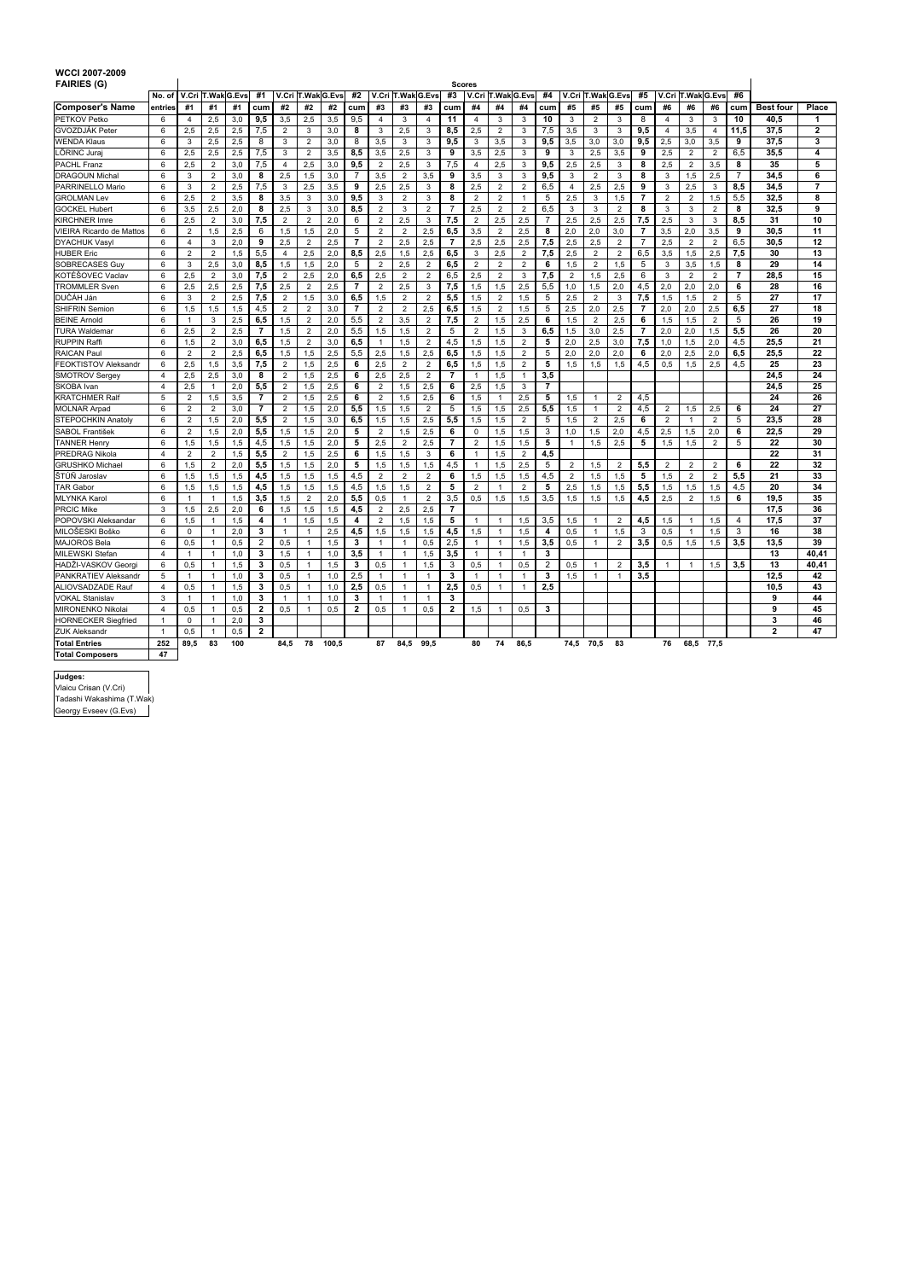| V.Cri T.Wak G.Evs<br>#1<br>V.Cri T.Wak G.Evs<br>#2<br>V.Cri<br><b>T.Wak G.Evs</b><br>#3<br>V.Cri T.Wak G.Evs<br>#4<br>V.Cri<br><b>T.Wak G.Evs</b><br>#5<br>V.Cri T.Wak G.Evs<br>#6<br>No. of<br>#2<br>#2<br>#3<br>#5<br>#6<br>Place<br><b>Composer's Name</b><br>#1<br>#1<br>#1<br>#2<br>#3<br>#3<br>#4<br>#4<br>#4<br>#5<br>#5<br>#6<br>#6<br><b>Best four</b><br>cum<br>cum<br>cum<br>cum<br>entries<br>cum<br>cum<br><b>PETKOV Petko</b><br>9,5<br>9.5<br>3<br>3<br>10<br>40.5<br>6<br>$\overline{4}$<br>2,5<br>3,0<br>3,5<br>2.5<br>3,5<br>$\overline{4}$<br>$\overline{4}$<br>11<br>3<br>10<br>3<br>$\overline{2}$<br>3<br>8<br>$\overline{4}$<br>3<br>3<br>$\overline{4}$<br>1<br>2,5<br>3<br>3<br>3<br>9,5<br>37,5<br>$\mathbf{z}$<br>6<br>2,5<br>2,5<br>7,5<br>$\overline{2}$<br>3<br>3,0<br>8<br>2,5<br>8,5<br>2,5<br>$\overline{2}$<br>3<br>7,5<br>3,5<br>3<br>$\overline{4}$<br>3,5<br>$\overline{4}$<br>11,5<br>2,5<br>37.5<br>3<br><b>WENDA Klaus</b><br>6<br>2.5<br>3,0<br>8<br>3,5<br>3<br>3<br>3,5<br>3<br>9,5<br>3,0<br>9,5<br>3,0<br>9<br>3<br>8<br>3<br>$\overline{2}$<br>9,5<br>3<br>3,5<br>3,0<br>2,5<br>3.5<br>7.5<br>LÖRINC Jurai<br>2.5<br>2.5<br>2.5<br>3<br>$\overline{2}$<br>3.5<br>8.5<br>3.5<br>2.5<br>3<br>9<br>3.5<br>2.5<br>9<br>3<br>2.5<br>9<br>2.5<br>$\overline{2}$<br>$\overline{2}$<br>6.5<br>35.5<br>4<br>6<br>3<br>3.5<br>2.5<br>$\overline{2}$<br>7,5<br>2.5<br>9.5<br>$\overline{2}$<br>2,5<br>3<br>7,5<br>2,5<br>3<br>9.5<br>2.5<br>2,5<br>2,5<br>$\overline{2}$<br>3.5<br>8<br>35<br>5<br>6<br>3,0<br>$\overline{4}$<br>3,0<br>3<br>8<br>$\overline{4}$<br>6<br>6<br>3<br>$\overline{2}$<br>3,0<br>8<br>2,5<br>1,5<br>3,0<br>$\overline{7}$<br>3,5<br>$\overline{2}$<br>3,5<br>9<br>3,5<br>3<br>9,5<br>3<br>$\overline{2}$<br>3<br>8<br>3<br>1,5<br>2,5<br>$\overline{7}$<br>34.5<br>3<br>7.5<br>6.5<br>2.5<br>9<br>2.5<br>$\overline{7}$<br>6<br>3<br>$\overline{2}$<br>2.5<br>3<br>2.5<br>3,5<br>9<br>2.5<br>2,5<br>3<br>8<br>2.5<br>$\overline{2}$<br>$\overline{2}$<br>$\overline{4}$<br>2.5<br>3<br>3<br>8.5<br>34.5<br>6<br>$\overline{2}$<br>9,5<br>$\overline{2}$<br>3<br>5<br>$\overline{2}$<br>$\overline{2}$<br>32.5<br>8<br><b>GROLMAN Lev</b><br>2,5<br>3,5<br>8<br>3,5<br>3<br>3,0<br>3<br>8<br>$\overline{2}$<br>$\overline{2}$<br>2,5<br>3<br>$\overline{7}$<br>5,5<br>1,5<br>1,5<br>1<br>$\overline{2}$<br>32.5<br>6<br>2.5<br>2.0<br>8<br>2.5<br>3<br>3.0<br>8.5<br>$\overline{2}$<br>3<br>$\overline{7}$<br>2.5<br>$\overline{2}$<br>$\overline{2}$<br>6.5<br>3<br>3<br>$\overline{2}$<br>8<br>3<br>3<br>$\overline{2}$<br>8<br>9<br>3.5<br>10<br>7,5<br>2,5<br>3<br>7,5<br>2,5<br>$\overline{7}$<br>2,5<br>7,5<br>2,5<br>3<br><b>KIRCHNER Imre</b><br>6<br>2.5<br>$\overline{2}$<br>3,0<br>$\overline{2}$<br>$\overline{2}$<br>2,0<br>6<br>$\overline{2}$<br>$\overline{2}$<br>2,5<br>2.5<br>2,5<br>3<br>8,5<br>31<br>5<br>$\overline{2}$<br>2.0<br>$\overline{7}$<br>$\overline{2}$<br>1.5<br>2.5<br>6<br>2,0<br>$\overline{2}$<br>2,5<br>6,5<br>3,5<br>$\overline{2}$<br>2,5<br>8<br>2.0<br>3,5<br>9<br>30.5<br>11<br>VIEIRA Ricardo de Mattos<br>6<br>1.5<br>1,5<br>3,0<br>2.0<br>3,5<br>12<br>6<br>$\overline{4}$<br>3<br>2.0<br>9<br>2.5<br>$\overline{2}$<br>2.5<br>7<br>$\overline{2}$<br>2,5<br>2.5<br>$\overline{7}$<br>2.5<br>2,5<br>2.5<br>7,5<br>2.5<br>2.5<br>$\overline{2}$<br>7<br>2.5<br>$\overline{2}$<br>$\overline{2}$<br>6.5<br>30.5<br>$\overline{2}$<br>$\overline{2}$<br>5,5<br>2,5<br>8,5<br>2,5<br>2,5<br>6,5<br>7,5<br>2,5<br>$\overline{2}$<br>6,5<br>13<br>6<br>1,5<br>$\overline{4}$<br>2,0<br>1,5<br>3<br>2,5<br>$\overline{2}$<br>$\overline{2}$<br>3,5<br>1,5<br>2,5<br>7,5<br>30<br>6<br>3<br>2.5<br>8.5<br>1,5<br>1,5<br>2,0<br>5<br>$\overline{2}$<br>$\overline{2}$<br>6.5<br>$\overline{2}$<br>$\overline{2}$<br>$\overline{2}$<br>6<br>1,5<br>$\overline{2}$<br>5<br>3.5<br>8<br>29<br>14<br>3,0<br>2,5<br>1,5<br>3<br>1,5<br>KOTÉŠOVEC Vaclav<br>$\overline{2}$<br>7,5<br>6.5<br>2,5<br>$\overline{2}$<br>$\overline{2}$<br>$\overline{2}$<br>7.5<br>$\overline{2}$<br>6<br>$\overline{2}$<br>$\overline{7}$<br>28.5<br>15<br>6<br>2.5<br>3,0<br>$\overline{2}$<br>2,5<br>2,0<br>6.5<br>2.5<br>3<br>1,5<br>2,5<br>3<br>$\overline{2}$<br>5,5<br>4,5<br>28<br>16<br><b>TROMMLER Sven</b><br>6<br>2,5<br>2,5<br>2,5<br>7,5<br>2,5<br>$\overline{2}$<br>2,5<br>$\overline{7}$<br>$\overline{2}$<br>2,5<br>3<br>7,5<br>1,5<br>1,5<br>2,5<br>1,0<br>1,5<br>2,0<br>2,0<br>2,0<br>2,0<br>6<br>27<br>17<br>$\overline{2}$<br>$\overline{2}$<br>5<br>6<br>2<br>2,5<br>7,5<br>$\overline{2}$<br>3,0<br>6, 5<br>1,5<br>$\overline{\mathbf{c}}$<br>5<br>2,5<br>$\overline{2}$<br>7,5<br>1,5<br>$\overline{2}$<br>3<br>1,5<br>5,5<br>1,5<br>1,5<br>3<br>1,5<br>$\overline{2}$<br>5<br>2.5<br>$\overline{7}$<br>27<br>18<br>1.5<br>1.5<br>1.5<br>4.5<br>$\overline{2}$<br>$\overline{2}$<br>3.0<br>$\overline{7}$<br>$\overline{2}$<br>2.5<br>6.5<br>$\overline{2}$<br>2.0<br>2.5<br>2.0<br>2.0<br>2.5<br>6.5<br>6<br>1.5<br>1.5<br>19<br>2,5<br>6.5<br>1,5<br>$\overline{2}$<br>2,0<br>5,5<br>$\overline{2}$<br>3,5<br>$\overline{2}$<br>7,5<br>2,5<br>$\overline{2}$<br>2.5<br>6<br>1,5<br>$\overline{2}$<br>5<br>26<br>6<br>$\mathbf{1}$<br>3<br>$\overline{2}$<br>1,5<br>6<br>1,5<br>1,5<br>20<br>6<br>2,5<br>2<br>2,5<br>$\overline{7}$<br>1,5<br>2,0<br>5,5<br>1,5<br>2<br>5<br>6,5<br>2,5<br>$\overline{7}$<br>2,0<br>2,0<br>1,5<br>5,5<br>26<br><b>TURA Waldemar</b><br>$\overline{\mathbf{2}}$<br>1,5<br>2<br>1,5<br>3<br>1,5<br>3,0<br>6.5<br>4.5<br>5<br>1,5<br>25.5<br>6<br>1.5<br>$\overline{2}$<br>3,0<br>1,5<br>$\overline{2}$<br>3,0<br>6.5<br>1,5<br>$\overline{2}$<br>1,5<br>1,5<br>$\overline{2}$<br>2.0<br>2,5<br>3.0<br>7,5<br>1.0<br>2.0<br>4.5<br>21<br>$\overline{1}$<br>2,5<br>5,5<br>2,5<br>2,5<br>5<br>25.5<br>22<br><b>RAICAN Paul</b><br>6<br>$\overline{2}$<br>2<br>6,5<br>1,5<br>2,5<br>1,5<br>6,5<br>1,5<br>$\overline{2}$<br>2,0<br>2,0<br>2,0<br>6<br>2,0<br>2,5<br>2,0<br>6,5<br>1,5<br>1,5<br>23<br>6<br>2,5<br>1,5<br>3,5<br>7,5<br>$\overline{2}$<br>2,5<br>6<br>2,5<br>$\overline{2}$<br>$\overline{2}$<br>1,5<br>1,5<br>$\overline{2}$<br>5<br>1,5<br>1,5<br>1,5<br>4,5<br>0,5<br>1,5<br>2,5<br>4,5<br>25<br>1,5<br>6,5<br>24.5<br>24<br>$\overline{4}$<br>2.5<br>2,5<br>6<br>2,5<br>2,5<br>$\overline{2}$<br>3,5<br><b>SMOTROV Sergey</b><br>2,5<br>3,0<br>8<br>$\overline{2}$<br>1,5<br>1,5<br>7<br>$\overline{1}$<br>$\mathbf{1}$<br>$\overline{7}$<br>2.0<br>5,5<br>$\overline{2}$<br>2,5<br>6<br>$\overline{2}$<br>2,5<br>6<br>2,5<br>24.5<br>25<br>$\overline{4}$<br>2,5<br>$\mathbf{1}$<br>1.5<br>1,5<br>1,5<br>3<br>$\overline{7}$<br>$\overline{2}$<br>2,5<br>6<br>$\overline{2}$<br>2.5<br>2.5<br>5<br>24<br>26<br><b>KRATCHMER Ralf</b><br>5<br>$\overline{2}$<br>1.5<br>3.5<br>1.5<br>1.5<br>6<br>1.5<br>$\mathbf{1}$<br>$\overline{2}$<br>4.5<br>1.5<br>$\overline{1}$<br>$\overline{2}$<br>$\overline{2}$<br>$\overline{7}$<br>5, 5<br>1,5<br>$\overline{2}$<br>5<br>5,5<br>4,5<br>24<br>27<br>6<br>3,0<br>$\overline{2}$<br>1,5<br>2,0<br>1,5<br>1,5<br>1,5<br>2,5<br>1,5<br>$\mathbf{1}$<br>$\overline{2}$<br>$\overline{2}$<br>1,5<br>2,5<br>6<br>STEPOCHKIN Anatoly<br>$\overline{2}$<br>5,5<br>2,5<br>5.5<br>$\overline{2}$<br>5<br>6<br>5<br>23.5<br>28<br>6<br>1,5<br>2,0<br>$\overline{2}$<br>1,5<br>3,0<br>6.5<br>1,5<br>1,5<br>1,5<br>1,5<br>1,5<br>$\overline{2}$<br>2.5<br>$\overline{2}$<br>$\overline{2}$<br>$\overline{1}$<br>29<br>6<br>2.0<br>5.5<br>5<br>3<br>4,5<br>22.5<br>$\overline{2}$<br>1.5<br>1,5<br>1,5<br>2,0<br>$\overline{2}$<br>1,5<br>2,5<br>6<br>1,5<br>1,5<br>1.0<br>1,5<br>2.0<br>2.5<br>1,5<br>6<br>SABOL Františel<br>0<br>2.0<br>6<br>5<br>2.5<br>$\overline{2}$<br>2.5<br>$\overline{2}$<br>5<br>1.5<br>2.5<br>5<br>1,5<br>$\overline{2}$<br>5<br>22<br>30<br><b>TANNER Henry</b><br>1,5<br>1,5<br>1,5<br>4,5<br>1,5<br>1,5<br>2,0<br>$\overline{\phantom{a}}$<br>1,5<br>1,5<br>1,5<br>-1<br>2,5<br>6<br>22<br>31<br><b>PREDRAG Nikola</b><br>$\overline{4}$<br>$\overline{2}$<br>1,5<br>5,5<br>$\overline{2}$<br>1,5<br>1,5<br>3<br>1,5<br>$\overline{2}$<br>4,5<br>2<br>1,5<br>6<br>$\overline{1}$<br><b>GRUSHKO Michael</b><br>5,5<br>5<br>22<br>32<br>$\overline{2}$<br>2.0<br>1,5<br>2,0<br>5<br>1,5<br>1,5<br>1.5<br>4.5<br>1,5<br>2.5<br>$\overline{2}$<br>5,5<br>$\overline{2}$<br>$\overline{2}$<br>6<br>6<br>1.5<br>1.5<br>$\overline{1}$<br>1.5<br>$\overline{2}$<br>$\overline{2}$<br>6<br>1.5<br>1,5<br>4.5<br>1,5<br>1,5<br>1,5<br>4.5<br>$\overline{2}$<br>$\overline{2}$<br>$\overline{2}$<br>4,5<br>$\overline{2}$<br>1,5<br>5<br>1,5<br>$\overline{2}$<br>$\overline{2}$<br>5.5<br>21<br>33<br>1,5<br>6<br>1.5<br>1,5<br>1,5<br>1,5<br>34<br><b>TAR Gabor</b><br>6<br>1,5<br>1,5<br>1,5<br>4,5<br>1,5<br>1,5<br>1,5<br>4,5<br>1,5<br>1,5<br>$\overline{2}$<br>5<br>$\overline{2}$<br>$\mathbf{1}$<br>$\overline{2}$<br>5<br>2,5<br>1,5<br>5,5<br>1,5<br>1,5<br>4,5<br>20<br>1,5<br>1,5<br>3.5<br>5.5<br>1.5<br>3.5<br>1.5<br>$\overline{2}$<br>6<br>19.5<br>35<br>6<br>1.5<br>$\overline{2}$<br>2.0<br>0.5<br>$\overline{2}$<br>3.5<br>0.5<br>1,5<br>1.5<br>1.5<br>4.5<br>2.5<br>1.5<br>$\mathbf{1}$<br>$\overline{1}$<br>1,5<br>$\overline{1}$<br>36<br>3<br>2.5<br>2,0<br>6<br>1,5<br>4,5<br>$\overline{2}$<br>2,5<br>2,5<br>$\overline{7}$<br>17.5<br>1,5<br>1,5<br>1,5<br>37<br>POPOVSKI Aleksandar<br>6<br>1,5<br>1,5<br>4<br>$\overline{2}$<br>1,5<br>1,5<br>5<br>3,5<br>4,5<br>1,5<br>4<br>17,5<br>1,5<br>$\overline{1}$<br>4<br>1,5<br>$\mathbf{1}$<br>1<br>1,5<br>1,5<br>2<br>1,5<br>1<br>$\mathbf{1}$<br>$\mathbf{1}$<br>16<br>38<br>6<br>2,0<br>3<br>3<br>$\overline{1}$<br>2,5<br>4,5<br>1,5<br>1,5<br>1,5<br>4,5<br>1,5<br>1,5<br>4<br>0,5<br>1,5<br>3<br>0,5<br>$\Omega$<br>$\mathbf{1}$<br>$\mathbf{1}$<br>$\mathbf{1}$<br>1,5<br>-1<br>-1<br>39<br>0.5<br>$\overline{2}$<br>0,5<br>1.5<br>3<br>2,5<br>3,5<br>0.5<br>$\overline{2}$<br>3,5<br>1,5<br>1,5<br>13.5<br>6<br>0.5<br>$\mathbf{1}$<br>$\mathbf{1}$<br>0.5<br>1,5<br>$\mathbf{1}$<br>0,5<br>3,5<br>$\overline{1}$<br>$\mathbf{1}$<br>$\mathbf{1}$<br>1<br>3<br>3.5<br>3<br>13<br>40.41<br>$\overline{4}$<br>$\mathbf{1}$<br>$\mathbf{1}$<br>1.0<br>1.0<br>$\mathbf{1}$<br>1.5<br>3.5<br>1.5<br>$\overline{1}$<br>$\mathbf{1}$<br>$\mathbf{1}$<br>1<br>$\overline{1}$<br>1,5<br>0,5<br>$\overline{2}$<br>13<br>40.41<br>6<br>0,5<br>$\overline{1}$<br>1,5<br>3<br>0,5<br>3<br>$\overline{1}$<br>1,5<br>3<br>0,5<br>$\mathbf{1}$<br>0,5<br>0,5<br>$\overline{2}$<br>3,5<br>1,5<br>3.5<br>$\mathbf{1}$<br>$\mathbf{1}$<br>$\mathbf{1}$<br>$\mathbf{1}$<br>5<br>3<br>2,5<br>3<br>3<br>12,5<br>42<br>1,0<br>0,5<br>1,0<br>$\mathbf{1}$<br>1,5<br>3,5<br>$\overline{1}$<br>$\overline{1}$<br>$\mathbf{1}$<br>$\overline{1}$<br>$\mathbf{1}$<br>$\overline{1}$<br>1<br>$\mathbf{1}$<br>$\mathbf{1}$<br>$\mathbf{1}$<br>2.5<br>43<br>$\overline{4}$<br>0.5<br>1,5<br>3<br>0.5<br>1.0<br>2,5<br>0.5<br>$\overline{1}$<br>$\mathbf{1}$<br>2,5<br>0,5<br>10.5<br>$\overline{1}$<br>$\mathbf{1}$<br>1<br>$\mathbf{1}$<br>3<br>3<br>3<br>3<br>44<br>1,0<br>1.0<br>$\mathbf{1}$<br>$\overline{1}$<br>$\mathbf{1}$<br>9<br>$\mathbf{1}$<br>$\overline{1}$<br>$\mathbf{1}$<br>-1<br>2<br>45<br>4<br>0,5<br>0,5<br>0,5<br>$\overline{2}$<br>0,5<br>0,5<br>$\overline{2}$<br>3<br>9<br>MIRONENKO Nikolai<br>0,5<br>$\overline{1}$<br>1,5<br>0,5<br>$\mathbf{1}$<br>1<br>-1<br>3<br>46<br>2.0<br>3<br>$\mathbf{1}$<br>$\mathbf 0$<br>$\overline{1}$<br>$\overline{2}$<br>$\overline{2}$<br>0,5<br>47<br>$\overline{1}$<br>0.5<br>$\overline{1}$<br>252<br>83<br>100<br>78<br>80<br>70.5<br>89.5<br>84.5<br>100.5<br>87<br>84.5<br>99.5<br>74<br>86.5<br>74.5<br>83<br>76<br>68.5<br>77.5<br>47 | <b>FAIRIES (G)</b>         |  |  |  |  |  |  | <b>Scores</b> |  |  |  |  |  |  |  |
|-------------------------------------------------------------------------------------------------------------------------------------------------------------------------------------------------------------------------------------------------------------------------------------------------------------------------------------------------------------------------------------------------------------------------------------------------------------------------------------------------------------------------------------------------------------------------------------------------------------------------------------------------------------------------------------------------------------------------------------------------------------------------------------------------------------------------------------------------------------------------------------------------------------------------------------------------------------------------------------------------------------------------------------------------------------------------------------------------------------------------------------------------------------------------------------------------------------------------------------------------------------------------------------------------------------------------------------------------------------------------------------------------------------------------------------------------------------------------------------------------------------------------------------------------------------------------------------------------------------------------------------------------------------------------------------------------------------------------------------------------------------------------------------------------------------------------------------------------------------------------------------------------------------------------------------------------------------------------------------------------------------------------------------------------------------------------------------------------------------------------------------------------------------------------------------------------------------------------------------------------------------------------------------------------------------------------------------------------------------------------------------------------------------------------------------------------------------------------------------------------------------------------------------------------------------------------------------------------------------------------------------------------------------------------------------------------------------------------------------------------------------------------------------------------------------------------------------------------------------------------------------------------------------------------------------------------------------------------------------------------------------------------------------------------------------------------------------------------------------------------------------------------------------------------------------------------------------------------------------------------------------------------------------------------------------------------------------------------------------------------------------------------------------------------------------------------------------------------------------------------------------------------------------------------------------------------------------------------------------------------------------------------------------------------------------------------------------------------------------------------------------------------------------------------------------------------------------------------------------------------------------------------------------------------------------------------------------------------------------------------------------------------------------------------------------------------------------------------------------------------------------------------------------------------------------------------------------------------------------------------------------------------------------------------------------------------------------------------------------------------------------------------------------------------------------------------------------------------------------------------------------------------------------------------------------------------------------------------------------------------------------------------------------------------------------------------------------------------------------------------------------------------------------------------------------------------------------------------------------------------------------------------------------------------------------------------------------------------------------------------------------------------------------------------------------------------------------------------------------------------------------------------------------------------------------------------------------------------------------------------------------------------------------------------------------------------------------------------------------------------------------------------------------------------------------------------------------------------------------------------------------------------------------------------------------------------------------------------------------------------------------------------------------------------------------------------------------------------------------------------------------------------------------------------------------------------------------------------------------------------------------------------------------------------------------------------------------------------------------------------------------------------------------------------------------------------------------------------------------------------------------------------------------------------------------------------------------------------------------------------------------------------------------------------------------------------------------------------------------------------------------------------------------------------------------------------------------------------------------------------------------------------------------------------------------------------------------------------------------------------------------------------------------------------------------------------------------------------------------------------------------------------------------------------------------------------------------------------------------------------------------------------------------------------------------------------------------------------------------------------------------------------------------------------------------------------------------------------------------------------------------------------------------------------------------------------------------------------------------------------------------------------------------------------------------------------------------------------------------------------------------------------------------------------------------------------------------------------------------------------------------------------------------------------------------------------------------------------------------------------------------------------------------------------------------------------------------------------------------------------------------------------------------------------------------------------------------------------------------------------------------------------------------------------------------------------------------------------------------------------------------------------------------------------------------------------------------------------------------------------------------------------------------------------------------------------------------------------------------------------------------------------------------------------------------------------------------------------------------------------------------------------------------------------------------------------------------------------------------------------------------------------------------------------------------------------------------------------------------------------------------------------------------------------------------------------------------------------------------------------------------------------------------------------------------------------------------------------------------------------------------------------------------------------------------------------------------------------------------------------------------------------------------------------------------------------------------------------------------------------------------------------------------------------------------------------------------------------------------------------------------------------------------------------------------------------------------------------------------------------------------------------------------------------------------------------------------------------------------------------------------------------------------------------------------------------------------------------------------------------------------------------------------------------------------------------------------------------------------------------------------------------------------------------------------------------------------------------------------------------------------------------------------------------------------------------------------------------------------------------------------------------------------------------------------------------------------------------------------------------------------------------------------------------------------------------------------------------------------------------------------------------------------------------------------------------------------------------------------------------------------------------------------------------------------------------------------------------------------------------------------------------------------------------------------------------------------------------------------------------------------------------------------------------------------------------------------------------------------------------------------------------------------------------------------------------------------------------------------------------------------------------------------------------------------------------------------------------------------------------------------------------------------------------------------------------------------------------------------------------------------------------------------------------------------------------------------------------------------------------------------------------------------------------------------------------------------------------------------------------------------------------------------------------------------------------------------------------------------------------------------------------------------------------------------------------------------------------------------------------------------------------------------------------------------------------------------------------------------------------------------|----------------------------|--|--|--|--|--|--|---------------|--|--|--|--|--|--|--|
|                                                                                                                                                                                                                                                                                                                                                                                                                                                                                                                                                                                                                                                                                                                                                                                                                                                                                                                                                                                                                                                                                                                                                                                                                                                                                                                                                                                                                                                                                                                                                                                                                                                                                                                                                                                                                                                                                                                                                                                                                                                                                                                                                                                                                                                                                                                                                                                                                                                                                                                                                                                                                                                                                                                                                                                                                                                                                                                                                                                                                                                                                                                                                                                                                                                                                                                                                                                                                                                                                                                                                                                                                                                                                                                                                                                                                                                                                                                                                                                                                                                                                                                                                                                                                                                                                                                                                                                                                                                                                                                                                                                                                                                                                                                                                                                                                                                                                                                                                                                                                                                                                                                                                                                                                                                                                                                                                                                                                                                                                                                                                                                                                                                                                                                                                                                                                                                                                                                                                                                                                                                                                                                                                                                                                                                                                                                                                                                                                                                                                                                                                                                                                                                                                                                                                                                                                                                                                                                                                                                                                                                                                                                                                                                                                                                                                                                                                                                                                                                                                                                                                                                                                                                                                                                                                                                                                                                                                                                                                                                                                                                                                                                                                                                                                                                                                                                                                                                                                                                                                                                                                                                                                                                                                                                                                                                                                                                                                                                                                                                                                                                                                                                                                                                                                                                                                                                                                                                                                                                                                                                                                                                                                                                                                                                                                                                                                                                                                                                                                                                                                                                                                                                                                                                                                                                                                                                                                                                                                                                                                                                                                                                                                                                                                                                                                                                                                                                                                                                                                                                                                                                                                                                                                                                                                                                                                                                                                                                                                                                                                                                                                                                                                                                                                                                                                             |                            |  |  |  |  |  |  |               |  |  |  |  |  |  |  |
|                                                                                                                                                                                                                                                                                                                                                                                                                                                                                                                                                                                                                                                                                                                                                                                                                                                                                                                                                                                                                                                                                                                                                                                                                                                                                                                                                                                                                                                                                                                                                                                                                                                                                                                                                                                                                                                                                                                                                                                                                                                                                                                                                                                                                                                                                                                                                                                                                                                                                                                                                                                                                                                                                                                                                                                                                                                                                                                                                                                                                                                                                                                                                                                                                                                                                                                                                                                                                                                                                                                                                                                                                                                                                                                                                                                                                                                                                                                                                                                                                                                                                                                                                                                                                                                                                                                                                                                                                                                                                                                                                                                                                                                                                                                                                                                                                                                                                                                                                                                                                                                                                                                                                                                                                                                                                                                                                                                                                                                                                                                                                                                                                                                                                                                                                                                                                                                                                                                                                                                                                                                                                                                                                                                                                                                                                                                                                                                                                                                                                                                                                                                                                                                                                                                                                                                                                                                                                                                                                                                                                                                                                                                                                                                                                                                                                                                                                                                                                                                                                                                                                                                                                                                                                                                                                                                                                                                                                                                                                                                                                                                                                                                                                                                                                                                                                                                                                                                                                                                                                                                                                                                                                                                                                                                                                                                                                                                                                                                                                                                                                                                                                                                                                                                                                                                                                                                                                                                                                                                                                                                                                                                                                                                                                                                                                                                                                                                                                                                                                                                                                                                                                                                                                                                                                                                                                                                                                                                                                                                                                                                                                                                                                                                                                                                                                                                                                                                                                                                                                                                                                                                                                                                                                                                                                                                                                                                                                                                                                                                                                                                                                                                                                                                                                                                                                             |                            |  |  |  |  |  |  |               |  |  |  |  |  |  |  |
|                                                                                                                                                                                                                                                                                                                                                                                                                                                                                                                                                                                                                                                                                                                                                                                                                                                                                                                                                                                                                                                                                                                                                                                                                                                                                                                                                                                                                                                                                                                                                                                                                                                                                                                                                                                                                                                                                                                                                                                                                                                                                                                                                                                                                                                                                                                                                                                                                                                                                                                                                                                                                                                                                                                                                                                                                                                                                                                                                                                                                                                                                                                                                                                                                                                                                                                                                                                                                                                                                                                                                                                                                                                                                                                                                                                                                                                                                                                                                                                                                                                                                                                                                                                                                                                                                                                                                                                                                                                                                                                                                                                                                                                                                                                                                                                                                                                                                                                                                                                                                                                                                                                                                                                                                                                                                                                                                                                                                                                                                                                                                                                                                                                                                                                                                                                                                                                                                                                                                                                                                                                                                                                                                                                                                                                                                                                                                                                                                                                                                                                                                                                                                                                                                                                                                                                                                                                                                                                                                                                                                                                                                                                                                                                                                                                                                                                                                                                                                                                                                                                                                                                                                                                                                                                                                                                                                                                                                                                                                                                                                                                                                                                                                                                                                                                                                                                                                                                                                                                                                                                                                                                                                                                                                                                                                                                                                                                                                                                                                                                                                                                                                                                                                                                                                                                                                                                                                                                                                                                                                                                                                                                                                                                                                                                                                                                                                                                                                                                                                                                                                                                                                                                                                                                                                                                                                                                                                                                                                                                                                                                                                                                                                                                                                                                                                                                                                                                                                                                                                                                                                                                                                                                                                                                                                                                                                                                                                                                                                                                                                                                                                                                                                                                                                                                                                             |                            |  |  |  |  |  |  |               |  |  |  |  |  |  |  |
|                                                                                                                                                                                                                                                                                                                                                                                                                                                                                                                                                                                                                                                                                                                                                                                                                                                                                                                                                                                                                                                                                                                                                                                                                                                                                                                                                                                                                                                                                                                                                                                                                                                                                                                                                                                                                                                                                                                                                                                                                                                                                                                                                                                                                                                                                                                                                                                                                                                                                                                                                                                                                                                                                                                                                                                                                                                                                                                                                                                                                                                                                                                                                                                                                                                                                                                                                                                                                                                                                                                                                                                                                                                                                                                                                                                                                                                                                                                                                                                                                                                                                                                                                                                                                                                                                                                                                                                                                                                                                                                                                                                                                                                                                                                                                                                                                                                                                                                                                                                                                                                                                                                                                                                                                                                                                                                                                                                                                                                                                                                                                                                                                                                                                                                                                                                                                                                                                                                                                                                                                                                                                                                                                                                                                                                                                                                                                                                                                                                                                                                                                                                                                                                                                                                                                                                                                                                                                                                                                                                                                                                                                                                                                                                                                                                                                                                                                                                                                                                                                                                                                                                                                                                                                                                                                                                                                                                                                                                                                                                                                                                                                                                                                                                                                                                                                                                                                                                                                                                                                                                                                                                                                                                                                                                                                                                                                                                                                                                                                                                                                                                                                                                                                                                                                                                                                                                                                                                                                                                                                                                                                                                                                                                                                                                                                                                                                                                                                                                                                                                                                                                                                                                                                                                                                                                                                                                                                                                                                                                                                                                                                                                                                                                                                                                                                                                                                                                                                                                                                                                                                                                                                                                                                                                                                                                                                                                                                                                                                                                                                                                                                                                                                                                                                                                                                             | <b>GVOZDJÁK Peter</b>      |  |  |  |  |  |  |               |  |  |  |  |  |  |  |
|                                                                                                                                                                                                                                                                                                                                                                                                                                                                                                                                                                                                                                                                                                                                                                                                                                                                                                                                                                                                                                                                                                                                                                                                                                                                                                                                                                                                                                                                                                                                                                                                                                                                                                                                                                                                                                                                                                                                                                                                                                                                                                                                                                                                                                                                                                                                                                                                                                                                                                                                                                                                                                                                                                                                                                                                                                                                                                                                                                                                                                                                                                                                                                                                                                                                                                                                                                                                                                                                                                                                                                                                                                                                                                                                                                                                                                                                                                                                                                                                                                                                                                                                                                                                                                                                                                                                                                                                                                                                                                                                                                                                                                                                                                                                                                                                                                                                                                                                                                                                                                                                                                                                                                                                                                                                                                                                                                                                                                                                                                                                                                                                                                                                                                                                                                                                                                                                                                                                                                                                                                                                                                                                                                                                                                                                                                                                                                                                                                                                                                                                                                                                                                                                                                                                                                                                                                                                                                                                                                                                                                                                                                                                                                                                                                                                                                                                                                                                                                                                                                                                                                                                                                                                                                                                                                                                                                                                                                                                                                                                                                                                                                                                                                                                                                                                                                                                                                                                                                                                                                                                                                                                                                                                                                                                                                                                                                                                                                                                                                                                                                                                                                                                                                                                                                                                                                                                                                                                                                                                                                                                                                                                                                                                                                                                                                                                                                                                                                                                                                                                                                                                                                                                                                                                                                                                                                                                                                                                                                                                                                                                                                                                                                                                                                                                                                                                                                                                                                                                                                                                                                                                                                                                                                                                                                                                                                                                                                                                                                                                                                                                                                                                                                                                                                                                                             |                            |  |  |  |  |  |  |               |  |  |  |  |  |  |  |
|                                                                                                                                                                                                                                                                                                                                                                                                                                                                                                                                                                                                                                                                                                                                                                                                                                                                                                                                                                                                                                                                                                                                                                                                                                                                                                                                                                                                                                                                                                                                                                                                                                                                                                                                                                                                                                                                                                                                                                                                                                                                                                                                                                                                                                                                                                                                                                                                                                                                                                                                                                                                                                                                                                                                                                                                                                                                                                                                                                                                                                                                                                                                                                                                                                                                                                                                                                                                                                                                                                                                                                                                                                                                                                                                                                                                                                                                                                                                                                                                                                                                                                                                                                                                                                                                                                                                                                                                                                                                                                                                                                                                                                                                                                                                                                                                                                                                                                                                                                                                                                                                                                                                                                                                                                                                                                                                                                                                                                                                                                                                                                                                                                                                                                                                                                                                                                                                                                                                                                                                                                                                                                                                                                                                                                                                                                                                                                                                                                                                                                                                                                                                                                                                                                                                                                                                                                                                                                                                                                                                                                                                                                                                                                                                                                                                                                                                                                                                                                                                                                                                                                                                                                                                                                                                                                                                                                                                                                                                                                                                                                                                                                                                                                                                                                                                                                                                                                                                                                                                                                                                                                                                                                                                                                                                                                                                                                                                                                                                                                                                                                                                                                                                                                                                                                                                                                                                                                                                                                                                                                                                                                                                                                                                                                                                                                                                                                                                                                                                                                                                                                                                                                                                                                                                                                                                                                                                                                                                                                                                                                                                                                                                                                                                                                                                                                                                                                                                                                                                                                                                                                                                                                                                                                                                                                                                                                                                                                                                                                                                                                                                                                                                                                                                                                                                                             |                            |  |  |  |  |  |  |               |  |  |  |  |  |  |  |
|                                                                                                                                                                                                                                                                                                                                                                                                                                                                                                                                                                                                                                                                                                                                                                                                                                                                                                                                                                                                                                                                                                                                                                                                                                                                                                                                                                                                                                                                                                                                                                                                                                                                                                                                                                                                                                                                                                                                                                                                                                                                                                                                                                                                                                                                                                                                                                                                                                                                                                                                                                                                                                                                                                                                                                                                                                                                                                                                                                                                                                                                                                                                                                                                                                                                                                                                                                                                                                                                                                                                                                                                                                                                                                                                                                                                                                                                                                                                                                                                                                                                                                                                                                                                                                                                                                                                                                                                                                                                                                                                                                                                                                                                                                                                                                                                                                                                                                                                                                                                                                                                                                                                                                                                                                                                                                                                                                                                                                                                                                                                                                                                                                                                                                                                                                                                                                                                                                                                                                                                                                                                                                                                                                                                                                                                                                                                                                                                                                                                                                                                                                                                                                                                                                                                                                                                                                                                                                                                                                                                                                                                                                                                                                                                                                                                                                                                                                                                                                                                                                                                                                                                                                                                                                                                                                                                                                                                                                                                                                                                                                                                                                                                                                                                                                                                                                                                                                                                                                                                                                                                                                                                                                                                                                                                                                                                                                                                                                                                                                                                                                                                                                                                                                                                                                                                                                                                                                                                                                                                                                                                                                                                                                                                                                                                                                                                                                                                                                                                                                                                                                                                                                                                                                                                                                                                                                                                                                                                                                                                                                                                                                                                                                                                                                                                                                                                                                                                                                                                                                                                                                                                                                                                                                                                                                                                                                                                                                                                                                                                                                                                                                                                                                                                                                                                                             | PACHL Franz                |  |  |  |  |  |  |               |  |  |  |  |  |  |  |
|                                                                                                                                                                                                                                                                                                                                                                                                                                                                                                                                                                                                                                                                                                                                                                                                                                                                                                                                                                                                                                                                                                                                                                                                                                                                                                                                                                                                                                                                                                                                                                                                                                                                                                                                                                                                                                                                                                                                                                                                                                                                                                                                                                                                                                                                                                                                                                                                                                                                                                                                                                                                                                                                                                                                                                                                                                                                                                                                                                                                                                                                                                                                                                                                                                                                                                                                                                                                                                                                                                                                                                                                                                                                                                                                                                                                                                                                                                                                                                                                                                                                                                                                                                                                                                                                                                                                                                                                                                                                                                                                                                                                                                                                                                                                                                                                                                                                                                                                                                                                                                                                                                                                                                                                                                                                                                                                                                                                                                                                                                                                                                                                                                                                                                                                                                                                                                                                                                                                                                                                                                                                                                                                                                                                                                                                                                                                                                                                                                                                                                                                                                                                                                                                                                                                                                                                                                                                                                                                                                                                                                                                                                                                                                                                                                                                                                                                                                                                                                                                                                                                                                                                                                                                                                                                                                                                                                                                                                                                                                                                                                                                                                                                                                                                                                                                                                                                                                                                                                                                                                                                                                                                                                                                                                                                                                                                                                                                                                                                                                                                                                                                                                                                                                                                                                                                                                                                                                                                                                                                                                                                                                                                                                                                                                                                                                                                                                                                                                                                                                                                                                                                                                                                                                                                                                                                                                                                                                                                                                                                                                                                                                                                                                                                                                                                                                                                                                                                                                                                                                                                                                                                                                                                                                                                                                                                                                                                                                                                                                                                                                                                                                                                                                                                                                                                                             | <b>DRAGOUN Michal</b>      |  |  |  |  |  |  |               |  |  |  |  |  |  |  |
|                                                                                                                                                                                                                                                                                                                                                                                                                                                                                                                                                                                                                                                                                                                                                                                                                                                                                                                                                                                                                                                                                                                                                                                                                                                                                                                                                                                                                                                                                                                                                                                                                                                                                                                                                                                                                                                                                                                                                                                                                                                                                                                                                                                                                                                                                                                                                                                                                                                                                                                                                                                                                                                                                                                                                                                                                                                                                                                                                                                                                                                                                                                                                                                                                                                                                                                                                                                                                                                                                                                                                                                                                                                                                                                                                                                                                                                                                                                                                                                                                                                                                                                                                                                                                                                                                                                                                                                                                                                                                                                                                                                                                                                                                                                                                                                                                                                                                                                                                                                                                                                                                                                                                                                                                                                                                                                                                                                                                                                                                                                                                                                                                                                                                                                                                                                                                                                                                                                                                                                                                                                                                                                                                                                                                                                                                                                                                                                                                                                                                                                                                                                                                                                                                                                                                                                                                                                                                                                                                                                                                                                                                                                                                                                                                                                                                                                                                                                                                                                                                                                                                                                                                                                                                                                                                                                                                                                                                                                                                                                                                                                                                                                                                                                                                                                                                                                                                                                                                                                                                                                                                                                                                                                                                                                                                                                                                                                                                                                                                                                                                                                                                                                                                                                                                                                                                                                                                                                                                                                                                                                                                                                                                                                                                                                                                                                                                                                                                                                                                                                                                                                                                                                                                                                                                                                                                                                                                                                                                                                                                                                                                                                                                                                                                                                                                                                                                                                                                                                                                                                                                                                                                                                                                                                                                                                                                                                                                                                                                                                                                                                                                                                                                                                                                                                                                             | PARRINELLO Mario           |  |  |  |  |  |  |               |  |  |  |  |  |  |  |
|                                                                                                                                                                                                                                                                                                                                                                                                                                                                                                                                                                                                                                                                                                                                                                                                                                                                                                                                                                                                                                                                                                                                                                                                                                                                                                                                                                                                                                                                                                                                                                                                                                                                                                                                                                                                                                                                                                                                                                                                                                                                                                                                                                                                                                                                                                                                                                                                                                                                                                                                                                                                                                                                                                                                                                                                                                                                                                                                                                                                                                                                                                                                                                                                                                                                                                                                                                                                                                                                                                                                                                                                                                                                                                                                                                                                                                                                                                                                                                                                                                                                                                                                                                                                                                                                                                                                                                                                                                                                                                                                                                                                                                                                                                                                                                                                                                                                                                                                                                                                                                                                                                                                                                                                                                                                                                                                                                                                                                                                                                                                                                                                                                                                                                                                                                                                                                                                                                                                                                                                                                                                                                                                                                                                                                                                                                                                                                                                                                                                                                                                                                                                                                                                                                                                                                                                                                                                                                                                                                                                                                                                                                                                                                                                                                                                                                                                                                                                                                                                                                                                                                                                                                                                                                                                                                                                                                                                                                                                                                                                                                                                                                                                                                                                                                                                                                                                                                                                                                                                                                                                                                                                                                                                                                                                                                                                                                                                                                                                                                                                                                                                                                                                                                                                                                                                                                                                                                                                                                                                                                                                                                                                                                                                                                                                                                                                                                                                                                                                                                                                                                                                                                                                                                                                                                                                                                                                                                                                                                                                                                                                                                                                                                                                                                                                                                                                                                                                                                                                                                                                                                                                                                                                                                                                                                                                                                                                                                                                                                                                                                                                                                                                                                                                                                                                                             |                            |  |  |  |  |  |  |               |  |  |  |  |  |  |  |
|                                                                                                                                                                                                                                                                                                                                                                                                                                                                                                                                                                                                                                                                                                                                                                                                                                                                                                                                                                                                                                                                                                                                                                                                                                                                                                                                                                                                                                                                                                                                                                                                                                                                                                                                                                                                                                                                                                                                                                                                                                                                                                                                                                                                                                                                                                                                                                                                                                                                                                                                                                                                                                                                                                                                                                                                                                                                                                                                                                                                                                                                                                                                                                                                                                                                                                                                                                                                                                                                                                                                                                                                                                                                                                                                                                                                                                                                                                                                                                                                                                                                                                                                                                                                                                                                                                                                                                                                                                                                                                                                                                                                                                                                                                                                                                                                                                                                                                                                                                                                                                                                                                                                                                                                                                                                                                                                                                                                                                                                                                                                                                                                                                                                                                                                                                                                                                                                                                                                                                                                                                                                                                                                                                                                                                                                                                                                                                                                                                                                                                                                                                                                                                                                                                                                                                                                                                                                                                                                                                                                                                                                                                                                                                                                                                                                                                                                                                                                                                                                                                                                                                                                                                                                                                                                                                                                                                                                                                                                                                                                                                                                                                                                                                                                                                                                                                                                                                                                                                                                                                                                                                                                                                                                                                                                                                                                                                                                                                                                                                                                                                                                                                                                                                                                                                                                                                                                                                                                                                                                                                                                                                                                                                                                                                                                                                                                                                                                                                                                                                                                                                                                                                                                                                                                                                                                                                                                                                                                                                                                                                                                                                                                                                                                                                                                                                                                                                                                                                                                                                                                                                                                                                                                                                                                                                                                                                                                                                                                                                                                                                                                                                                                                                                                                                                                                             | <b>GOCKEL Hubert</b>       |  |  |  |  |  |  |               |  |  |  |  |  |  |  |
|                                                                                                                                                                                                                                                                                                                                                                                                                                                                                                                                                                                                                                                                                                                                                                                                                                                                                                                                                                                                                                                                                                                                                                                                                                                                                                                                                                                                                                                                                                                                                                                                                                                                                                                                                                                                                                                                                                                                                                                                                                                                                                                                                                                                                                                                                                                                                                                                                                                                                                                                                                                                                                                                                                                                                                                                                                                                                                                                                                                                                                                                                                                                                                                                                                                                                                                                                                                                                                                                                                                                                                                                                                                                                                                                                                                                                                                                                                                                                                                                                                                                                                                                                                                                                                                                                                                                                                                                                                                                                                                                                                                                                                                                                                                                                                                                                                                                                                                                                                                                                                                                                                                                                                                                                                                                                                                                                                                                                                                                                                                                                                                                                                                                                                                                                                                                                                                                                                                                                                                                                                                                                                                                                                                                                                                                                                                                                                                                                                                                                                                                                                                                                                                                                                                                                                                                                                                                                                                                                                                                                                                                                                                                                                                                                                                                                                                                                                                                                                                                                                                                                                                                                                                                                                                                                                                                                                                                                                                                                                                                                                                                                                                                                                                                                                                                                                                                                                                                                                                                                                                                                                                                                                                                                                                                                                                                                                                                                                                                                                                                                                                                                                                                                                                                                                                                                                                                                                                                                                                                                                                                                                                                                                                                                                                                                                                                                                                                                                                                                                                                                                                                                                                                                                                                                                                                                                                                                                                                                                                                                                                                                                                                                                                                                                                                                                                                                                                                                                                                                                                                                                                                                                                                                                                                                                                                                                                                                                                                                                                                                                                                                                                                                                                                                                                                                             |                            |  |  |  |  |  |  |               |  |  |  |  |  |  |  |
|                                                                                                                                                                                                                                                                                                                                                                                                                                                                                                                                                                                                                                                                                                                                                                                                                                                                                                                                                                                                                                                                                                                                                                                                                                                                                                                                                                                                                                                                                                                                                                                                                                                                                                                                                                                                                                                                                                                                                                                                                                                                                                                                                                                                                                                                                                                                                                                                                                                                                                                                                                                                                                                                                                                                                                                                                                                                                                                                                                                                                                                                                                                                                                                                                                                                                                                                                                                                                                                                                                                                                                                                                                                                                                                                                                                                                                                                                                                                                                                                                                                                                                                                                                                                                                                                                                                                                                                                                                                                                                                                                                                                                                                                                                                                                                                                                                                                                                                                                                                                                                                                                                                                                                                                                                                                                                                                                                                                                                                                                                                                                                                                                                                                                                                                                                                                                                                                                                                                                                                                                                                                                                                                                                                                                                                                                                                                                                                                                                                                                                                                                                                                                                                                                                                                                                                                                                                                                                                                                                                                                                                                                                                                                                                                                                                                                                                                                                                                                                                                                                                                                                                                                                                                                                                                                                                                                                                                                                                                                                                                                                                                                                                                                                                                                                                                                                                                                                                                                                                                                                                                                                                                                                                                                                                                                                                                                                                                                                                                                                                                                                                                                                                                                                                                                                                                                                                                                                                                                                                                                                                                                                                                                                                                                                                                                                                                                                                                                                                                                                                                                                                                                                                                                                                                                                                                                                                                                                                                                                                                                                                                                                                                                                                                                                                                                                                                                                                                                                                                                                                                                                                                                                                                                                                                                                                                                                                                                                                                                                                                                                                                                                                                                                                                                                                                                             |                            |  |  |  |  |  |  |               |  |  |  |  |  |  |  |
|                                                                                                                                                                                                                                                                                                                                                                                                                                                                                                                                                                                                                                                                                                                                                                                                                                                                                                                                                                                                                                                                                                                                                                                                                                                                                                                                                                                                                                                                                                                                                                                                                                                                                                                                                                                                                                                                                                                                                                                                                                                                                                                                                                                                                                                                                                                                                                                                                                                                                                                                                                                                                                                                                                                                                                                                                                                                                                                                                                                                                                                                                                                                                                                                                                                                                                                                                                                                                                                                                                                                                                                                                                                                                                                                                                                                                                                                                                                                                                                                                                                                                                                                                                                                                                                                                                                                                                                                                                                                                                                                                                                                                                                                                                                                                                                                                                                                                                                                                                                                                                                                                                                                                                                                                                                                                                                                                                                                                                                                                                                                                                                                                                                                                                                                                                                                                                                                                                                                                                                                                                                                                                                                                                                                                                                                                                                                                                                                                                                                                                                                                                                                                                                                                                                                                                                                                                                                                                                                                                                                                                                                                                                                                                                                                                                                                                                                                                                                                                                                                                                                                                                                                                                                                                                                                                                                                                                                                                                                                                                                                                                                                                                                                                                                                                                                                                                                                                                                                                                                                                                                                                                                                                                                                                                                                                                                                                                                                                                                                                                                                                                                                                                                                                                                                                                                                                                                                                                                                                                                                                                                                                                                                                                                                                                                                                                                                                                                                                                                                                                                                                                                                                                                                                                                                                                                                                                                                                                                                                                                                                                                                                                                                                                                                                                                                                                                                                                                                                                                                                                                                                                                                                                                                                                                                                                                                                                                                                                                                                                                                                                                                                                                                                                                                                                                                             | <b>DYACHUK Vasv</b>        |  |  |  |  |  |  |               |  |  |  |  |  |  |  |
|                                                                                                                                                                                                                                                                                                                                                                                                                                                                                                                                                                                                                                                                                                                                                                                                                                                                                                                                                                                                                                                                                                                                                                                                                                                                                                                                                                                                                                                                                                                                                                                                                                                                                                                                                                                                                                                                                                                                                                                                                                                                                                                                                                                                                                                                                                                                                                                                                                                                                                                                                                                                                                                                                                                                                                                                                                                                                                                                                                                                                                                                                                                                                                                                                                                                                                                                                                                                                                                                                                                                                                                                                                                                                                                                                                                                                                                                                                                                                                                                                                                                                                                                                                                                                                                                                                                                                                                                                                                                                                                                                                                                                                                                                                                                                                                                                                                                                                                                                                                                                                                                                                                                                                                                                                                                                                                                                                                                                                                                                                                                                                                                                                                                                                                                                                                                                                                                                                                                                                                                                                                                                                                                                                                                                                                                                                                                                                                                                                                                                                                                                                                                                                                                                                                                                                                                                                                                                                                                                                                                                                                                                                                                                                                                                                                                                                                                                                                                                                                                                                                                                                                                                                                                                                                                                                                                                                                                                                                                                                                                                                                                                                                                                                                                                                                                                                                                                                                                                                                                                                                                                                                                                                                                                                                                                                                                                                                                                                                                                                                                                                                                                                                                                                                                                                                                                                                                                                                                                                                                                                                                                                                                                                                                                                                                                                                                                                                                                                                                                                                                                                                                                                                                                                                                                                                                                                                                                                                                                                                                                                                                                                                                                                                                                                                                                                                                                                                                                                                                                                                                                                                                                                                                                                                                                                                                                                                                                                                                                                                                                                                                                                                                                                                                                                                                                             | <b>HUBER Eric</b>          |  |  |  |  |  |  |               |  |  |  |  |  |  |  |
|                                                                                                                                                                                                                                                                                                                                                                                                                                                                                                                                                                                                                                                                                                                                                                                                                                                                                                                                                                                                                                                                                                                                                                                                                                                                                                                                                                                                                                                                                                                                                                                                                                                                                                                                                                                                                                                                                                                                                                                                                                                                                                                                                                                                                                                                                                                                                                                                                                                                                                                                                                                                                                                                                                                                                                                                                                                                                                                                                                                                                                                                                                                                                                                                                                                                                                                                                                                                                                                                                                                                                                                                                                                                                                                                                                                                                                                                                                                                                                                                                                                                                                                                                                                                                                                                                                                                                                                                                                                                                                                                                                                                                                                                                                                                                                                                                                                                                                                                                                                                                                                                                                                                                                                                                                                                                                                                                                                                                                                                                                                                                                                                                                                                                                                                                                                                                                                                                                                                                                                                                                                                                                                                                                                                                                                                                                                                                                                                                                                                                                                                                                                                                                                                                                                                                                                                                                                                                                                                                                                                                                                                                                                                                                                                                                                                                                                                                                                                                                                                                                                                                                                                                                                                                                                                                                                                                                                                                                                                                                                                                                                                                                                                                                                                                                                                                                                                                                                                                                                                                                                                                                                                                                                                                                                                                                                                                                                                                                                                                                                                                                                                                                                                                                                                                                                                                                                                                                                                                                                                                                                                                                                                                                                                                                                                                                                                                                                                                                                                                                                                                                                                                                                                                                                                                                                                                                                                                                                                                                                                                                                                                                                                                                                                                                                                                                                                                                                                                                                                                                                                                                                                                                                                                                                                                                                                                                                                                                                                                                                                                                                                                                                                                                                                                                                                                             | <b>SOBRECASES Guy</b>      |  |  |  |  |  |  |               |  |  |  |  |  |  |  |
|                                                                                                                                                                                                                                                                                                                                                                                                                                                                                                                                                                                                                                                                                                                                                                                                                                                                                                                                                                                                                                                                                                                                                                                                                                                                                                                                                                                                                                                                                                                                                                                                                                                                                                                                                                                                                                                                                                                                                                                                                                                                                                                                                                                                                                                                                                                                                                                                                                                                                                                                                                                                                                                                                                                                                                                                                                                                                                                                                                                                                                                                                                                                                                                                                                                                                                                                                                                                                                                                                                                                                                                                                                                                                                                                                                                                                                                                                                                                                                                                                                                                                                                                                                                                                                                                                                                                                                                                                                                                                                                                                                                                                                                                                                                                                                                                                                                                                                                                                                                                                                                                                                                                                                                                                                                                                                                                                                                                                                                                                                                                                                                                                                                                                                                                                                                                                                                                                                                                                                                                                                                                                                                                                                                                                                                                                                                                                                                                                                                                                                                                                                                                                                                                                                                                                                                                                                                                                                                                                                                                                                                                                                                                                                                                                                                                                                                                                                                                                                                                                                                                                                                                                                                                                                                                                                                                                                                                                                                                                                                                                                                                                                                                                                                                                                                                                                                                                                                                                                                                                                                                                                                                                                                                                                                                                                                                                                                                                                                                                                                                                                                                                                                                                                                                                                                                                                                                                                                                                                                                                                                                                                                                                                                                                                                                                                                                                                                                                                                                                                                                                                                                                                                                                                                                                                                                                                                                                                                                                                                                                                                                                                                                                                                                                                                                                                                                                                                                                                                                                                                                                                                                                                                                                                                                                                                                                                                                                                                                                                                                                                                                                                                                                                                                                                                                                             |                            |  |  |  |  |  |  |               |  |  |  |  |  |  |  |
|                                                                                                                                                                                                                                                                                                                                                                                                                                                                                                                                                                                                                                                                                                                                                                                                                                                                                                                                                                                                                                                                                                                                                                                                                                                                                                                                                                                                                                                                                                                                                                                                                                                                                                                                                                                                                                                                                                                                                                                                                                                                                                                                                                                                                                                                                                                                                                                                                                                                                                                                                                                                                                                                                                                                                                                                                                                                                                                                                                                                                                                                                                                                                                                                                                                                                                                                                                                                                                                                                                                                                                                                                                                                                                                                                                                                                                                                                                                                                                                                                                                                                                                                                                                                                                                                                                                                                                                                                                                                                                                                                                                                                                                                                                                                                                                                                                                                                                                                                                                                                                                                                                                                                                                                                                                                                                                                                                                                                                                                                                                                                                                                                                                                                                                                                                                                                                                                                                                                                                                                                                                                                                                                                                                                                                                                                                                                                                                                                                                                                                                                                                                                                                                                                                                                                                                                                                                                                                                                                                                                                                                                                                                                                                                                                                                                                                                                                                                                                                                                                                                                                                                                                                                                                                                                                                                                                                                                                                                                                                                                                                                                                                                                                                                                                                                                                                                                                                                                                                                                                                                                                                                                                                                                                                                                                                                                                                                                                                                                                                                                                                                                                                                                                                                                                                                                                                                                                                                                                                                                                                                                                                                                                                                                                                                                                                                                                                                                                                                                                                                                                                                                                                                                                                                                                                                                                                                                                                                                                                                                                                                                                                                                                                                                                                                                                                                                                                                                                                                                                                                                                                                                                                                                                                                                                                                                                                                                                                                                                                                                                                                                                                                                                                                                                                                                                             |                            |  |  |  |  |  |  |               |  |  |  |  |  |  |  |
|                                                                                                                                                                                                                                                                                                                                                                                                                                                                                                                                                                                                                                                                                                                                                                                                                                                                                                                                                                                                                                                                                                                                                                                                                                                                                                                                                                                                                                                                                                                                                                                                                                                                                                                                                                                                                                                                                                                                                                                                                                                                                                                                                                                                                                                                                                                                                                                                                                                                                                                                                                                                                                                                                                                                                                                                                                                                                                                                                                                                                                                                                                                                                                                                                                                                                                                                                                                                                                                                                                                                                                                                                                                                                                                                                                                                                                                                                                                                                                                                                                                                                                                                                                                                                                                                                                                                                                                                                                                                                                                                                                                                                                                                                                                                                                                                                                                                                                                                                                                                                                                                                                                                                                                                                                                                                                                                                                                                                                                                                                                                                                                                                                                                                                                                                                                                                                                                                                                                                                                                                                                                                                                                                                                                                                                                                                                                                                                                                                                                                                                                                                                                                                                                                                                                                                                                                                                                                                                                                                                                                                                                                                                                                                                                                                                                                                                                                                                                                                                                                                                                                                                                                                                                                                                                                                                                                                                                                                                                                                                                                                                                                                                                                                                                                                                                                                                                                                                                                                                                                                                                                                                                                                                                                                                                                                                                                                                                                                                                                                                                                                                                                                                                                                                                                                                                                                                                                                                                                                                                                                                                                                                                                                                                                                                                                                                                                                                                                                                                                                                                                                                                                                                                                                                                                                                                                                                                                                                                                                                                                                                                                                                                                                                                                                                                                                                                                                                                                                                                                                                                                                                                                                                                                                                                                                                                                                                                                                                                                                                                                                                                                                                                                                                                                                                                                             | DUČÁH Ján                  |  |  |  |  |  |  |               |  |  |  |  |  |  |  |
|                                                                                                                                                                                                                                                                                                                                                                                                                                                                                                                                                                                                                                                                                                                                                                                                                                                                                                                                                                                                                                                                                                                                                                                                                                                                                                                                                                                                                                                                                                                                                                                                                                                                                                                                                                                                                                                                                                                                                                                                                                                                                                                                                                                                                                                                                                                                                                                                                                                                                                                                                                                                                                                                                                                                                                                                                                                                                                                                                                                                                                                                                                                                                                                                                                                                                                                                                                                                                                                                                                                                                                                                                                                                                                                                                                                                                                                                                                                                                                                                                                                                                                                                                                                                                                                                                                                                                                                                                                                                                                                                                                                                                                                                                                                                                                                                                                                                                                                                                                                                                                                                                                                                                                                                                                                                                                                                                                                                                                                                                                                                                                                                                                                                                                                                                                                                                                                                                                                                                                                                                                                                                                                                                                                                                                                                                                                                                                                                                                                                                                                                                                                                                                                                                                                                                                                                                                                                                                                                                                                                                                                                                                                                                                                                                                                                                                                                                                                                                                                                                                                                                                                                                                                                                                                                                                                                                                                                                                                                                                                                                                                                                                                                                                                                                                                                                                                                                                                                                                                                                                                                                                                                                                                                                                                                                                                                                                                                                                                                                                                                                                                                                                                                                                                                                                                                                                                                                                                                                                                                                                                                                                                                                                                                                                                                                                                                                                                                                                                                                                                                                                                                                                                                                                                                                                                                                                                                                                                                                                                                                                                                                                                                                                                                                                                                                                                                                                                                                                                                                                                                                                                                                                                                                                                                                                                                                                                                                                                                                                                                                                                                                                                                                                                                                                                                                             | <b>SHIFRIN Semion</b>      |  |  |  |  |  |  |               |  |  |  |  |  |  |  |
|                                                                                                                                                                                                                                                                                                                                                                                                                                                                                                                                                                                                                                                                                                                                                                                                                                                                                                                                                                                                                                                                                                                                                                                                                                                                                                                                                                                                                                                                                                                                                                                                                                                                                                                                                                                                                                                                                                                                                                                                                                                                                                                                                                                                                                                                                                                                                                                                                                                                                                                                                                                                                                                                                                                                                                                                                                                                                                                                                                                                                                                                                                                                                                                                                                                                                                                                                                                                                                                                                                                                                                                                                                                                                                                                                                                                                                                                                                                                                                                                                                                                                                                                                                                                                                                                                                                                                                                                                                                                                                                                                                                                                                                                                                                                                                                                                                                                                                                                                                                                                                                                                                                                                                                                                                                                                                                                                                                                                                                                                                                                                                                                                                                                                                                                                                                                                                                                                                                                                                                                                                                                                                                                                                                                                                                                                                                                                                                                                                                                                                                                                                                                                                                                                                                                                                                                                                                                                                                                                                                                                                                                                                                                                                                                                                                                                                                                                                                                                                                                                                                                                                                                                                                                                                                                                                                                                                                                                                                                                                                                                                                                                                                                                                                                                                                                                                                                                                                                                                                                                                                                                                                                                                                                                                                                                                                                                                                                                                                                                                                                                                                                                                                                                                                                                                                                                                                                                                                                                                                                                                                                                                                                                                                                                                                                                                                                                                                                                                                                                                                                                                                                                                                                                                                                                                                                                                                                                                                                                                                                                                                                                                                                                                                                                                                                                                                                                                                                                                                                                                                                                                                                                                                                                                                                                                                                                                                                                                                                                                                                                                                                                                                                                                                                                                                                                             | <b>BEINE Arnold</b>        |  |  |  |  |  |  |               |  |  |  |  |  |  |  |
|                                                                                                                                                                                                                                                                                                                                                                                                                                                                                                                                                                                                                                                                                                                                                                                                                                                                                                                                                                                                                                                                                                                                                                                                                                                                                                                                                                                                                                                                                                                                                                                                                                                                                                                                                                                                                                                                                                                                                                                                                                                                                                                                                                                                                                                                                                                                                                                                                                                                                                                                                                                                                                                                                                                                                                                                                                                                                                                                                                                                                                                                                                                                                                                                                                                                                                                                                                                                                                                                                                                                                                                                                                                                                                                                                                                                                                                                                                                                                                                                                                                                                                                                                                                                                                                                                                                                                                                                                                                                                                                                                                                                                                                                                                                                                                                                                                                                                                                                                                                                                                                                                                                                                                                                                                                                                                                                                                                                                                                                                                                                                                                                                                                                                                                                                                                                                                                                                                                                                                                                                                                                                                                                                                                                                                                                                                                                                                                                                                                                                                                                                                                                                                                                                                                                                                                                                                                                                                                                                                                                                                                                                                                                                                                                                                                                                                                                                                                                                                                                                                                                                                                                                                                                                                                                                                                                                                                                                                                                                                                                                                                                                                                                                                                                                                                                                                                                                                                                                                                                                                                                                                                                                                                                                                                                                                                                                                                                                                                                                                                                                                                                                                                                                                                                                                                                                                                                                                                                                                                                                                                                                                                                                                                                                                                                                                                                                                                                                                                                                                                                                                                                                                                                                                                                                                                                                                                                                                                                                                                                                                                                                                                                                                                                                                                                                                                                                                                                                                                                                                                                                                                                                                                                                                                                                                                                                                                                                                                                                                                                                                                                                                                                                                                                                                                                                             |                            |  |  |  |  |  |  |               |  |  |  |  |  |  |  |
|                                                                                                                                                                                                                                                                                                                                                                                                                                                                                                                                                                                                                                                                                                                                                                                                                                                                                                                                                                                                                                                                                                                                                                                                                                                                                                                                                                                                                                                                                                                                                                                                                                                                                                                                                                                                                                                                                                                                                                                                                                                                                                                                                                                                                                                                                                                                                                                                                                                                                                                                                                                                                                                                                                                                                                                                                                                                                                                                                                                                                                                                                                                                                                                                                                                                                                                                                                                                                                                                                                                                                                                                                                                                                                                                                                                                                                                                                                                                                                                                                                                                                                                                                                                                                                                                                                                                                                                                                                                                                                                                                                                                                                                                                                                                                                                                                                                                                                                                                                                                                                                                                                                                                                                                                                                                                                                                                                                                                                                                                                                                                                                                                                                                                                                                                                                                                                                                                                                                                                                                                                                                                                                                                                                                                                                                                                                                                                                                                                                                                                                                                                                                                                                                                                                                                                                                                                                                                                                                                                                                                                                                                                                                                                                                                                                                                                                                                                                                                                                                                                                                                                                                                                                                                                                                                                                                                                                                                                                                                                                                                                                                                                                                                                                                                                                                                                                                                                                                                                                                                                                                                                                                                                                                                                                                                                                                                                                                                                                                                                                                                                                                                                                                                                                                                                                                                                                                                                                                                                                                                                                                                                                                                                                                                                                                                                                                                                                                                                                                                                                                                                                                                                                                                                                                                                                                                                                                                                                                                                                                                                                                                                                                                                                                                                                                                                                                                                                                                                                                                                                                                                                                                                                                                                                                                                                                                                                                                                                                                                                                                                                                                                                                                                                                                                                                                             | <b>RUPPIN Raffi</b>        |  |  |  |  |  |  |               |  |  |  |  |  |  |  |
|                                                                                                                                                                                                                                                                                                                                                                                                                                                                                                                                                                                                                                                                                                                                                                                                                                                                                                                                                                                                                                                                                                                                                                                                                                                                                                                                                                                                                                                                                                                                                                                                                                                                                                                                                                                                                                                                                                                                                                                                                                                                                                                                                                                                                                                                                                                                                                                                                                                                                                                                                                                                                                                                                                                                                                                                                                                                                                                                                                                                                                                                                                                                                                                                                                                                                                                                                                                                                                                                                                                                                                                                                                                                                                                                                                                                                                                                                                                                                                                                                                                                                                                                                                                                                                                                                                                                                                                                                                                                                                                                                                                                                                                                                                                                                                                                                                                                                                                                                                                                                                                                                                                                                                                                                                                                                                                                                                                                                                                                                                                                                                                                                                                                                                                                                                                                                                                                                                                                                                                                                                                                                                                                                                                                                                                                                                                                                                                                                                                                                                                                                                                                                                                                                                                                                                                                                                                                                                                                                                                                                                                                                                                                                                                                                                                                                                                                                                                                                                                                                                                                                                                                                                                                                                                                                                                                                                                                                                                                                                                                                                                                                                                                                                                                                                                                                                                                                                                                                                                                                                                                                                                                                                                                                                                                                                                                                                                                                                                                                                                                                                                                                                                                                                                                                                                                                                                                                                                                                                                                                                                                                                                                                                                                                                                                                                                                                                                                                                                                                                                                                                                                                                                                                                                                                                                                                                                                                                                                                                                                                                                                                                                                                                                                                                                                                                                                                                                                                                                                                                                                                                                                                                                                                                                                                                                                                                                                                                                                                                                                                                                                                                                                                                                                                                                                                             |                            |  |  |  |  |  |  |               |  |  |  |  |  |  |  |
|                                                                                                                                                                                                                                                                                                                                                                                                                                                                                                                                                                                                                                                                                                                                                                                                                                                                                                                                                                                                                                                                                                                                                                                                                                                                                                                                                                                                                                                                                                                                                                                                                                                                                                                                                                                                                                                                                                                                                                                                                                                                                                                                                                                                                                                                                                                                                                                                                                                                                                                                                                                                                                                                                                                                                                                                                                                                                                                                                                                                                                                                                                                                                                                                                                                                                                                                                                                                                                                                                                                                                                                                                                                                                                                                                                                                                                                                                                                                                                                                                                                                                                                                                                                                                                                                                                                                                                                                                                                                                                                                                                                                                                                                                                                                                                                                                                                                                                                                                                                                                                                                                                                                                                                                                                                                                                                                                                                                                                                                                                                                                                                                                                                                                                                                                                                                                                                                                                                                                                                                                                                                                                                                                                                                                                                                                                                                                                                                                                                                                                                                                                                                                                                                                                                                                                                                                                                                                                                                                                                                                                                                                                                                                                                                                                                                                                                                                                                                                                                                                                                                                                                                                                                                                                                                                                                                                                                                                                                                                                                                                                                                                                                                                                                                                                                                                                                                                                                                                                                                                                                                                                                                                                                                                                                                                                                                                                                                                                                                                                                                                                                                                                                                                                                                                                                                                                                                                                                                                                                                                                                                                                                                                                                                                                                                                                                                                                                                                                                                                                                                                                                                                                                                                                                                                                                                                                                                                                                                                                                                                                                                                                                                                                                                                                                                                                                                                                                                                                                                                                                                                                                                                                                                                                                                                                                                                                                                                                                                                                                                                                                                                                                                                                                                                                                                                             | FEOKTISTOV Aleksandr       |  |  |  |  |  |  |               |  |  |  |  |  |  |  |
|                                                                                                                                                                                                                                                                                                                                                                                                                                                                                                                                                                                                                                                                                                                                                                                                                                                                                                                                                                                                                                                                                                                                                                                                                                                                                                                                                                                                                                                                                                                                                                                                                                                                                                                                                                                                                                                                                                                                                                                                                                                                                                                                                                                                                                                                                                                                                                                                                                                                                                                                                                                                                                                                                                                                                                                                                                                                                                                                                                                                                                                                                                                                                                                                                                                                                                                                                                                                                                                                                                                                                                                                                                                                                                                                                                                                                                                                                                                                                                                                                                                                                                                                                                                                                                                                                                                                                                                                                                                                                                                                                                                                                                                                                                                                                                                                                                                                                                                                                                                                                                                                                                                                                                                                                                                                                                                                                                                                                                                                                                                                                                                                                                                                                                                                                                                                                                                                                                                                                                                                                                                                                                                                                                                                                                                                                                                                                                                                                                                                                                                                                                                                                                                                                                                                                                                                                                                                                                                                                                                                                                                                                                                                                                                                                                                                                                                                                                                                                                                                                                                                                                                                                                                                                                                                                                                                                                                                                                                                                                                                                                                                                                                                                                                                                                                                                                                                                                                                                                                                                                                                                                                                                                                                                                                                                                                                                                                                                                                                                                                                                                                                                                                                                                                                                                                                                                                                                                                                                                                                                                                                                                                                                                                                                                                                                                                                                                                                                                                                                                                                                                                                                                                                                                                                                                                                                                                                                                                                                                                                                                                                                                                                                                                                                                                                                                                                                                                                                                                                                                                                                                                                                                                                                                                                                                                                                                                                                                                                                                                                                                                                                                                                                                                                                                                                                             |                            |  |  |  |  |  |  |               |  |  |  |  |  |  |  |
|                                                                                                                                                                                                                                                                                                                                                                                                                                                                                                                                                                                                                                                                                                                                                                                                                                                                                                                                                                                                                                                                                                                                                                                                                                                                                                                                                                                                                                                                                                                                                                                                                                                                                                                                                                                                                                                                                                                                                                                                                                                                                                                                                                                                                                                                                                                                                                                                                                                                                                                                                                                                                                                                                                                                                                                                                                                                                                                                                                                                                                                                                                                                                                                                                                                                                                                                                                                                                                                                                                                                                                                                                                                                                                                                                                                                                                                                                                                                                                                                                                                                                                                                                                                                                                                                                                                                                                                                                                                                                                                                                                                                                                                                                                                                                                                                                                                                                                                                                                                                                                                                                                                                                                                                                                                                                                                                                                                                                                                                                                                                                                                                                                                                                                                                                                                                                                                                                                                                                                                                                                                                                                                                                                                                                                                                                                                                                                                                                                                                                                                                                                                                                                                                                                                                                                                                                                                                                                                                                                                                                                                                                                                                                                                                                                                                                                                                                                                                                                                                                                                                                                                                                                                                                                                                                                                                                                                                                                                                                                                                                                                                                                                                                                                                                                                                                                                                                                                                                                                                                                                                                                                                                                                                                                                                                                                                                                                                                                                                                                                                                                                                                                                                                                                                                                                                                                                                                                                                                                                                                                                                                                                                                                                                                                                                                                                                                                                                                                                                                                                                                                                                                                                                                                                                                                                                                                                                                                                                                                                                                                                                                                                                                                                                                                                                                                                                                                                                                                                                                                                                                                                                                                                                                                                                                                                                                                                                                                                                                                                                                                                                                                                                                                                                                                                                                             | <b>SKOBA</b> Ivan          |  |  |  |  |  |  |               |  |  |  |  |  |  |  |
|                                                                                                                                                                                                                                                                                                                                                                                                                                                                                                                                                                                                                                                                                                                                                                                                                                                                                                                                                                                                                                                                                                                                                                                                                                                                                                                                                                                                                                                                                                                                                                                                                                                                                                                                                                                                                                                                                                                                                                                                                                                                                                                                                                                                                                                                                                                                                                                                                                                                                                                                                                                                                                                                                                                                                                                                                                                                                                                                                                                                                                                                                                                                                                                                                                                                                                                                                                                                                                                                                                                                                                                                                                                                                                                                                                                                                                                                                                                                                                                                                                                                                                                                                                                                                                                                                                                                                                                                                                                                                                                                                                                                                                                                                                                                                                                                                                                                                                                                                                                                                                                                                                                                                                                                                                                                                                                                                                                                                                                                                                                                                                                                                                                                                                                                                                                                                                                                                                                                                                                                                                                                                                                                                                                                                                                                                                                                                                                                                                                                                                                                                                                                                                                                                                                                                                                                                                                                                                                                                                                                                                                                                                                                                                                                                                                                                                                                                                                                                                                                                                                                                                                                                                                                                                                                                                                                                                                                                                                                                                                                                                                                                                                                                                                                                                                                                                                                                                                                                                                                                                                                                                                                                                                                                                                                                                                                                                                                                                                                                                                                                                                                                                                                                                                                                                                                                                                                                                                                                                                                                                                                                                                                                                                                                                                                                                                                                                                                                                                                                                                                                                                                                                                                                                                                                                                                                                                                                                                                                                                                                                                                                                                                                                                                                                                                                                                                                                                                                                                                                                                                                                                                                                                                                                                                                                                                                                                                                                                                                                                                                                                                                                                                                                                                                                                                                             |                            |  |  |  |  |  |  |               |  |  |  |  |  |  |  |
|                                                                                                                                                                                                                                                                                                                                                                                                                                                                                                                                                                                                                                                                                                                                                                                                                                                                                                                                                                                                                                                                                                                                                                                                                                                                                                                                                                                                                                                                                                                                                                                                                                                                                                                                                                                                                                                                                                                                                                                                                                                                                                                                                                                                                                                                                                                                                                                                                                                                                                                                                                                                                                                                                                                                                                                                                                                                                                                                                                                                                                                                                                                                                                                                                                                                                                                                                                                                                                                                                                                                                                                                                                                                                                                                                                                                                                                                                                                                                                                                                                                                                                                                                                                                                                                                                                                                                                                                                                                                                                                                                                                                                                                                                                                                                                                                                                                                                                                                                                                                                                                                                                                                                                                                                                                                                                                                                                                                                                                                                                                                                                                                                                                                                                                                                                                                                                                                                                                                                                                                                                                                                                                                                                                                                                                                                                                                                                                                                                                                                                                                                                                                                                                                                                                                                                                                                                                                                                                                                                                                                                                                                                                                                                                                                                                                                                                                                                                                                                                                                                                                                                                                                                                                                                                                                                                                                                                                                                                                                                                                                                                                                                                                                                                                                                                                                                                                                                                                                                                                                                                                                                                                                                                                                                                                                                                                                                                                                                                                                                                                                                                                                                                                                                                                                                                                                                                                                                                                                                                                                                                                                                                                                                                                                                                                                                                                                                                                                                                                                                                                                                                                                                                                                                                                                                                                                                                                                                                                                                                                                                                                                                                                                                                                                                                                                                                                                                                                                                                                                                                                                                                                                                                                                                                                                                                                                                                                                                                                                                                                                                                                                                                                                                                                                                                                                             | <b>MOLNAR Arpad</b>        |  |  |  |  |  |  |               |  |  |  |  |  |  |  |
|                                                                                                                                                                                                                                                                                                                                                                                                                                                                                                                                                                                                                                                                                                                                                                                                                                                                                                                                                                                                                                                                                                                                                                                                                                                                                                                                                                                                                                                                                                                                                                                                                                                                                                                                                                                                                                                                                                                                                                                                                                                                                                                                                                                                                                                                                                                                                                                                                                                                                                                                                                                                                                                                                                                                                                                                                                                                                                                                                                                                                                                                                                                                                                                                                                                                                                                                                                                                                                                                                                                                                                                                                                                                                                                                                                                                                                                                                                                                                                                                                                                                                                                                                                                                                                                                                                                                                                                                                                                                                                                                                                                                                                                                                                                                                                                                                                                                                                                                                                                                                                                                                                                                                                                                                                                                                                                                                                                                                                                                                                                                                                                                                                                                                                                                                                                                                                                                                                                                                                                                                                                                                                                                                                                                                                                                                                                                                                                                                                                                                                                                                                                                                                                                                                                                                                                                                                                                                                                                                                                                                                                                                                                                                                                                                                                                                                                                                                                                                                                                                                                                                                                                                                                                                                                                                                                                                                                                                                                                                                                                                                                                                                                                                                                                                                                                                                                                                                                                                                                                                                                                                                                                                                                                                                                                                                                                                                                                                                                                                                                                                                                                                                                                                                                                                                                                                                                                                                                                                                                                                                                                                                                                                                                                                                                                                                                                                                                                                                                                                                                                                                                                                                                                                                                                                                                                                                                                                                                                                                                                                                                                                                                                                                                                                                                                                                                                                                                                                                                                                                                                                                                                                                                                                                                                                                                                                                                                                                                                                                                                                                                                                                                                                                                                                                                                                             |                            |  |  |  |  |  |  |               |  |  |  |  |  |  |  |
|                                                                                                                                                                                                                                                                                                                                                                                                                                                                                                                                                                                                                                                                                                                                                                                                                                                                                                                                                                                                                                                                                                                                                                                                                                                                                                                                                                                                                                                                                                                                                                                                                                                                                                                                                                                                                                                                                                                                                                                                                                                                                                                                                                                                                                                                                                                                                                                                                                                                                                                                                                                                                                                                                                                                                                                                                                                                                                                                                                                                                                                                                                                                                                                                                                                                                                                                                                                                                                                                                                                                                                                                                                                                                                                                                                                                                                                                                                                                                                                                                                                                                                                                                                                                                                                                                                                                                                                                                                                                                                                                                                                                                                                                                                                                                                                                                                                                                                                                                                                                                                                                                                                                                                                                                                                                                                                                                                                                                                                                                                                                                                                                                                                                                                                                                                                                                                                                                                                                                                                                                                                                                                                                                                                                                                                                                                                                                                                                                                                                                                                                                                                                                                                                                                                                                                                                                                                                                                                                                                                                                                                                                                                                                                                                                                                                                                                                                                                                                                                                                                                                                                                                                                                                                                                                                                                                                                                                                                                                                                                                                                                                                                                                                                                                                                                                                                                                                                                                                                                                                                                                                                                                                                                                                                                                                                                                                                                                                                                                                                                                                                                                                                                                                                                                                                                                                                                                                                                                                                                                                                                                                                                                                                                                                                                                                                                                                                                                                                                                                                                                                                                                                                                                                                                                                                                                                                                                                                                                                                                                                                                                                                                                                                                                                                                                                                                                                                                                                                                                                                                                                                                                                                                                                                                                                                                                                                                                                                                                                                                                                                                                                                                                                                                                                                                                                             |                            |  |  |  |  |  |  |               |  |  |  |  |  |  |  |
|                                                                                                                                                                                                                                                                                                                                                                                                                                                                                                                                                                                                                                                                                                                                                                                                                                                                                                                                                                                                                                                                                                                                                                                                                                                                                                                                                                                                                                                                                                                                                                                                                                                                                                                                                                                                                                                                                                                                                                                                                                                                                                                                                                                                                                                                                                                                                                                                                                                                                                                                                                                                                                                                                                                                                                                                                                                                                                                                                                                                                                                                                                                                                                                                                                                                                                                                                                                                                                                                                                                                                                                                                                                                                                                                                                                                                                                                                                                                                                                                                                                                                                                                                                                                                                                                                                                                                                                                                                                                                                                                                                                                                                                                                                                                                                                                                                                                                                                                                                                                                                                                                                                                                                                                                                                                                                                                                                                                                                                                                                                                                                                                                                                                                                                                                                                                                                                                                                                                                                                                                                                                                                                                                                                                                                                                                                                                                                                                                                                                                                                                                                                                                                                                                                                                                                                                                                                                                                                                                                                                                                                                                                                                                                                                                                                                                                                                                                                                                                                                                                                                                                                                                                                                                                                                                                                                                                                                                                                                                                                                                                                                                                                                                                                                                                                                                                                                                                                                                                                                                                                                                                                                                                                                                                                                                                                                                                                                                                                                                                                                                                                                                                                                                                                                                                                                                                                                                                                                                                                                                                                                                                                                                                                                                                                                                                                                                                                                                                                                                                                                                                                                                                                                                                                                                                                                                                                                                                                                                                                                                                                                                                                                                                                                                                                                                                                                                                                                                                                                                                                                                                                                                                                                                                                                                                                                                                                                                                                                                                                                                                                                                                                                                                                                                                                                                             |                            |  |  |  |  |  |  |               |  |  |  |  |  |  |  |
|                                                                                                                                                                                                                                                                                                                                                                                                                                                                                                                                                                                                                                                                                                                                                                                                                                                                                                                                                                                                                                                                                                                                                                                                                                                                                                                                                                                                                                                                                                                                                                                                                                                                                                                                                                                                                                                                                                                                                                                                                                                                                                                                                                                                                                                                                                                                                                                                                                                                                                                                                                                                                                                                                                                                                                                                                                                                                                                                                                                                                                                                                                                                                                                                                                                                                                                                                                                                                                                                                                                                                                                                                                                                                                                                                                                                                                                                                                                                                                                                                                                                                                                                                                                                                                                                                                                                                                                                                                                                                                                                                                                                                                                                                                                                                                                                                                                                                                                                                                                                                                                                                                                                                                                                                                                                                                                                                                                                                                                                                                                                                                                                                                                                                                                                                                                                                                                                                                                                                                                                                                                                                                                                                                                                                                                                                                                                                                                                                                                                                                                                                                                                                                                                                                                                                                                                                                                                                                                                                                                                                                                                                                                                                                                                                                                                                                                                                                                                                                                                                                                                                                                                                                                                                                                                                                                                                                                                                                                                                                                                                                                                                                                                                                                                                                                                                                                                                                                                                                                                                                                                                                                                                                                                                                                                                                                                                                                                                                                                                                                                                                                                                                                                                                                                                                                                                                                                                                                                                                                                                                                                                                                                                                                                                                                                                                                                                                                                                                                                                                                                                                                                                                                                                                                                                                                                                                                                                                                                                                                                                                                                                                                                                                                                                                                                                                                                                                                                                                                                                                                                                                                                                                                                                                                                                                                                                                                                                                                                                                                                                                                                                                                                                                                                                                                                                             |                            |  |  |  |  |  |  |               |  |  |  |  |  |  |  |
|                                                                                                                                                                                                                                                                                                                                                                                                                                                                                                                                                                                                                                                                                                                                                                                                                                                                                                                                                                                                                                                                                                                                                                                                                                                                                                                                                                                                                                                                                                                                                                                                                                                                                                                                                                                                                                                                                                                                                                                                                                                                                                                                                                                                                                                                                                                                                                                                                                                                                                                                                                                                                                                                                                                                                                                                                                                                                                                                                                                                                                                                                                                                                                                                                                                                                                                                                                                                                                                                                                                                                                                                                                                                                                                                                                                                                                                                                                                                                                                                                                                                                                                                                                                                                                                                                                                                                                                                                                                                                                                                                                                                                                                                                                                                                                                                                                                                                                                                                                                                                                                                                                                                                                                                                                                                                                                                                                                                                                                                                                                                                                                                                                                                                                                                                                                                                                                                                                                                                                                                                                                                                                                                                                                                                                                                                                                                                                                                                                                                                                                                                                                                                                                                                                                                                                                                                                                                                                                                                                                                                                                                                                                                                                                                                                                                                                                                                                                                                                                                                                                                                                                                                                                                                                                                                                                                                                                                                                                                                                                                                                                                                                                                                                                                                                                                                                                                                                                                                                                                                                                                                                                                                                                                                                                                                                                                                                                                                                                                                                                                                                                                                                                                                                                                                                                                                                                                                                                                                                                                                                                                                                                                                                                                                                                                                                                                                                                                                                                                                                                                                                                                                                                                                                                                                                                                                                                                                                                                                                                                                                                                                                                                                                                                                                                                                                                                                                                                                                                                                                                                                                                                                                                                                                                                                                                                                                                                                                                                                                                                                                                                                                                                                                                                                                                                                             |                            |  |  |  |  |  |  |               |  |  |  |  |  |  |  |
|                                                                                                                                                                                                                                                                                                                                                                                                                                                                                                                                                                                                                                                                                                                                                                                                                                                                                                                                                                                                                                                                                                                                                                                                                                                                                                                                                                                                                                                                                                                                                                                                                                                                                                                                                                                                                                                                                                                                                                                                                                                                                                                                                                                                                                                                                                                                                                                                                                                                                                                                                                                                                                                                                                                                                                                                                                                                                                                                                                                                                                                                                                                                                                                                                                                                                                                                                                                                                                                                                                                                                                                                                                                                                                                                                                                                                                                                                                                                                                                                                                                                                                                                                                                                                                                                                                                                                                                                                                                                                                                                                                                                                                                                                                                                                                                                                                                                                                                                                                                                                                                                                                                                                                                                                                                                                                                                                                                                                                                                                                                                                                                                                                                                                                                                                                                                                                                                                                                                                                                                                                                                                                                                                                                                                                                                                                                                                                                                                                                                                                                                                                                                                                                                                                                                                                                                                                                                                                                                                                                                                                                                                                                                                                                                                                                                                                                                                                                                                                                                                                                                                                                                                                                                                                                                                                                                                                                                                                                                                                                                                                                                                                                                                                                                                                                                                                                                                                                                                                                                                                                                                                                                                                                                                                                                                                                                                                                                                                                                                                                                                                                                                                                                                                                                                                                                                                                                                                                                                                                                                                                                                                                                                                                                                                                                                                                                                                                                                                                                                                                                                                                                                                                                                                                                                                                                                                                                                                                                                                                                                                                                                                                                                                                                                                                                                                                                                                                                                                                                                                                                                                                                                                                                                                                                                                                                                                                                                                                                                                                                                                                                                                                                                                                                                                                                                             | ŠTÚÑ Jaroslav              |  |  |  |  |  |  |               |  |  |  |  |  |  |  |
|                                                                                                                                                                                                                                                                                                                                                                                                                                                                                                                                                                                                                                                                                                                                                                                                                                                                                                                                                                                                                                                                                                                                                                                                                                                                                                                                                                                                                                                                                                                                                                                                                                                                                                                                                                                                                                                                                                                                                                                                                                                                                                                                                                                                                                                                                                                                                                                                                                                                                                                                                                                                                                                                                                                                                                                                                                                                                                                                                                                                                                                                                                                                                                                                                                                                                                                                                                                                                                                                                                                                                                                                                                                                                                                                                                                                                                                                                                                                                                                                                                                                                                                                                                                                                                                                                                                                                                                                                                                                                                                                                                                                                                                                                                                                                                                                                                                                                                                                                                                                                                                                                                                                                                                                                                                                                                                                                                                                                                                                                                                                                                                                                                                                                                                                                                                                                                                                                                                                                                                                                                                                                                                                                                                                                                                                                                                                                                                                                                                                                                                                                                                                                                                                                                                                                                                                                                                                                                                                                                                                                                                                                                                                                                                                                                                                                                                                                                                                                                                                                                                                                                                                                                                                                                                                                                                                                                                                                                                                                                                                                                                                                                                                                                                                                                                                                                                                                                                                                                                                                                                                                                                                                                                                                                                                                                                                                                                                                                                                                                                                                                                                                                                                                                                                                                                                                                                                                                                                                                                                                                                                                                                                                                                                                                                                                                                                                                                                                                                                                                                                                                                                                                                                                                                                                                                                                                                                                                                                                                                                                                                                                                                                                                                                                                                                                                                                                                                                                                                                                                                                                                                                                                                                                                                                                                                                                                                                                                                                                                                                                                                                                                                                                                                                                                                                                             |                            |  |  |  |  |  |  |               |  |  |  |  |  |  |  |
|                                                                                                                                                                                                                                                                                                                                                                                                                                                                                                                                                                                                                                                                                                                                                                                                                                                                                                                                                                                                                                                                                                                                                                                                                                                                                                                                                                                                                                                                                                                                                                                                                                                                                                                                                                                                                                                                                                                                                                                                                                                                                                                                                                                                                                                                                                                                                                                                                                                                                                                                                                                                                                                                                                                                                                                                                                                                                                                                                                                                                                                                                                                                                                                                                                                                                                                                                                                                                                                                                                                                                                                                                                                                                                                                                                                                                                                                                                                                                                                                                                                                                                                                                                                                                                                                                                                                                                                                                                                                                                                                                                                                                                                                                                                                                                                                                                                                                                                                                                                                                                                                                                                                                                                                                                                                                                                                                                                                                                                                                                                                                                                                                                                                                                                                                                                                                                                                                                                                                                                                                                                                                                                                                                                                                                                                                                                                                                                                                                                                                                                                                                                                                                                                                                                                                                                                                                                                                                                                                                                                                                                                                                                                                                                                                                                                                                                                                                                                                                                                                                                                                                                                                                                                                                                                                                                                                                                                                                                                                                                                                                                                                                                                                                                                                                                                                                                                                                                                                                                                                                                                                                                                                                                                                                                                                                                                                                                                                                                                                                                                                                                                                                                                                                                                                                                                                                                                                                                                                                                                                                                                                                                                                                                                                                                                                                                                                                                                                                                                                                                                                                                                                                                                                                                                                                                                                                                                                                                                                                                                                                                                                                                                                                                                                                                                                                                                                                                                                                                                                                                                                                                                                                                                                                                                                                                                                                                                                                                                                                                                                                                                                                                                                                                                                                                                                             | <b>MLYNKA Karol</b>        |  |  |  |  |  |  |               |  |  |  |  |  |  |  |
|                                                                                                                                                                                                                                                                                                                                                                                                                                                                                                                                                                                                                                                                                                                                                                                                                                                                                                                                                                                                                                                                                                                                                                                                                                                                                                                                                                                                                                                                                                                                                                                                                                                                                                                                                                                                                                                                                                                                                                                                                                                                                                                                                                                                                                                                                                                                                                                                                                                                                                                                                                                                                                                                                                                                                                                                                                                                                                                                                                                                                                                                                                                                                                                                                                                                                                                                                                                                                                                                                                                                                                                                                                                                                                                                                                                                                                                                                                                                                                                                                                                                                                                                                                                                                                                                                                                                                                                                                                                                                                                                                                                                                                                                                                                                                                                                                                                                                                                                                                                                                                                                                                                                                                                                                                                                                                                                                                                                                                                                                                                                                                                                                                                                                                                                                                                                                                                                                                                                                                                                                                                                                                                                                                                                                                                                                                                                                                                                                                                                                                                                                                                                                                                                                                                                                                                                                                                                                                                                                                                                                                                                                                                                                                                                                                                                                                                                                                                                                                                                                                                                                                                                                                                                                                                                                                                                                                                                                                                                                                                                                                                                                                                                                                                                                                                                                                                                                                                                                                                                                                                                                                                                                                                                                                                                                                                                                                                                                                                                                                                                                                                                                                                                                                                                                                                                                                                                                                                                                                                                                                                                                                                                                                                                                                                                                                                                                                                                                                                                                                                                                                                                                                                                                                                                                                                                                                                                                                                                                                                                                                                                                                                                                                                                                                                                                                                                                                                                                                                                                                                                                                                                                                                                                                                                                                                                                                                                                                                                                                                                                                                                                                                                                                                                                                                                                             | <b>PRCIC Mike</b>          |  |  |  |  |  |  |               |  |  |  |  |  |  |  |
|                                                                                                                                                                                                                                                                                                                                                                                                                                                                                                                                                                                                                                                                                                                                                                                                                                                                                                                                                                                                                                                                                                                                                                                                                                                                                                                                                                                                                                                                                                                                                                                                                                                                                                                                                                                                                                                                                                                                                                                                                                                                                                                                                                                                                                                                                                                                                                                                                                                                                                                                                                                                                                                                                                                                                                                                                                                                                                                                                                                                                                                                                                                                                                                                                                                                                                                                                                                                                                                                                                                                                                                                                                                                                                                                                                                                                                                                                                                                                                                                                                                                                                                                                                                                                                                                                                                                                                                                                                                                                                                                                                                                                                                                                                                                                                                                                                                                                                                                                                                                                                                                                                                                                                                                                                                                                                                                                                                                                                                                                                                                                                                                                                                                                                                                                                                                                                                                                                                                                                                                                                                                                                                                                                                                                                                                                                                                                                                                                                                                                                                                                                                                                                                                                                                                                                                                                                                                                                                                                                                                                                                                                                                                                                                                                                                                                                                                                                                                                                                                                                                                                                                                                                                                                                                                                                                                                                                                                                                                                                                                                                                                                                                                                                                                                                                                                                                                                                                                                                                                                                                                                                                                                                                                                                                                                                                                                                                                                                                                                                                                                                                                                                                                                                                                                                                                                                                                                                                                                                                                                                                                                                                                                                                                                                                                                                                                                                                                                                                                                                                                                                                                                                                                                                                                                                                                                                                                                                                                                                                                                                                                                                                                                                                                                                                                                                                                                                                                                                                                                                                                                                                                                                                                                                                                                                                                                                                                                                                                                                                                                                                                                                                                                                                                                                                                                             |                            |  |  |  |  |  |  |               |  |  |  |  |  |  |  |
|                                                                                                                                                                                                                                                                                                                                                                                                                                                                                                                                                                                                                                                                                                                                                                                                                                                                                                                                                                                                                                                                                                                                                                                                                                                                                                                                                                                                                                                                                                                                                                                                                                                                                                                                                                                                                                                                                                                                                                                                                                                                                                                                                                                                                                                                                                                                                                                                                                                                                                                                                                                                                                                                                                                                                                                                                                                                                                                                                                                                                                                                                                                                                                                                                                                                                                                                                                                                                                                                                                                                                                                                                                                                                                                                                                                                                                                                                                                                                                                                                                                                                                                                                                                                                                                                                                                                                                                                                                                                                                                                                                                                                                                                                                                                                                                                                                                                                                                                                                                                                                                                                                                                                                                                                                                                                                                                                                                                                                                                                                                                                                                                                                                                                                                                                                                                                                                                                                                                                                                                                                                                                                                                                                                                                                                                                                                                                                                                                                                                                                                                                                                                                                                                                                                                                                                                                                                                                                                                                                                                                                                                                                                                                                                                                                                                                                                                                                                                                                                                                                                                                                                                                                                                                                                                                                                                                                                                                                                                                                                                                                                                                                                                                                                                                                                                                                                                                                                                                                                                                                                                                                                                                                                                                                                                                                                                                                                                                                                                                                                                                                                                                                                                                                                                                                                                                                                                                                                                                                                                                                                                                                                                                                                                                                                                                                                                                                                                                                                                                                                                                                                                                                                                                                                                                                                                                                                                                                                                                                                                                                                                                                                                                                                                                                                                                                                                                                                                                                                                                                                                                                                                                                                                                                                                                                                                                                                                                                                                                                                                                                                                                                                                                                                                                                                                                             | MILOŠESKI Boško            |  |  |  |  |  |  |               |  |  |  |  |  |  |  |
|                                                                                                                                                                                                                                                                                                                                                                                                                                                                                                                                                                                                                                                                                                                                                                                                                                                                                                                                                                                                                                                                                                                                                                                                                                                                                                                                                                                                                                                                                                                                                                                                                                                                                                                                                                                                                                                                                                                                                                                                                                                                                                                                                                                                                                                                                                                                                                                                                                                                                                                                                                                                                                                                                                                                                                                                                                                                                                                                                                                                                                                                                                                                                                                                                                                                                                                                                                                                                                                                                                                                                                                                                                                                                                                                                                                                                                                                                                                                                                                                                                                                                                                                                                                                                                                                                                                                                                                                                                                                                                                                                                                                                                                                                                                                                                                                                                                                                                                                                                                                                                                                                                                                                                                                                                                                                                                                                                                                                                                                                                                                                                                                                                                                                                                                                                                                                                                                                                                                                                                                                                                                                                                                                                                                                                                                                                                                                                                                                                                                                                                                                                                                                                                                                                                                                                                                                                                                                                                                                                                                                                                                                                                                                                                                                                                                                                                                                                                                                                                                                                                                                                                                                                                                                                                                                                                                                                                                                                                                                                                                                                                                                                                                                                                                                                                                                                                                                                                                                                                                                                                                                                                                                                                                                                                                                                                                                                                                                                                                                                                                                                                                                                                                                                                                                                                                                                                                                                                                                                                                                                                                                                                                                                                                                                                                                                                                                                                                                                                                                                                                                                                                                                                                                                                                                                                                                                                                                                                                                                                                                                                                                                                                                                                                                                                                                                                                                                                                                                                                                                                                                                                                                                                                                                                                                                                                                                                                                                                                                                                                                                                                                                                                                                                                                                                                                             | MAJOROS Bela               |  |  |  |  |  |  |               |  |  |  |  |  |  |  |
|                                                                                                                                                                                                                                                                                                                                                                                                                                                                                                                                                                                                                                                                                                                                                                                                                                                                                                                                                                                                                                                                                                                                                                                                                                                                                                                                                                                                                                                                                                                                                                                                                                                                                                                                                                                                                                                                                                                                                                                                                                                                                                                                                                                                                                                                                                                                                                                                                                                                                                                                                                                                                                                                                                                                                                                                                                                                                                                                                                                                                                                                                                                                                                                                                                                                                                                                                                                                                                                                                                                                                                                                                                                                                                                                                                                                                                                                                                                                                                                                                                                                                                                                                                                                                                                                                                                                                                                                                                                                                                                                                                                                                                                                                                                                                                                                                                                                                                                                                                                                                                                                                                                                                                                                                                                                                                                                                                                                                                                                                                                                                                                                                                                                                                                                                                                                                                                                                                                                                                                                                                                                                                                                                                                                                                                                                                                                                                                                                                                                                                                                                                                                                                                                                                                                                                                                                                                                                                                                                                                                                                                                                                                                                                                                                                                                                                                                                                                                                                                                                                                                                                                                                                                                                                                                                                                                                                                                                                                                                                                                                                                                                                                                                                                                                                                                                                                                                                                                                                                                                                                                                                                                                                                                                                                                                                                                                                                                                                                                                                                                                                                                                                                                                                                                                                                                                                                                                                                                                                                                                                                                                                                                                                                                                                                                                                                                                                                                                                                                                                                                                                                                                                                                                                                                                                                                                                                                                                                                                                                                                                                                                                                                                                                                                                                                                                                                                                                                                                                                                                                                                                                                                                                                                                                                                                                                                                                                                                                                                                                                                                                                                                                                                                                                                                                                                             | <b>MILEWSKI Stefan</b>     |  |  |  |  |  |  |               |  |  |  |  |  |  |  |
|                                                                                                                                                                                                                                                                                                                                                                                                                                                                                                                                                                                                                                                                                                                                                                                                                                                                                                                                                                                                                                                                                                                                                                                                                                                                                                                                                                                                                                                                                                                                                                                                                                                                                                                                                                                                                                                                                                                                                                                                                                                                                                                                                                                                                                                                                                                                                                                                                                                                                                                                                                                                                                                                                                                                                                                                                                                                                                                                                                                                                                                                                                                                                                                                                                                                                                                                                                                                                                                                                                                                                                                                                                                                                                                                                                                                                                                                                                                                                                                                                                                                                                                                                                                                                                                                                                                                                                                                                                                                                                                                                                                                                                                                                                                                                                                                                                                                                                                                                                                                                                                                                                                                                                                                                                                                                                                                                                                                                                                                                                                                                                                                                                                                                                                                                                                                                                                                                                                                                                                                                                                                                                                                                                                                                                                                                                                                                                                                                                                                                                                                                                                                                                                                                                                                                                                                                                                                                                                                                                                                                                                                                                                                                                                                                                                                                                                                                                                                                                                                                                                                                                                                                                                                                                                                                                                                                                                                                                                                                                                                                                                                                                                                                                                                                                                                                                                                                                                                                                                                                                                                                                                                                                                                                                                                                                                                                                                                                                                                                                                                                                                                                                                                                                                                                                                                                                                                                                                                                                                                                                                                                                                                                                                                                                                                                                                                                                                                                                                                                                                                                                                                                                                                                                                                                                                                                                                                                                                                                                                                                                                                                                                                                                                                                                                                                                                                                                                                                                                                                                                                                                                                                                                                                                                                                                                                                                                                                                                                                                                                                                                                                                                                                                                                                                                                                             | HADŽI-VASKOV Georgi        |  |  |  |  |  |  |               |  |  |  |  |  |  |  |
|                                                                                                                                                                                                                                                                                                                                                                                                                                                                                                                                                                                                                                                                                                                                                                                                                                                                                                                                                                                                                                                                                                                                                                                                                                                                                                                                                                                                                                                                                                                                                                                                                                                                                                                                                                                                                                                                                                                                                                                                                                                                                                                                                                                                                                                                                                                                                                                                                                                                                                                                                                                                                                                                                                                                                                                                                                                                                                                                                                                                                                                                                                                                                                                                                                                                                                                                                                                                                                                                                                                                                                                                                                                                                                                                                                                                                                                                                                                                                                                                                                                                                                                                                                                                                                                                                                                                                                                                                                                                                                                                                                                                                                                                                                                                                                                                                                                                                                                                                                                                                                                                                                                                                                                                                                                                                                                                                                                                                                                                                                                                                                                                                                                                                                                                                                                                                                                                                                                                                                                                                                                                                                                                                                                                                                                                                                                                                                                                                                                                                                                                                                                                                                                                                                                                                                                                                                                                                                                                                                                                                                                                                                                                                                                                                                                                                                                                                                                                                                                                                                                                                                                                                                                                                                                                                                                                                                                                                                                                                                                                                                                                                                                                                                                                                                                                                                                                                                                                                                                                                                                                                                                                                                                                                                                                                                                                                                                                                                                                                                                                                                                                                                                                                                                                                                                                                                                                                                                                                                                                                                                                                                                                                                                                                                                                                                                                                                                                                                                                                                                                                                                                                                                                                                                                                                                                                                                                                                                                                                                                                                                                                                                                                                                                                                                                                                                                                                                                                                                                                                                                                                                                                                                                                                                                                                                                                                                                                                                                                                                                                                                                                                                                                                                                                                                                                             | PANKRATIEV Aleksandr       |  |  |  |  |  |  |               |  |  |  |  |  |  |  |
|                                                                                                                                                                                                                                                                                                                                                                                                                                                                                                                                                                                                                                                                                                                                                                                                                                                                                                                                                                                                                                                                                                                                                                                                                                                                                                                                                                                                                                                                                                                                                                                                                                                                                                                                                                                                                                                                                                                                                                                                                                                                                                                                                                                                                                                                                                                                                                                                                                                                                                                                                                                                                                                                                                                                                                                                                                                                                                                                                                                                                                                                                                                                                                                                                                                                                                                                                                                                                                                                                                                                                                                                                                                                                                                                                                                                                                                                                                                                                                                                                                                                                                                                                                                                                                                                                                                                                                                                                                                                                                                                                                                                                                                                                                                                                                                                                                                                                                                                                                                                                                                                                                                                                                                                                                                                                                                                                                                                                                                                                                                                                                                                                                                                                                                                                                                                                                                                                                                                                                                                                                                                                                                                                                                                                                                                                                                                                                                                                                                                                                                                                                                                                                                                                                                                                                                                                                                                                                                                                                                                                                                                                                                                                                                                                                                                                                                                                                                                                                                                                                                                                                                                                                                                                                                                                                                                                                                                                                                                                                                                                                                                                                                                                                                                                                                                                                                                                                                                                                                                                                                                                                                                                                                                                                                                                                                                                                                                                                                                                                                                                                                                                                                                                                                                                                                                                                                                                                                                                                                                                                                                                                                                                                                                                                                                                                                                                                                                                                                                                                                                                                                                                                                                                                                                                                                                                                                                                                                                                                                                                                                                                                                                                                                                                                                                                                                                                                                                                                                                                                                                                                                                                                                                                                                                                                                                                                                                                                                                                                                                                                                                                                                                                                                                                                                                                             | ALIOVSADZADE Rauf          |  |  |  |  |  |  |               |  |  |  |  |  |  |  |
|                                                                                                                                                                                                                                                                                                                                                                                                                                                                                                                                                                                                                                                                                                                                                                                                                                                                                                                                                                                                                                                                                                                                                                                                                                                                                                                                                                                                                                                                                                                                                                                                                                                                                                                                                                                                                                                                                                                                                                                                                                                                                                                                                                                                                                                                                                                                                                                                                                                                                                                                                                                                                                                                                                                                                                                                                                                                                                                                                                                                                                                                                                                                                                                                                                                                                                                                                                                                                                                                                                                                                                                                                                                                                                                                                                                                                                                                                                                                                                                                                                                                                                                                                                                                                                                                                                                                                                                                                                                                                                                                                                                                                                                                                                                                                                                                                                                                                                                                                                                                                                                                                                                                                                                                                                                                                                                                                                                                                                                                                                                                                                                                                                                                                                                                                                                                                                                                                                                                                                                                                                                                                                                                                                                                                                                                                                                                                                                                                                                                                                                                                                                                                                                                                                                                                                                                                                                                                                                                                                                                                                                                                                                                                                                                                                                                                                                                                                                                                                                                                                                                                                                                                                                                                                                                                                                                                                                                                                                                                                                                                                                                                                                                                                                                                                                                                                                                                                                                                                                                                                                                                                                                                                                                                                                                                                                                                                                                                                                                                                                                                                                                                                                                                                                                                                                                                                                                                                                                                                                                                                                                                                                                                                                                                                                                                                                                                                                                                                                                                                                                                                                                                                                                                                                                                                                                                                                                                                                                                                                                                                                                                                                                                                                                                                                                                                                                                                                                                                                                                                                                                                                                                                                                                                                                                                                                                                                                                                                                                                                                                                                                                                                                                                                                                                                                                             | <b>VOKAL Stanislav</b>     |  |  |  |  |  |  |               |  |  |  |  |  |  |  |
|                                                                                                                                                                                                                                                                                                                                                                                                                                                                                                                                                                                                                                                                                                                                                                                                                                                                                                                                                                                                                                                                                                                                                                                                                                                                                                                                                                                                                                                                                                                                                                                                                                                                                                                                                                                                                                                                                                                                                                                                                                                                                                                                                                                                                                                                                                                                                                                                                                                                                                                                                                                                                                                                                                                                                                                                                                                                                                                                                                                                                                                                                                                                                                                                                                                                                                                                                                                                                                                                                                                                                                                                                                                                                                                                                                                                                                                                                                                                                                                                                                                                                                                                                                                                                                                                                                                                                                                                                                                                                                                                                                                                                                                                                                                                                                                                                                                                                                                                                                                                                                                                                                                                                                                                                                                                                                                                                                                                                                                                                                                                                                                                                                                                                                                                                                                                                                                                                                                                                                                                                                                                                                                                                                                                                                                                                                                                                                                                                                                                                                                                                                                                                                                                                                                                                                                                                                                                                                                                                                                                                                                                                                                                                                                                                                                                                                                                                                                                                                                                                                                                                                                                                                                                                                                                                                                                                                                                                                                                                                                                                                                                                                                                                                                                                                                                                                                                                                                                                                                                                                                                                                                                                                                                                                                                                                                                                                                                                                                                                                                                                                                                                                                                                                                                                                                                                                                                                                                                                                                                                                                                                                                                                                                                                                                                                                                                                                                                                                                                                                                                                                                                                                                                                                                                                                                                                                                                                                                                                                                                                                                                                                                                                                                                                                                                                                                                                                                                                                                                                                                                                                                                                                                                                                                                                                                                                                                                                                                                                                                                                                                                                                                                                                                                                                                                                             |                            |  |  |  |  |  |  |               |  |  |  |  |  |  |  |
|                                                                                                                                                                                                                                                                                                                                                                                                                                                                                                                                                                                                                                                                                                                                                                                                                                                                                                                                                                                                                                                                                                                                                                                                                                                                                                                                                                                                                                                                                                                                                                                                                                                                                                                                                                                                                                                                                                                                                                                                                                                                                                                                                                                                                                                                                                                                                                                                                                                                                                                                                                                                                                                                                                                                                                                                                                                                                                                                                                                                                                                                                                                                                                                                                                                                                                                                                                                                                                                                                                                                                                                                                                                                                                                                                                                                                                                                                                                                                                                                                                                                                                                                                                                                                                                                                                                                                                                                                                                                                                                                                                                                                                                                                                                                                                                                                                                                                                                                                                                                                                                                                                                                                                                                                                                                                                                                                                                                                                                                                                                                                                                                                                                                                                                                                                                                                                                                                                                                                                                                                                                                                                                                                                                                                                                                                                                                                                                                                                                                                                                                                                                                                                                                                                                                                                                                                                                                                                                                                                                                                                                                                                                                                                                                                                                                                                                                                                                                                                                                                                                                                                                                                                                                                                                                                                                                                                                                                                                                                                                                                                                                                                                                                                                                                                                                                                                                                                                                                                                                                                                                                                                                                                                                                                                                                                                                                                                                                                                                                                                                                                                                                                                                                                                                                                                                                                                                                                                                                                                                                                                                                                                                                                                                                                                                                                                                                                                                                                                                                                                                                                                                                                                                                                                                                                                                                                                                                                                                                                                                                                                                                                                                                                                                                                                                                                                                                                                                                                                                                                                                                                                                                                                                                                                                                                                                                                                                                                                                                                                                                                                                                                                                                                                                                                                                                             | <b>HORNECKER Siegfried</b> |  |  |  |  |  |  |               |  |  |  |  |  |  |  |
|                                                                                                                                                                                                                                                                                                                                                                                                                                                                                                                                                                                                                                                                                                                                                                                                                                                                                                                                                                                                                                                                                                                                                                                                                                                                                                                                                                                                                                                                                                                                                                                                                                                                                                                                                                                                                                                                                                                                                                                                                                                                                                                                                                                                                                                                                                                                                                                                                                                                                                                                                                                                                                                                                                                                                                                                                                                                                                                                                                                                                                                                                                                                                                                                                                                                                                                                                                                                                                                                                                                                                                                                                                                                                                                                                                                                                                                                                                                                                                                                                                                                                                                                                                                                                                                                                                                                                                                                                                                                                                                                                                                                                                                                                                                                                                                                                                                                                                                                                                                                                                                                                                                                                                                                                                                                                                                                                                                                                                                                                                                                                                                                                                                                                                                                                                                                                                                                                                                                                                                                                                                                                                                                                                                                                                                                                                                                                                                                                                                                                                                                                                                                                                                                                                                                                                                                                                                                                                                                                                                                                                                                                                                                                                                                                                                                                                                                                                                                                                                                                                                                                                                                                                                                                                                                                                                                                                                                                                                                                                                                                                                                                                                                                                                                                                                                                                                                                                                                                                                                                                                                                                                                                                                                                                                                                                                                                                                                                                                                                                                                                                                                                                                                                                                                                                                                                                                                                                                                                                                                                                                                                                                                                                                                                                                                                                                                                                                                                                                                                                                                                                                                                                                                                                                                                                                                                                                                                                                                                                                                                                                                                                                                                                                                                                                                                                                                                                                                                                                                                                                                                                                                                                                                                                                                                                                                                                                                                                                                                                                                                                                                                                                                                                                                                                                                                             | <b>ZUK Aleksandr</b>       |  |  |  |  |  |  |               |  |  |  |  |  |  |  |
|                                                                                                                                                                                                                                                                                                                                                                                                                                                                                                                                                                                                                                                                                                                                                                                                                                                                                                                                                                                                                                                                                                                                                                                                                                                                                                                                                                                                                                                                                                                                                                                                                                                                                                                                                                                                                                                                                                                                                                                                                                                                                                                                                                                                                                                                                                                                                                                                                                                                                                                                                                                                                                                                                                                                                                                                                                                                                                                                                                                                                                                                                                                                                                                                                                                                                                                                                                                                                                                                                                                                                                                                                                                                                                                                                                                                                                                                                                                                                                                                                                                                                                                                                                                                                                                                                                                                                                                                                                                                                                                                                                                                                                                                                                                                                                                                                                                                                                                                                                                                                                                                                                                                                                                                                                                                                                                                                                                                                                                                                                                                                                                                                                                                                                                                                                                                                                                                                                                                                                                                                                                                                                                                                                                                                                                                                                                                                                                                                                                                                                                                                                                                                                                                                                                                                                                                                                                                                                                                                                                                                                                                                                                                                                                                                                                                                                                                                                                                                                                                                                                                                                                                                                                                                                                                                                                                                                                                                                                                                                                                                                                                                                                                                                                                                                                                                                                                                                                                                                                                                                                                                                                                                                                                                                                                                                                                                                                                                                                                                                                                                                                                                                                                                                                                                                                                                                                                                                                                                                                                                                                                                                                                                                                                                                                                                                                                                                                                                                                                                                                                                                                                                                                                                                                                                                                                                                                                                                                                                                                                                                                                                                                                                                                                                                                                                                                                                                                                                                                                                                                                                                                                                                                                                                                                                                                                                                                                                                                                                                                                                                                                                                                                                                                                                                                                                             | <b>Total Entries</b>       |  |  |  |  |  |  |               |  |  |  |  |  |  |  |
|                                                                                                                                                                                                                                                                                                                                                                                                                                                                                                                                                                                                                                                                                                                                                                                                                                                                                                                                                                                                                                                                                                                                                                                                                                                                                                                                                                                                                                                                                                                                                                                                                                                                                                                                                                                                                                                                                                                                                                                                                                                                                                                                                                                                                                                                                                                                                                                                                                                                                                                                                                                                                                                                                                                                                                                                                                                                                                                                                                                                                                                                                                                                                                                                                                                                                                                                                                                                                                                                                                                                                                                                                                                                                                                                                                                                                                                                                                                                                                                                                                                                                                                                                                                                                                                                                                                                                                                                                                                                                                                                                                                                                                                                                                                                                                                                                                                                                                                                                                                                                                                                                                                                                                                                                                                                                                                                                                                                                                                                                                                                                                                                                                                                                                                                                                                                                                                                                                                                                                                                                                                                                                                                                                                                                                                                                                                                                                                                                                                                                                                                                                                                                                                                                                                                                                                                                                                                                                                                                                                                                                                                                                                                                                                                                                                                                                                                                                                                                                                                                                                                                                                                                                                                                                                                                                                                                                                                                                                                                                                                                                                                                                                                                                                                                                                                                                                                                                                                                                                                                                                                                                                                                                                                                                                                                                                                                                                                                                                                                                                                                                                                                                                                                                                                                                                                                                                                                                                                                                                                                                                                                                                                                                                                                                                                                                                                                                                                                                                                                                                                                                                                                                                                                                                                                                                                                                                                                                                                                                                                                                                                                                                                                                                                                                                                                                                                                                                                                                                                                                                                                                                                                                                                                                                                                                                                                                                                                                                                                                                                                                                                                                                                                                                                                                                                                             | <b>Total Composers</b>     |  |  |  |  |  |  |               |  |  |  |  |  |  |  |

**Judges:**<br>Vlaicu Crisan (V.Cri)<br>Tadashi Wakashima (T.Wak)<br>Georgy Evseev (G.Evs)